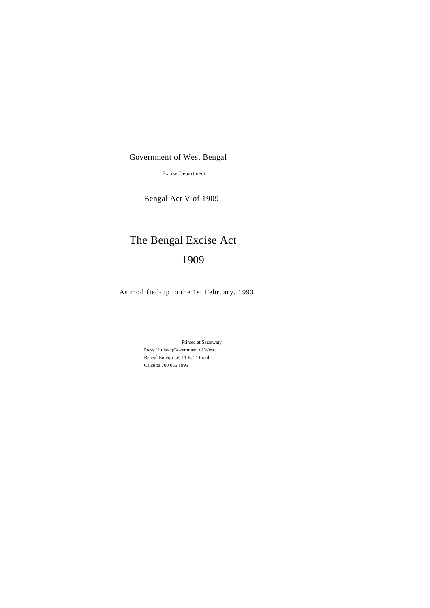Government of West Bengal

Excise Department

Bengal Act V of 1909

# The Bengal Excise Act

1909

As modified-up to the 1st February, 1993

Printed at Saraswaty Press Limited (Government of West Bengal Enterprise) 11 B. T. Road, Calcutta 700 056 1995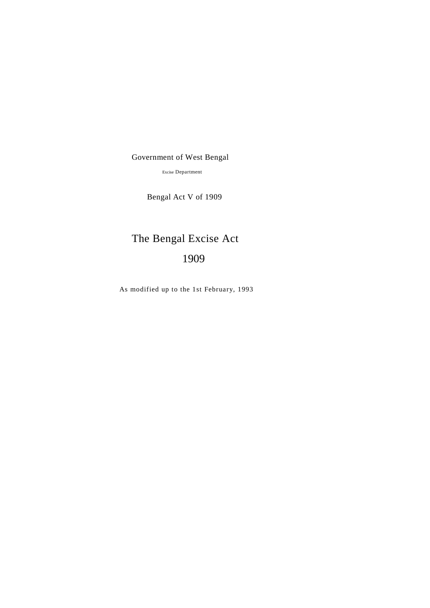Government of West Bengal

Excise Department

Bengal Act V of 1909

# The Bengal Excise Act

# 1909

As modified up to the 1st February, 1993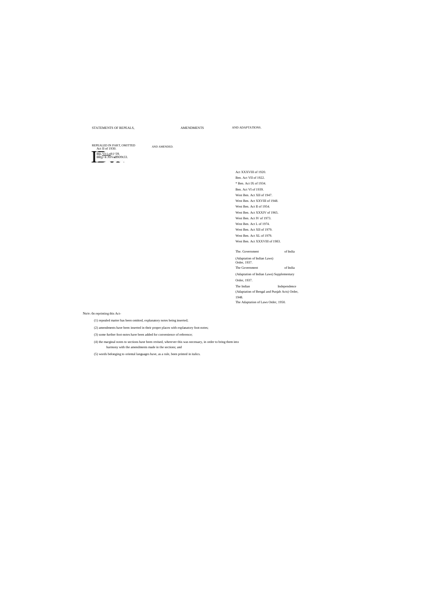AND ADAPTATIONS.

STATEMENTS OF REPEALS, AMENDMENTS

AND AMENDED.

Act XXXVIII of 1920. Ben. Act VII of 1922. \* Ben. Act IX of 1934. Ben. Act VI of 1939. West Ben. Act XII of 1947. West Ben. Act XXVIII of 1948. West Ben. Act II of 1954. West Ben. Act XXXIV of 1965. West Ben. Act IV of 1973. West Ben. Act L of 1974. West Ben. Act XII of 1979. West Ben. Act XL of 1979. West Ben. Act XXXVIII of 1983.

The. Government of India (Adaptation of Indian Laws) Order, 1937. The Government of India (Adaptation of Indian Laws) Supplementary Order, 1937. The Indian **Independence** (Adaptation of Bengal and Punjab Acts) Order, 1948. The Adaptation of Laws Order, 1950.

REPEALED IN PART, OMITTED Act II of 1930.

B|n.<u>^ct-j<sub>v</sub>o</u>ft1^39.<br>BBjj>It JfIV df9D9t33.  $-$ 

# No/e.-In reprinting this Act-

(1) repealed matter has been omitted, explanatory notes being inserted;

(2) amendments have been inserted in their proper places with explanatory foot-notes;

(3) some further foot-notes have been added for convenience of reference;

(4) the marginal notes to sections have been revised, wherever this was necessary, in order to bring them into harmony with the amendments made in the sections; and

(5) words belonging to oriental languages have, as a rule, been printed in italics.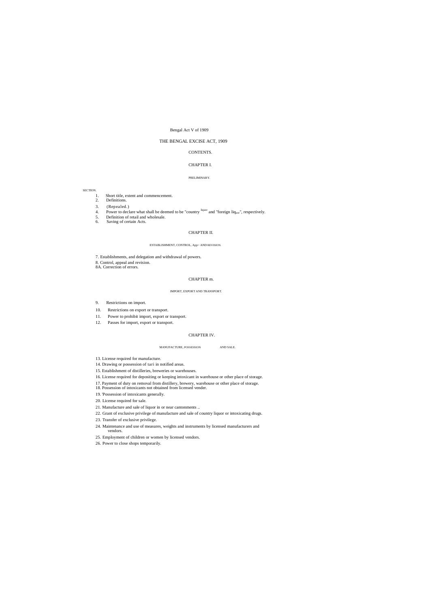# Bengal Act V of 1909

# THE BENGAL EXCISE ACT, 1909

# CONTENTS.

# CHAPTER I.

#### PRELIMINARY.

#### SECTION.

- 1. Short title, extent and commencement.<br>2. Definitions.
- Definitions.
- 3. (Repealed.)<br>4. Power to decla
- Power to declare what shall be deemed to be "country <sup>liquor</sup> and "foreign liquor", respectively.
- 5. Definition of retail and wholesale.<br>6. Saving of certain Acts.
- Saving of certain Acts.

# CHAPTER II.

#### ESTABLISHMENT, CONTROL, App~ AND REVISION.

7. Establishments, and delegation and withdrawal of powers.

8. Control, appeal and revision.

8A. Correction of errors.

## CHAPTER m.

#### IMPORT, EXPORT AND TRANSPORT.

- 9. Restrictions on import.
- 10. Restrictions on export or transport.
- 11. Power to prohibit import, export or transport.
- 12. Passes for import, export or transport.

# CHAPTER IV.

#### MANUFACTURE, POSSESSION AND SALE.

13. License required for manufacture.

- 14. Drawing or possession of tari in notified areas.
- 15. Establishment of distilleries, breweries or warehouses.
- 16. License required for depositing or keeping intoxicant in warehouse or other place of storage.
- 17. Payment of duty on removal from distillery, brewery, warehouse or other place of storage.
- 18. Possession of intoxicants not obtained from licensed vender.
- 19. 'Possession of intoxicants generally.
- 20. License required for sale.
- 21. Manufacture and sale of liquor in or near cantonments ..
- 22. Grant of exclusive privilege of manufacture and sale of country liquor or intoxicating drugs.
- 23. Transfer of exclusive privilege.
- 24. Maintenance and use of measures, weights and instruments by licensed manufacturers and vendors.
- 25. Employment of children or women by licensed vendors.

26. Power to close shops temporarily.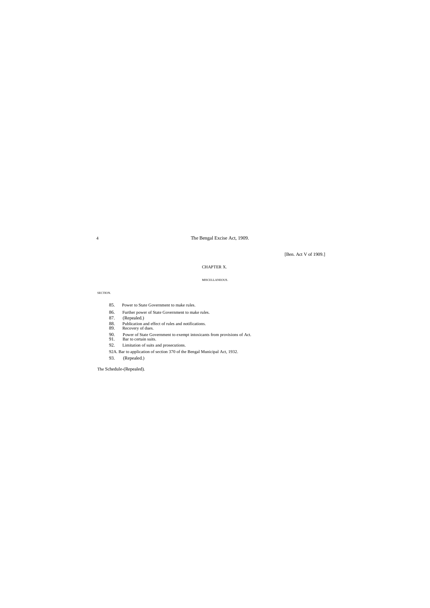4 The Bengal Excise Act, 1909.

[Ben. Act V of 1909.]

# CHAPTER X.

MISCELLANEOUS.

SECTION.

- 85. Power to State Government to make rules.
- 86. Further power of State Government to make rules.
- 87. (Repealed.)
- 88. Publication and effect of rules and notifications.
- 89. Recovery of dues.
- 90. Power of State Government to exempt intoxicants from provisions of Act.

91. Bar to certain suits.

- 92. Limitation of suits and prosecutions.
- 92A. Bar to application of section 370 of the Bengal Municipal Act, 1932.
- 93. (Repealed.)

The Schedule-(Repealed).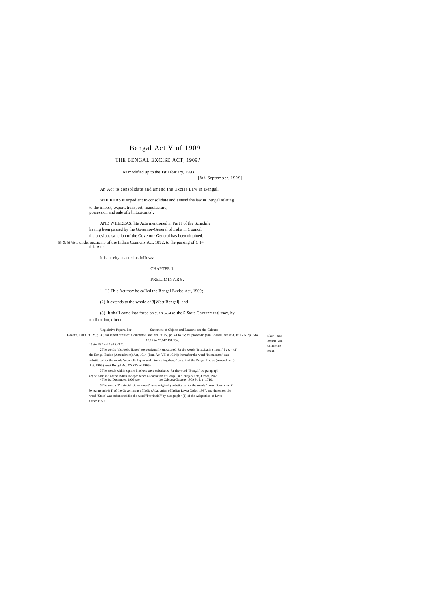# Bengal Act V of 1909

# THE BENGAL EXCISE ACT, 1909.'

As modified up to the 1st February, 1993

[8th September, 1909]

An Act to consolidate and amend the Excise Law in Bengal.

WHEREAS is expedient to consolidate and amend the law in Bengal relating to the import, export, transport, manufacture, possession and sale of 2[intoxicants];

AND WHEREAS, hte Acts mentioned in Part I of the Schedule having been passed by the Governor-General of India in Council, the previous sanction of the Governor-General has been obtained, 55 & 56 Viet., under section 5 of the Indian Councils Act, 1892, to the passing of C 14 this Act;

It is hereby enacted as foIIows:-

CHAPTER 1.

PRELIMINARY.

1. (1) This Act may be caIIed the Bengal Excise Act, 1909;

| Legislative Papers.-For                    | Statement of Objects and Reasons, see the Calcutta                                                                                                    |              |
|--------------------------------------------|-------------------------------------------------------------------------------------------------------------------------------------------------------|--------------|
|                                            | Gazette, 1909, Pt. IV, p. 33; for report of Select Committee, see ibid, Pt. IV, pp. 41 to 55; for proceedings in Council, see ibid, Pt. IVA, pp. 6 to | Short title. |
|                                            | 12,17 to 22,147,151,152,                                                                                                                              | .extent and  |
| 158to 182 and 184 to 220.                  |                                                                                                                                                       | commence     |
|                                            | 2The words "alcoholic liquor" were originally substituted for the words "intoxicating liquor" by s. 4 of                                              | ment.        |
|                                            | the Bengal Excise (Amendment) Act, 1914 (Ben. Act VII of 1914); thereafter the word "intoxicants" was                                                 |              |
|                                            | substituted for the words "alcoholic liquor and intoxicating drugs" by s. 2 of the Bengal Excise (Amendment)                                          |              |
| Act, 1965 (West Bengal Act XXXIV of 1965). |                                                                                                                                                       |              |

(2) It extends to the whole of 3[West Bengal]; and

(3) It shaII come into force on such date4 as the 5[State Government] may, by notification, direct.

3The words within square brackets were substituted for the word "Bengal" by paragraph (2) of Article 3 of the Indian Independence (Adaptation of Bengal and Punjab Acts) Order, 1948. 4The 1st December, 1909-see the Calcutta Gazette, 1909 Pt. I, p. 1710.

5The words "Provincial Government" were originally substituted for the words "Local Government" by paragraph 4( I) of the Government of India (Adaptation of Indian Laws) Order, 1937, and thereafter the word "State" was substituted for the word "Provincial" by paragraph 4(1) of the Adaptation of Laws Order,1950.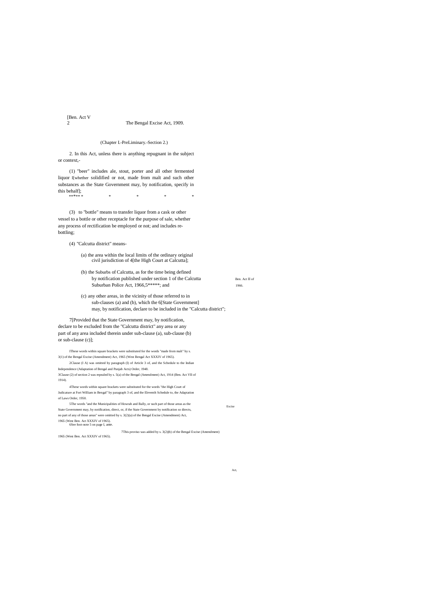[Ben. Act V 2 The Bengal Excise Act, 1909.

Excise



# (Chapter I.-PreLiminary.-Section 2.)

(1) "beer" includes ale, stout, porter and all other fermented liquor I[whether solidified or not, made from malt and such other substances as the State Government may, by notification, specify in this behalf];<br> $****$ 

\*\*\*\*\* \* \* \* \* \* \* \* \*

2. In this Act, unless there is anything repugnant in the subject or context,-

(3) to "bottle" means to transfer liquor from a cask or other vessel to a bottle or other receptacle for the purpose of sale, whether any process of rectification be employed or not; and includes rebottling;

(4) "Calcutta district" means-

- (a) the area within the local limits of the ordinary original civil jurisdiction of 4[the High Court at Calcutta];
- (b) the Suburbs of Calcutta, as for the time being defined by notification published under section 1 of the Calcutta Ben. Act II of Suburban Police Act, 1966,5\*\*\*\*\*; and 1966.
- (c) any other areas, in the vicinity of those referred to in sub-clauses (a) and (b), which the 6[State Government] may, by notification, declare to be included in the "Calcutta district";

7[Provided that the State Government may, by notification, declare to be excluded from the "Calcutta district" any area or any part of any area included therein under sub-clause (a), sub-clause (b) or sub-clause (c)];

IThese words within square brackets were substituted for the words "made from malt" by s. 3(1) of the Bengal Excise (Amendment) Act, 1965 (West Bengal Act XXXIV of 1965).

2Clause (I A) was omitted by paragraph (I) of Article 3 of, and the Schedule to the Indian Independence (Adaptation of Bengal and Punjab Acts) Order, 1948. 3Clause (2) of section 2 was repealed by s. 5(a) of the Bengal (Amendment) Act, 1914 (Ben. Act VII of

1914).

4These words within square brackets were substituted for the words "the High Court of Judicature at Fort William in Bengal" by paragraph 3 of, and the Eleventh Schedule to, the Adaptation of Laws Order, 1950.

5The words "and the Municipalities of Howrah and Bally, or such part of those areas as the State Government may, by notification, direct, or, if the State Government by notification so directs, no part of any of those areas" were omitted by s. 3(2)(a) of the Bengal Excise (Amendment) Act, 1965 (West Ben. Act XXXIV of 1965).

6See foot-note 5 on page I, ante.

7This proviso was added by s. 3(2)(b) of the Bengal Excise (Amendment)

1965 (West Ben. Act XXXIV of 1965).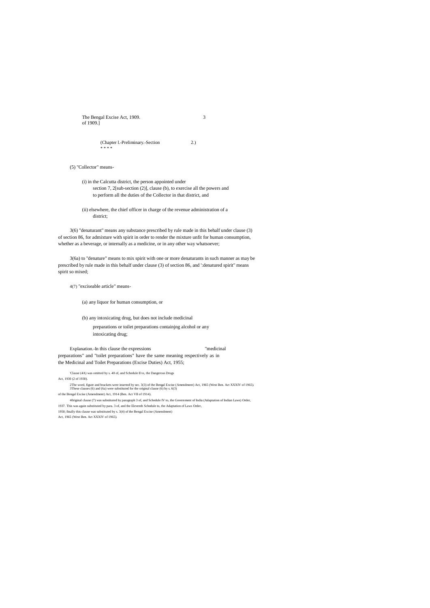The Bengal Excise Act, 1909. 3 of 1909.]

(Chapter l.-Preliminary.-Section 2.) \* \* \* \*

(5) "Collector" means-

- (i) in the Calcutta district, the person appointed under section 7, 2[sub-section (2)], clause (b), to exercise all the powers and to perform all the duties of the Collector in that district, and
- (ii) elsewhere, the chief officer in charge of the revenue administration of a district;

3(6) "denaturant" means any substance prescribed by rule made in this behalf under clause (3) of section 86, for admixture with spirit in order to render the mixture unfit for human consumption, whether as a beverage, or internally as a medicine, or in any other way whatsoever;

3(6a) to "denature" means to mix spirit with one or more denaturants in such manner as may be prescribed by rule made in this behalf under clause (3) of section 86, and ':denatured spirit" means spirit so mixed;

4(7) "exciseable article" means-

(a) any liquor for human consumption, or

- (b) any intoxicating drug, but does not include medicinal
	- preparations or toilet preparations containjng alcohol or any intoxicating drug;

Explanation.-In this clause the expressions "medicinal preparations" and "toilet preparations" have the same meaning respectively as in the Medicinal and Toilet Preparations (Excise Duties) Act, 1955;

'Clause (4A) was omitted by s. 40 of, and Schedule II to, the Dangerous Drugs

Act, 1930 (2 of 1930).

2The word, figure and brackets were inserted by sec. 3(3) of the Bengal Excise (Amendment) Act, 1965 (West Ben. Act XXXIV of 1965). 3These clauses (6) and (6a) were substituted for the original clause (6) by s. 6(3)

of the Bengal Excise (Amendment) Act, 1914 (Ben. Act VII of 1914).

40riginal clause (7) was substituted by paragraph 3 of, and Schedule IV to, the Government of India (Adaptation of Indian Laws) Order, 1937. This was again substituted by para. 3 of, and the Eleventh Schedule to, the Adaptation of Laws Order, 1950; finally this clause was substituted by s. 3(4) of the Bengal Excise (Amendment)

Act, 1965 (West Ben. Act XXXIV of 1965).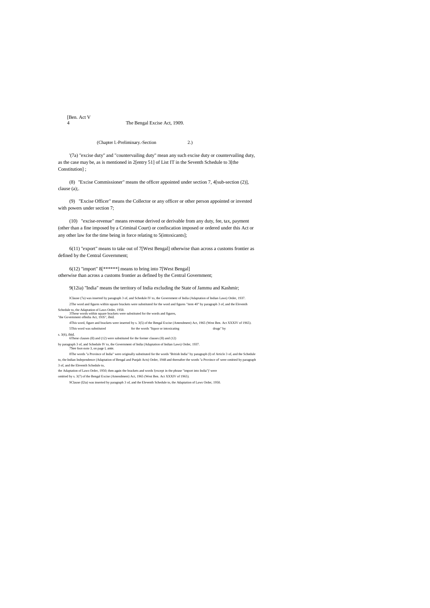[Ben. Act V 4 The Bengal Excise Act, 1909.

(Chapter l.-Preliminary.-Section 2.)

'(7a) "excise duty" and "countervailing duty" mean any such excise duty or countervailing duty, as the case may be, as is mentioned in 2[entry 51] of List IT in the Seventh Schedule to 3[the Constitution] ;

(8) "Excise Commissioner" means the officer appointed under section 7, 4[sub-section (2)], clause (a);.

(9) "Excise Officer" means the Collector or any officer or other person appointed or invested with powers under section 7;

(10) "excise-revenue" means revenue derived or derivable from any duty, fee, tax, payment (other than a fine imposed by a Criminal Court) or confiscation imposed or ordered under this Act or any other law for the time being in force relating to 5(intoxicants];

6(11) "export" means to take out of 7[West Bengal] otherwise than across a customs frontier as defined by the Central Government;

6(12) "import" 8[\*\*\*\*\*\*] means to bring into 7[West Bengal] otherwise than across a customs frontier as defined by the Central Government;

9(12ia) "India" means the territory of India excluding the State of Jammu and Kashmir;

lCIause (7a) was inserted by paragraph 3 of, and Schedule IV to, the Government of India (Adaptation of Indian Laws) Order, 1937. 2The word and figures within square brackets were substituted for the word and figures "item 40" by paragraph 3 of, and the Eleventh

Schedule to, the Adaptation of Laws Order, 1950. 3These words within square brackets were substituted for the words and figures, "the Government oflndia Act, 1935", ibid.

4This word, figure and brackets were inserted by s. 3(5) of the Bengal Excise (Amendment) Act, 1965 (West Ben. Act XXXIV of 1965). 5This word was substituted for the words "liquor or intoxicating drugs" by

s. 3(6), ibid.

6These clauses (II) and (12) were substituted for the former clauses (II) and (12)

by paragraph 3 of, and Schedule IV to, the Government of India (Adaptation of Indian Laws) Order, 1937. 7See foot-note 3, on page I, ante.

8The words "a Province of India" were originally substituted for the words "British India" by paragraph (I) of Article 3 of, and the Schedule to, the Indian Independence (Adaptation of Bengal and Punjab Acts) Order, 1948 and thereafter the words "a Province of' were omitted by paragraph 3 of, and the Eleventh Schedule to,

the Adaptation of Laws Order, 1950; then again the brackets and words '(except in the phrase "import into India")' were

omitted by s. 3(7) of the Bengal Excise (Amendment) Act, 1965 (West Ben. Act XXXIV of 1965).

9Clause (l2ia) was inserted by paragraph 3 of, and the Eleventh Schedule to, the Adaptation of Laws Order, 1950.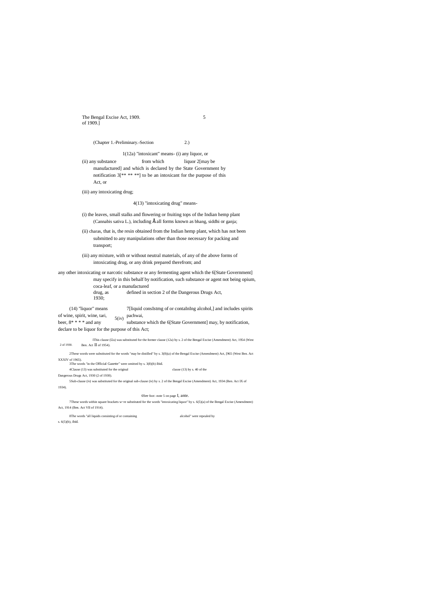The Bengal Excise Act, 1909. 5 of 1909.]

2 of 1930. IThis clause (l2a) was substituted for the former clause (12a) by s. 2 of the Bengal Excise (Amendment) Act, 1954 (West Ben. Act II of 1954).

(Chapter 1.-Preliminary.-Section 2.)

1(12a) "intoxicant" means- (i) any liquor, or

- (ii) any substance from which liquor 2[may be manufactured] and which is declared by the State Government by notification 3[\*\* \*\* \*\*] to be an intoxicant for the purpose of this Act, or
- (iii) any intoxicating drug;

4(13) "intoxicating drug" means-

- (i) the leaves, small stalks and flowering or fruiting tops of the Indian hemp plant (Cannabis sativa L.), including  $\acute{E}$  all forms known as bhang, siddhi or ganja;
- (ii) charas, that is, the resin obtained from the Indian hemp plant, which has not been submitted to any manipulations other than those necessary for packing and transport;
- (iii) any mixture, with or without neutral materials, of any of the above forms of intoxicating drug, or any drink prepared therefrom; and

beer,  $8^*$  \* \* \* and any substance which the 6[State Government] may, by notification, declare to be liquor for the purpose of this Act;

any other intoxicating or narcotic substance or any fermenting agent which the 6[State Government] may specify in this behalf by notification, such substance or agent not being opium,

> coca-leaf, or a manufactured drug, as defined in section 2 of the Dangerous Drugs Act, 1930;

 $5(iv)$  pachwai, (14) "liquor" means 7[liquid consIstmg of or contaInIng alcohol,] and includes spirits of wine, spirit, wine, tari,

2These words were substituted for the words "may be distilled" by s. 3(8)(a) of the Bengal Excise (Amendment) Act, [965 (West Ben. Act XXXIV of 1965).

3The words "in the Official Gazette" were omitted by s. 3(8)(b) ibid.

4Clause (13) was substituted for the original clause (13) by s. 40 of the

Dangerous Drugs Act, 1930 (2 of 1930).

5Sub-clause (iv) was substituted for the original sub-clause (iv) by s. 2 of the Bengal Excise (Amendment) Act, 1934 (Ben. Act IX of 1934).

6See foot -note 5 on page I, ante.

7These words within square brackets w~re substituted for the words "intoxicating liquor" by s. 6(5)(a) of the Bengal Excise (Amendment) Act, 1914 (Ben. Act VII of 1914).

8The words "all liquids consisting of or containing alcohol" were repealed by s. 6(5)(b), ibid.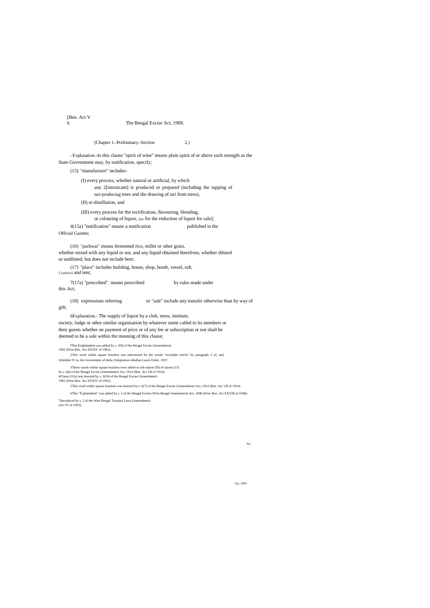[Ben. Act V 6 The Bengal Excise Act, 1909.

Act, 1993

(Chapter 1.-Preliminary.-Section 2.)

<sup>J</sup> Explanation.-In this clause "spirit of wine" means plain spirit of or above such strength as the State Government may, by notification, specify;

(15) "manufacture" includes-

| (I) every process, whether natural or artificial, by which           |
|----------------------------------------------------------------------|
| any 2 [intoxicant] is produced or prepared (including the tapping of |
| tari-producing trees and the drawing of tari from trees),            |
|                                                                      |

(II) re-distillation, and

7(17a) "prescribed". means prescribed by rules made under this Act;

(III) every process for the rectification, flavouring, blending, or colouring of liquor, 3[or for the reduction of liquor for sale];

(18) expressions referring to "sale" include any transfer otherwise than by way of gift;

4(15a) "notification" means a notification published in the

Official Gazette;

(16) "pachwai" means fermented rice, millet or other grain, whether mixed with any liquid or not, and any liquid obtained therefrom, whether diluted or undiluted, but does not include beer;

(17) "place" includes building, house, shop, booth, vessel, raft, 5 [vehicle] and tent;

6Explanation.- The supply of liquor by a club, mess, institute, society, lodge or other similar organisation by whatever name called to its members or their guests whether on payment of price or of any fee or subscription or not shall be deemed to be a sale within the meaning of this clause;

lThis Explanation was added by s. 3(9) of the Bengal Excise (Amendment) 1965 (West Ben. Act XXXIV of 1965). 2This word within square brackets was substituted for the words "excisable article" by paragraph 3 of, and Schedule IV to, the Govemment of India (Adaptation ofindian Laws) Order, 1937.

```
3These words within square brackets were added to sub-clause (Ill) of clause (15)
by s. 6(6) of the Bengal Excise (Amendment) Act, 1914 (Ben. Act VII of 1914).
4Clause (15a) was inserted by s. 3(10) of the Bengal Excise (Amendment)
1965 (West Ben. Act XXXIV of 1965).
```
5This word within square brackets was inserted by s. 6(7) of the Bengal Excise (Amendment) Act, 1914 (Ben. Act VII of 1914).

6This "E;planation" was added by s. 2 of the Bengal Excise (West Bengal Amendment) Act, 1948 (West Ben. Act XXVIII of 1948).

7Introduced by s. 2 of the West Bengal Taxation Laws (Amendment) (Act IV of 1993).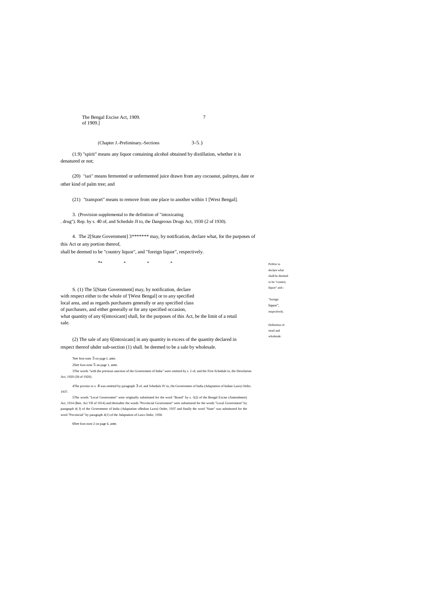The Bengal Excise Act, 1909. 7 of 1909.]

(Chapter J.-Preliminary.-Sections 3-5.)

(1.9) "spirit" means any liquor containing alcohol obtained by distillation, whether it is denatured or not;

(20) "tari" means fermented or unfermented juice drawn from any cocoanut, palmyra, date or other kind of palm tree; and

(21) "transport" means to remove from one place to another within 1 [West Bengal].

3. (Provision supplemental to the definition of "intoxicating . drug"). Rep. by s. 40 of, and Schedule JI to, the Dangerous Drugs Act, 1930 (2 of 1930).

|       | $\ast\ast$                                                         | $\ast$ | $\ast$ | $\ast$                                                                                                                                           |                                                                                                   | PoWer to                              |
|-------|--------------------------------------------------------------------|--------|--------|--------------------------------------------------------------------------------------------------------------------------------------------------|---------------------------------------------------------------------------------------------------|---------------------------------------|
|       |                                                                    |        |        |                                                                                                                                                  |                                                                                                   | declare what                          |
|       |                                                                    |        |        |                                                                                                                                                  |                                                                                                   | shall be deemed                       |
|       |                                                                    |        |        |                                                                                                                                                  |                                                                                                   | to be "country                        |
|       |                                                                    |        |        | S. (1) The 5 State Government may, by notification, declare                                                                                      |                                                                                                   | liquor" and *                         |
|       | of purchasers, and either generally or for any specified occasion, |        |        | with respect either to the whole of '[West Bengal] or to any specified<br>local area, and as regards purchasers generally or any specified class | what quantity of any 6 [intoxicant] shall, for the purposes of this Act, be the limit of a retail | "foreign<br>liquor",<br>respectively. |
| sale. |                                                                    |        |        |                                                                                                                                                  |                                                                                                   | Definition of<br>retail and           |
|       |                                                                    |        |        |                                                                                                                                                  | (2) The sale of any 6[intoxicant] in any quantity in excess of the quantity declared in           | wholesale.                            |

4. The 2[State Government] 3\*\*\*\*\*\*\* may, by notification, declare what, for the purposes of this Act or any portion thereof,

shall be deemed to be "country liquor", and "foreign liquor", respectively.

respect thereof uhder sub-section (1) shall. be deemed to be a sale by wholesale.

'See foot-note 3 on page I, ante. 2See foot-note 5 on page 1, ante.

3The words "with the previous sanction of the Government of India" were omitted by s. 2 of, and the First Schedule to, the Devolution Act, 1920 (38 of 1920).

4The proviso to s. 4 was omitted by paragraph 3 of, and Schedule IV to, the Government of India (Adaptation of Indian Laws) Order, 1937.

5The words "Local Government" were originally substituted for the word "Board" by s. 5(2) of the Bengal Excise (Amendment) Act, 1914 (Ben. Act VII of 1914) and thereafter the words "Provincial Government" were substituted for the words "Local Government" by paragraph 4( I) of the Government of India (Adaptation ofIndian Laws) Order, 1937 and finally the word "State" was substituted for the word "Provincial" by paragraph 4(1) of the Adaptation of Laws Order, 1950.

6See foot-note 2 on page 6, ante.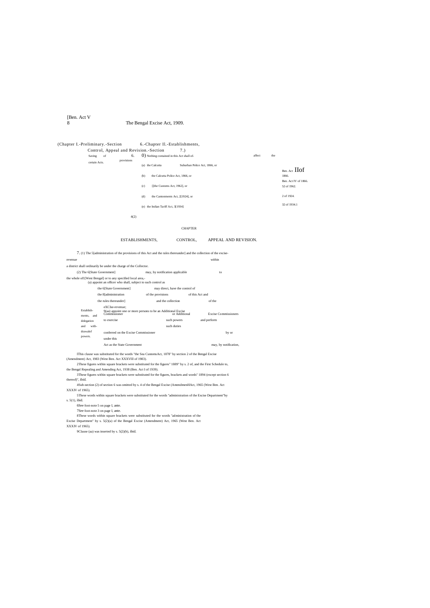and withdrawalof such duties conferred on the Excise Commissioner by or

| provisions |                  |                               |                                                                                                                                         |                      |                                     |
|------------|------------------|-------------------------------|-----------------------------------------------------------------------------------------------------------------------------------------|----------------------|-------------------------------------|
|            | (a) the Calcutta | Suburban Police Act, 1866, or |                                                                                                                                         |                      |                                     |
|            | (b)              |                               |                                                                                                                                         |                      | Ben. Act IIof<br>1866.              |
|            | (c)              |                               |                                                                                                                                         |                      | Ben. Act IV of 1866.<br>52 of 1962. |
|            | (d)              |                               |                                                                                                                                         |                      | 2 of 1924.                          |
|            | (e)              |                               |                                                                                                                                         |                      | 32 of 1934.1                        |
| 4(2)       |                  |                               |                                                                                                                                         |                      |                                     |
|            |                  | <b>CHAPTER</b>                |                                                                                                                                         |                      |                                     |
|            |                  | CONTROL,                      |                                                                                                                                         |                      |                                     |
|            |                  | ESTABLISHMENTS,               | the Calcutta Police Act, 1866, or<br>[[the Customs Act, 1962], or<br>the Cantonments Act, 2[1924], or<br>the Indian Tariff Act, 3[1934] | APPEAL AND REVISION. |                                     |

revenue within the contract of the contract of the contract of the contract of the contract of the contract of the contract of the contract of the contract of the contract of the contract of the contract of the contract of

delegation

[Ben. Act V 8 The Bengal Excise Act, 1909.

(Chapter I.-Preliminary.-Section 6.-Chapter Il.-Establishments,

| a district shall ordinarily be under the charge of the Collector. |                                 |  |
|-------------------------------------------------------------------|---------------------------------|--|
| $(2)$ The 6[State Government]                                     | may, by notification applicable |  |

EstablisheXCIse-revenue; 9(aa) appoint one or more persons to be an Additional Excise

| ------------- |               | 9(aa) appoint one or more persons to be an Additional Excise |                      |
|---------------|---------------|--------------------------------------------------------------|----------------------|
| ments.<br>and | .`ommissioner | or Additional                                                | Excise Commissioners |
| delegation    | to exercise   | such powers                                                  | and perform          |

powers. under this

Act as the State Government may, by notification,

the whole of1[West Bengal] or to any specified local area,- (a) appoint an officer who shall, subject to such control as

|  | (a) appoint an officer who shari, subject to such control as |  |
|--|--------------------------------------------------------------|--|
|  |                                                              |  |
|  |                                                              |  |

| the 6[State Government] | may direct, have the control of |
|-------------------------|---------------------------------|
|                         |                                 |

| the 8[administration] | of the provisions | of this Act and |
|-----------------------|-------------------|-----------------|
|                       |                   |                 |

| the rules thereunder<br>. | and the collection | of the |
|---------------------------|--------------------|--------|
|---------------------------|--------------------|--------|

IThis clause was substituted for the words "the Sea CustomsAct, 1878" by section 2 of the Bengal Excise (Amendment) Act, 1983 (West Ben. Act XXXVlll of 1983).

2These figures within square brackets were substituted for the figures" 1889" by s. 2 of, and the First Schedule to, the Bengal Repealing and Amending Act, 1938 (Ben. Act I of 1939).

3These figures within square brackets were substituted for the figures, brackets and words" 1894 (except section 6 thereof)", ibid.

4Sub-section (2) of section 6 was omitted by s. 4 of the Bengal Excise (AmendmenHAct, 1965 (West Ben. Act XXXIV of 1965).

5These words within square brackets were substituted for the words "administration of the Excise Department"by s. 5(1), ibid.

6See foot-note 5 on page I, ante.

7See foot-note 3 on page I, ante.

8These words within square brackets were substituted for the words "administration of the

Excise Department" by s. 5(2)(a) of the Bengal Excise (Amendment) Act, 1965 (West Ben. Act

XXXIV of 1965).

9Clause (aa) was inserted by s. 5(2)(b), ibid.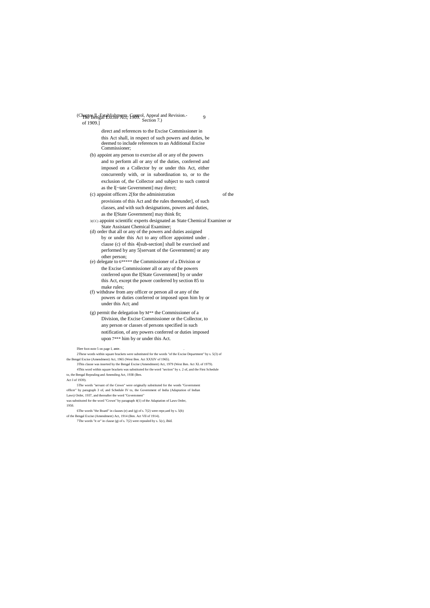(Chapter II.-Establishments, Control, Appeal and Revision.-<br>9<br>9 of 1909.] Section 7.)

> direct and references to the Excise Commissioner in this Act shall, in respect of such powers and duties, be deemed to include references to an Additional Excise Commissioner;

- (b) appoint any person to exercise all or any of the powers and to perform all or any of the duties, conferred and imposed on a Collector by or under this Act, either concurrently with, or in subordination to, or to the exclusion of, the Collector and subject to such control as the l[~tate Government] may direct;
- (c) appoint officers 2[for the administration of the provisions of this Act and the rules thereunder], of such classes, and with such designations, powers and duties, as the I[State Government] may think fit;
- 3(CC) appoint scientific experts designated as State Chemical Examiner or State Assistant Chemical Examiner;
- (d) order that all or any of the powers and duties assigned by or under this Act to any officer appointed under . clause (c) of this 4[sub-section] shall be exercised and performed by any 5[servant of the Government] or any other person;
- (e) delegate to 6\*\*\*\*\* the Commissioner of a Division or the Excise Commissioner all or any of the powers conferred upon the I[State Government] by or under this Act, except the power conferred by section 85 to make rules;
- (f) withdraw from any officer or person all or any of the powers or duties conferred or imposed upon him by or under this Act; and
- (g) permit the delegation by M\*\* the Commissioner of a Division, the Excise Commissioner or the Collector, to any person or classes of persons specified in such notification, of any powers conferred or duties imposed upon 7\*\*\* him by or under this Act.

ISee foot-note 5 on page I, ante.

2These words within square brackets were substituted for the words "of the Excise Department" by s. 5(3) of the Bengal Excise (Amendment) Act, 1965 (West Ben. Act XXXIV of 1965).

3This clause was inserted by the Bengal Excise (Amendment) Act, 1979 (West Ben. Act XL of 1979). 4This word within square brackets was substituted for the word "section" by s. 2 of, and the First Schedule to, the Bengal Repealing and Amending Act, 1938 (Ben.

Act I of 1939).

5The words "servant of the Crown" were originally substituted for the words "Government officer" by paragraph 3 of, and Schedule IV to, the Government of India (Adaptation of Indian Laws) Order, 1937, and thereafter the word "Government"

was substituted for the word "Crown" by paragraph 4(1) of the Adaptation of Laws Order, 1950.

6The words "the Board" in clauses (e) and (g) of s. 7(2) were repe,ued by s. 5(b)

of the Bengal Excise (Amendment) Act, 1914 (Ben. Act VII of 1914).

7The words "it or" in clause (g) of s. 7(2) were repealed by s. 5(c), ibid.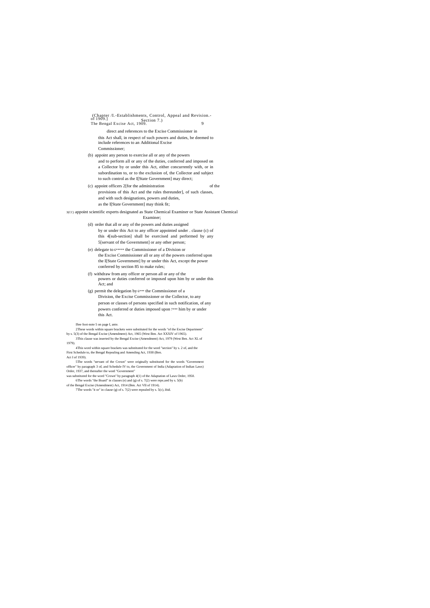# (Chapter /I.-Establishments, Control, Appeal and Revision.-<br>of 1909.] Section 7. The Bengal Excise Act, 1909. 9 Section 7.)

direct and references to the Excise Commissioner in this Act shall, in respect of such powers and duties, be deemed to include references to an Additional Excise Commissioner;

(b) appoint any person to exercise all or any of the powers

and to perform all or any of the duties, conferred and imposed on a Collector by or under this Act, either concurrently with, or in subordination to, or to the exclusion of, the Collector and subject to such control as the I[State Government] may direct;

(c) appoint officers 2[for the administration of the provisions of this Act and the rules thereunder], of such classes, and with such designations, powers and duties, as the I[State Government] may think fit;

3(CC) appoint scientific experts designated as State Chemical Examiner or State Assistant Chemical

#### Examiner;

(d) order that all or any of the powers and duties assigned by or under this Act to any officer appointed under . clause (c) of this 4[sub-section] shall be exercised and performed by any 5[servant of the Government] or any other person;

- (e) delegate to 6\*\*\*\*\* the Commissioner of a Division or the Excise Commissioner all or any of the powers conferred upon the I[State Government] by or under this Act, except the power conferred by section 85 to make rules;
- (f) withdraw from any officer or person all or any of the powers or duties conferred or imposed upon him by or under this Act; and
- (g) permit the delegation by 6\*\*\* the Commissioner of a Division, the Excise Commissioner or the Collector, to any person or classes of persons specified in such notification, of any powers conferred or duties imposed upon 7\*\*\* him by or under this Act.

# ISee foot-note 5 on page I, ante.

2These words within square brackets were substituted for the words "of the Excise Department" by s. 5(3) of the Bengal Excise (Amendment) Act, 1965 (West Ben. Act XXXIV of 1965).

- 3This clause was inserted by the Bengal Excise (Amendment) Act, 1979 (West Ben. Act XL of 1979).
- 4This word within square brackets was substituted for the word "section" by s. 2 of, and the First Schedule to, the Bengal Repealing and Amending Act, 1938 (Ben. Act I of 1939).

5The words "servant of the Crown" were originally substituted for the words "Government officer" by paragraph 3 of, and Schedule IV to, the Government of India (Adaptation of Indian Laws) Order, 1937, and thereafter the word "Government"

was substituted for the word "Crown" by paragraph 4(1) of the Adaptation of Laws Order, 1950. 6The words "the Board" in clauses (e) and (g) of s. 7(2) were repe,ued by s. 5(b)

of the Bengal Excise (Amendment) Act, 1914 (Ben. Act VII of 1914). 7The words "it or" in clause (g) of s. 7(2) were repealed by s. 5(c), ibid.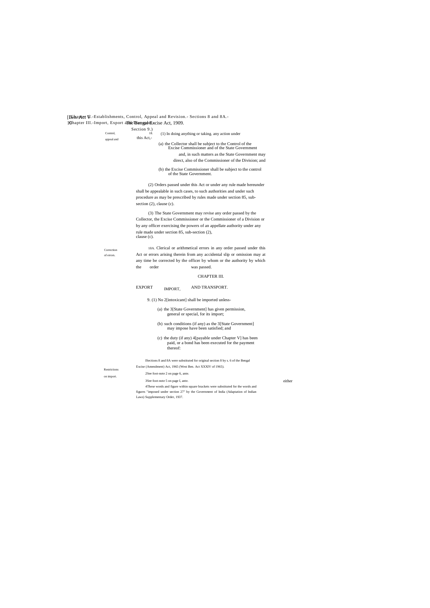either

[Behapter V.-Establishments, Control, Appeal and Revision.- Sections 8 and 8A.-10 hapter III.-Import, Export and The Bengab Excise Act, 1909.

|                          | Section 9.)                                                                                                                                                                                                                                                                       |
|--------------------------|-----------------------------------------------------------------------------------------------------------------------------------------------------------------------------------------------------------------------------------------------------------------------------------|
| Control.                 | 18.<br>(1) In doing anything or taking, any action under<br>this Act.-                                                                                                                                                                                                            |
| appeal and               | (a) the Collector shall be subject to the Control of the<br>Excise Commissioner and of the State Government                                                                                                                                                                       |
|                          | and, in such matters as the State Government may                                                                                                                                                                                                                                  |
|                          | direct, also of the Commissioner of the Division; and                                                                                                                                                                                                                             |
|                          | (b) the Excise Commissioner shall be subject to the control<br>of the State Government.                                                                                                                                                                                           |
|                          | (2) Orders passed under this Act or under any rule made hereunder<br>shall be appealable in such cases, to such authorities and under such<br>procedure as may be prescribed by rules made under section 85, sub-<br>section $(2)$ , clause $(c)$ .                               |
|                          | (3) The State Government may revise any order passed by the<br>Collector, the Excise Commissioner or the Commissioner of a Division or<br>by any officer exercising the powers of an appellate authority under any<br>rule made under section 85, sub-section (2),<br>clause (c). |
| Correction<br>of errors. | 18A. Clerical or arithmetical errors in any order passed under this<br>Act or errors arising therein from any accidental slip or omission may at<br>any time be corrected by the officer by whom or the authority by which<br>the<br>order<br>was passed.                         |
|                          | CHAPTER III.                                                                                                                                                                                                                                                                      |
|                          | <b>EXPORT</b><br>AND TRANSPORT.<br>IMPORT,                                                                                                                                                                                                                                        |
|                          | 9. (1) No 2 [intoxicant] shall be imported unless-                                                                                                                                                                                                                                |
|                          | (a) the 3[State Government] has given permission,<br>general or special, for its import;                                                                                                                                                                                          |
|                          | (b) such conditions (if any) as the 3[State Government]<br>may impose have been satisfied; and                                                                                                                                                                                    |
|                          | (c) the duty (if any) 4 [payable under Chapter V] has been<br>paid, or a bond has been executed for the payment<br>thereof:                                                                                                                                                       |
|                          | ISections 8 and 8A were substituted for original section 8 by s. 6 of the Bengal                                                                                                                                                                                                  |
|                          | Excise (Amendment) Act, 1965 (West Ben. Act XXXIV of 1965).                                                                                                                                                                                                                       |
| Restrictions             | 2See foot-note 2 on page 6, ante.                                                                                                                                                                                                                                                 |
| on import.               | 3See foot-note 5 on page I, ante.                                                                                                                                                                                                                                                 |
|                          | 4These words and figure within square brackets were substituted for the words and<br>figures "imposed under section 27" by the Government of India (Adaptation of Indian<br>Laws) Supplementary Order, 1937.                                                                      |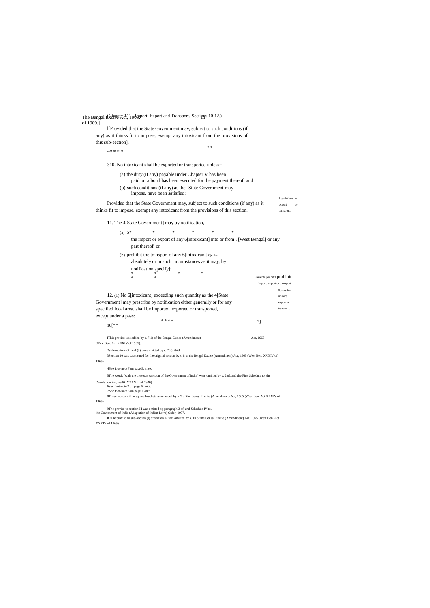The Bengal Exchaptor cl. 1909.port, Export and Transport.-Sections 10-12.) of 1909.]

> Restrictions on export or transport.

l[Provided that the State Government may, subject to such conditions (if any) as it thinks fit to impose, exempt any intoxicant from the provisions of this sub-section]. \* \*

 $~\sim$  \* \* \* \*

310. No intoxicant shall be exported or transported unless=

(a) the duty (if any) payable under Chapter V has been paid or, a bond has been executed for the payment thereof; and

(b) such conditions (if any) as the "State Government may impose, have been satisfied:

Provided that the State Government may, subject to such conditions (if any) as it

thinks fit to impose, exempt any intoxicant from the provisions of this section.

11. The 4[State Government] may by notification,-

|        | (a) $5*$<br>$\ast$<br>$\ast$<br>$\ast$                                                                                                                                                            | $\ast$<br>$\ast$ |                              |
|--------|---------------------------------------------------------------------------------------------------------------------------------------------------------------------------------------------------|------------------|------------------------------|
|        | the import or export of any 6[intoxicant] into or from 7[West Bengal] or any<br>part thereof, or                                                                                                  |                  |                              |
|        | (b) prohibit the transport of any 6[intoxicant] 8[either                                                                                                                                          |                  |                              |
|        | absolutely or in such circumstances as it may, by                                                                                                                                                 |                  |                              |
|        | notification specify]:                                                                                                                                                                            |                  |                              |
|        | $\ast$<br>*                                                                                                                                                                                       | $\ast$           |                              |
|        | $\ast$<br>$\ast$                                                                                                                                                                                  |                  | Power to prohibit prohibit   |
|        |                                                                                                                                                                                                   |                  | import, export or transport. |
|        |                                                                                                                                                                                                   |                  | Passes for                   |
|        | 12. (1) No 6 [intoxicant] exceeding such quantity as the 4 [State]                                                                                                                                |                  | import,                      |
|        | Government may prescribe by notification either generally or for any                                                                                                                              |                  | export or                    |
|        | specified local area, shall be imported, exported or transported,                                                                                                                                 |                  | transport.                   |
|        | except under a pass:                                                                                                                                                                              |                  |                              |
|        | * * * *                                                                                                                                                                                           |                  | $*$ ]                        |
|        | $10[$ * *                                                                                                                                                                                         |                  |                              |
|        | IThis proviso was added by s. 7(1) of the Bengal Excise (Amendment)                                                                                                                               |                  | Act, 1965                    |
|        | (West Ben. Act XXXIV of 1965).                                                                                                                                                                    |                  |                              |
|        | 2Sub-sections (2) and (3) were omitted by s. 7(2), ibid.                                                                                                                                          |                  |                              |
|        | 3Section 10 was substituted for the original section by s. 8 of the Bengal Excise (Amendmenr) Act, 1965 (West Ben. XXXIV of                                                                       |                  |                              |
| 1965). |                                                                                                                                                                                                   |                  |                              |
|        | 4See foot-note 7 on page 5, ante.                                                                                                                                                                 |                  |                              |
|        | 5The words "with the previous sanction of the Government of India" were omitted by s. 2 of, and the First Schedule to, the                                                                        |                  |                              |
|        | Devolution Act, ~920 (XXXVIII of 1920).                                                                                                                                                           |                  |                              |
|        | 6See foot-note 2 on page 6, ante.                                                                                                                                                                 |                  |                              |
|        | 7See foot-note 3 on page I, ante.<br>8These words within square brackets were added by s. 9 of the Bengal Excise (Amendment) Act, 1965 (West Ben. Act XXXIV of                                    |                  |                              |
| 1965). |                                                                                                                                                                                                   |                  |                              |
|        | 9The proviso to section II was omitted by paragraph 3 of, and Schedule IV to,                                                                                                                     |                  |                              |
|        | the Government of India (Adaptation of Indian Laws) Order, 1937.<br>IOThe proviso to sub-section (I) of section 12 was omitted by s. 10 of the Bengal Excise (Amendment) Act, 1965 (West Ben. Act |                  |                              |

XXXIV of 1965).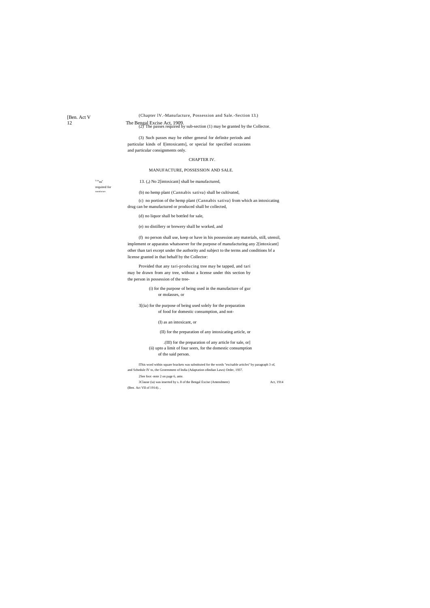# [Ben. Act V

# (Chapter lV.-Manufacture, Possession and Sale.-Section 13.)

12 The Bengal Excise Act, 1909.<br>
(2) The passes required by sub-section (1) may be granted by the Collector.

(3) Such passes may be either general for definite periods and particular kinds of I[intoxicants], or special for specified occasions and particular consignments only.

# CHAPTER IV.

# MANUFACTURE, POSSESSION AND SALE.

required for

Lice<sub>ns</sub>e 13. (a) No 2[intoxicant] shall be manufactured,

(b) no hemp plant (Cannabis sativa) shall be cultivated,

(c) no portion of the hemp plant (Cannabis sativa) from which an intoxicating drug can be manufactured or produced shall be collected,

(d) no liquor shall be bottled for sale,

(e) no distillery or brewery shall be worked, and

(f) no person shall use, keep or have in his possession any materials, still, utensil, implement or apparatus whatsoever for the purpose of manufacturing any 2[intoxicant] other than tari except under the authority and subject to the terms and conditions bf a license granted in that behalf by the Collector:

Provided that any tari-producing tree may be tapped, and tari may be drawn from any tree, without a license under this section by the person in possession of the tree-

> (i) for the purpose of being used in the manufacture of gur or molasses, or

3[(ia) for the purpose of being used solely for the preparation of food for domestic consumption, and not-

(I) as an intoxicant, or

(II) for the preparation of any intoxicating article, or

.(III) for the preparation of any article for sale, or] (ii) upto a limit of four seers, for the domestic consumption of the said person.

IThis word within square brackets was substituted for the words "excisable articles" by paragraph 3 of, and Schedule IV to, the Government of India (Adaptation ofindian Laws) Order, 1937.

```
2See foot -note 2 on page 6, ante.
      3Clause (ia) was inserted by s. 8 of the Bengal Excise (Amendment) Act, 1914
(Ben. Act VII of 1914). ,
```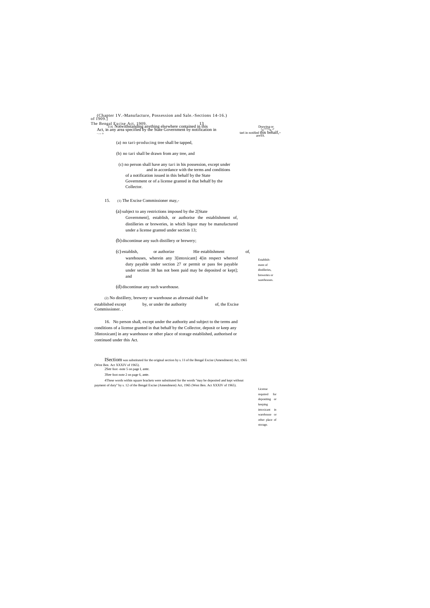storage.

of 1909.] (Chapter 1V.-Manufacture, Possession and Sale.-Sections 14-16.) The Bengal Excise Act, 1909. 13<br>
13 Drawing anything anything elsewhere contained in this Drawing or<br>
Act, in any area specified by the State Government by notification in Establishment of distilleries, breweries or warehouses. License required for depositing or keeping intoxicant in warehouse or other place of  $\begin{array}{c}\n\text{Drawing or} \\
\text{for} \\
\text{for} \\
\text{for} \\
\text{are} \\
\text{in} \\
\text{in} \\
\text{in} \\
\text{in} \\
\text{in} \\
\text{in} \\
\text{in} \\
\text{in} \\
\text{in} \\
\text{in} \\
\text{in} \\
\text{in} \\
\text{in} \\
\text{in} \\
\text{in} \\
\text{in} \\
\text{in} \\
\text{in} \\
\text{in} \\
\text{in} \\
\text{in} \\
\text{in} \\
\text{in} \\
\text{in} \\
\text{in} \\
\text{in} \\
\text{in} \\
\text{in} \\
\text{in} \\
\text{in} \\
\$ tari in notified this behalf, $\frac{1}{2}$ , if the behalf of this behalf, are:  $\frac{1}{2}$  are:  $\frac{1}{2}$  are:  $\frac{1}{2}$  are:  $\frac{1}{2}$  are:  $\frac{1}{2}$  are:  $\frac{1}{2}$  are:  $\frac{1}{2}$  are:  $\frac{1}{2}$  are:  $\frac{1}{2}$  are:  $\frac{1}{2}$  a (a) no tari-producing tree shall be tapped, (b) no tari shall be drawn from any tree, and (c) no person shall have any tari in his possession, except under and in accordance with the terms and conditions of a notification issued in this behalf by the State Government or of a license granted in that behalf by the Collector. 15. (1) The Excise Commissioner may,- (a)subject to any restrictions imposed by the 2[State Government], establish, or authorise the establishment of, distilleries or breweries, in which liquor may be manufactured under a license granted under section 13; (b) discontinue any such distillery or brewery; (c) establish, or authorize Hie establishment of, warehouses, wherein any 3[intoxicant] 4[in respect whereof duty payable under section 27 or permit or pass fee payable under section 38 has not been paid may be deposited or kept]; and (d) discontinue any such warehouse. (2) No distillery, brewery or warehouse as aforesaid shall be established except by, or under the authority of, the Excise Commissioner. . 16. No person shall, except under the authority and subject to the terms and conditions of a license granted in that behalf by the Collector, deposit or keep any 3fintoxicant] in any warehouse or other place of storage established, authorised or continued under this Act. ISectiom was substituted for the original section by s. I I of the Bengal Excise (Amendment) Act, 1965 (West Ben. Act XXXIV of 1965). 2See foot -note 5 on page I, ante. 3See foot-note 2 on page 6, ante. 4These words within square brackets were substituted for the words "may be deposited and kept without payment of duty" by s. 12 of the Bengal Excise (Amendment) Act, 1965 (West Ben. Act XXXIV of 1965).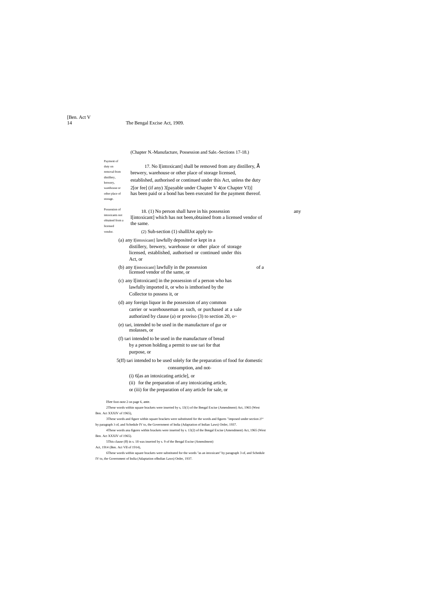# [Ben. Act V

# The Bengal Excise Act, 1909.

(Chapter N.-Manufacture, Possession and Sale.-Sections 17-18.)

| Payment of                        |                                                                                                                      |     |
|-----------------------------------|----------------------------------------------------------------------------------------------------------------------|-----|
| duty on                           | 17. No I[intoxicant] shall be removed from any distillery, É                                                         |     |
| removal from                      | brewery, warehouse or other place of storage licensed,                                                               |     |
| distillery,                       | established, authorised or continued under this Act, unless the duty                                                 |     |
| brewery,<br>warehouse or          | 2[or fee] (if any) 3[payable under Chapter V 4(or Chapter VI)]                                                       |     |
| other place of                    | has been paid or a bond has been executed for the payment thereof.                                                   |     |
| storage.                          |                                                                                                                      |     |
|                                   |                                                                                                                      |     |
| Possession of                     | 18. (1) No person shall have in his possession                                                                       | any |
| intoxicants not                   | l[intoxicant] which has not been, obtained from a licensed vendor of                                                 |     |
| obtained from a                   | the same.                                                                                                            |     |
| licensed                          |                                                                                                                      |     |
| vendor.                           | (2) Sub-section (1) shall U ot apply to-                                                                             |     |
|                                   | (a) any I[intoxicant] lawfully deposited or kept in a                                                                |     |
|                                   | distillery, brewery, warehouse or other place of storage                                                             |     |
|                                   | licensed, established, authorised or continued under this                                                            |     |
|                                   | Act, or                                                                                                              |     |
|                                   | of a<br>(b) any I[intoxicant] lawfully in the possession                                                             |     |
|                                   | licensed vendor of the same, or                                                                                      |     |
|                                   | (c) any l[intoxicant] in the possession of a person who has                                                          |     |
|                                   | lawfully imported it, or who is imthorised by the                                                                    |     |
|                                   | Collector to possess it, or                                                                                          |     |
|                                   |                                                                                                                      |     |
|                                   | (d) any foreign liquor in the possession of any common                                                               |     |
|                                   | carrier or warehouseman as such, or purchased at a sale                                                              |     |
|                                   | authorized by clause (a) or proviso (3) to section 20, $o$ ~                                                         |     |
|                                   | (e) tari, intended to be used in the manufacture of gur or                                                           |     |
|                                   | molasses, or                                                                                                         |     |
|                                   | (f) tari intended to be used in the manufacture of bread                                                             |     |
|                                   |                                                                                                                      |     |
|                                   | by a person holding a permit to use tari for that                                                                    |     |
|                                   | purpose, or                                                                                                          |     |
|                                   | 5(ff) tari intended to be used solely for the preparation of food for domestic                                       |     |
|                                   | consumption, and not-                                                                                                |     |
|                                   | (i) 6[as an intoxicating article], or                                                                                |     |
|                                   | (ii) for the preparation of any intoxicating article,                                                                |     |
|                                   | or (iii) for the preparation of any article for sale, or                                                             |     |
|                                   |                                                                                                                      |     |
|                                   | ISee foot-note 2 on page 6, ante.                                                                                    |     |
|                                   | 2These words within square brackets were inserted by s, 13(1) of the Bengal Excise (Amendment) Act, 1965 (West       |     |
| Ben. Act XXXIV of 1965),          |                                                                                                                      |     |
|                                   | 3These words and figure within square brackets were substituted for the words and figures "imposed under section 27" |     |
|                                   | by paragraph 3 of, and Schedule IV to, the Government of India (Adaptation of Indian Laws) Order, 1937.              |     |
|                                   | 4These words ana figures within brackets were inserted by s. 13(2) of the Bengal Excise (Amendment) Act, 1965 (West  |     |
| Ben. Act XXXIV of 1965).          |                                                                                                                      |     |
|                                   | 5This clause (ff) in s. 18 was inserted by s. 9 of the Bengal Excise (Amendment)                                     |     |
| Act, 1914 (Ben. Act VII of 1914), |                                                                                                                      |     |

6These words within square brackets were substituted for the words "as an intoxicant" by paragraph 3 of, and Schedule

IV to, the Government of India (Adaptation ofIndian Laws) Order, 1937.

Act,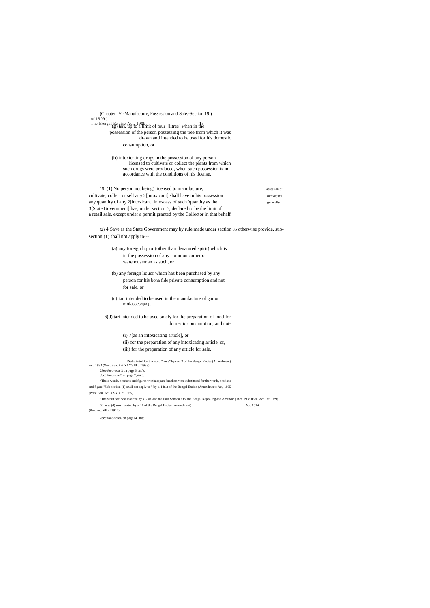of 1909.] The Bengal Excise Act, 1909. 15 (g) tari, up to a limit of four '[litres] when in the (Chapter IV.-Manufacture, Possession and Sale.-Section 19.) possession of the person possessing the tree from which it was drawn and intended to be used for his domestic consumption, or (h) intoxicating drugs in the possession of any person licensed to cultivate or collect the plants from which such drugs were produced, when such possession is in accordance with the conditions of his license. 19. (1) No person not being) licensed to manufacture, Possession of

cultivate, collect or sell any 2[intoxicant] shall have in his possession intoxic;mts any quantity of any 2[intoxicant] in excess of such 'quantity as the generally. 3[State Government] has, under section 5, declared to be the limit of a retail sale, except under a permit granted by the Collector in that behalf.

> (c) tari intended to be used in the manufacture of gur or molasses  $5[01']$ .

(2) 4[Save as the State Government may by rule made under section 85 otherwise provide, subsection (1) shall nbt apply to---

> (a) any foreign liquor (other than denatured spirit) which is in the possession of any common carner or . warehouseman as such, or

(b) any foreign liquor which has been purchased by any person for his bona fide private consumption and not for sale, or

6(d) tari intended to be used solely for the preparation of food for domestic consumption, and not-

> (i) 7[as an intoxicating article], or (ii) for the preparation of any intoxicating article, or, (iii) for the preparation of any article for sale.

lSubstituted for the word "seers" by sec. 3 of the Bengal Excise (Amendment) Act, 1983 (West Ben. Act XXXVIII of 1983). 2See foot -note 2 on page 6, an/e. 3See foot-note 5 on page 7, ante. 4These words, brackets and figures within square brackets were substituted for the words, brackets and figure "Sub-section (1) shall not apply to-" by s. 14(1) of the Bengal Excise (Amendment) Act, 1965 (West Ben. Act XXXIV of 1965). 5The word "or" was inserted by s. 2 of, and the First Schedule to, the Bengal Repealing and Amending Act, 1938 (Ben. Act I of 1939). 6Clause (d) was inserted by s. 10 of the Bengal Excise (Amendment) Act. 1914 (Ben. Act VII of 1914).

7See foot-note 6 on page 14, ante.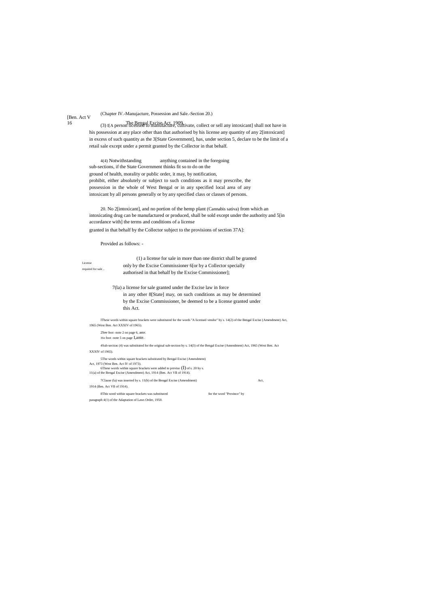[Ben. Act V

License required for sale

(Chapter IV.-Manujacture, Possession and Sale.-Section 20.)

16 The Bengal Excise Act, 1909. (3) I[A person licensed to manufacture, cultivate, collect or sell any intoxicant] shall not have in his possession at any place other than that authorised by his license any quantity of any 2[intoxicant] in excess of such quantity as the 3[State Government], has, under section 5, declare to be the limit of a retail sale except under a permit granted by the Collector in that behalf.

4(4) Notwithstanding anything contained in the foregoing sub-sections, if the State Government thinks fit so to do on the ground of health, morality or public order, it may, by notification, prohibit, either absolutely or subject to such conditions as it may prescribe, the possession in the whole of West Bengal or in any specified local area of any intoxicant by all persons generally or by any specified class or classes of persons.

20. No 2[intoxicant], and no portion of the hemp plant (Cannabis sativa) from which an intoxicating drug can be manufactured or produced, shall be sold except under the authority and 5[in accordance with] the terms and conditions of a license granted in that behalf by the Collector subject to the provisions of section 37A]:

8This word within square brackets was substituted for the word "Province" by paragraph 4(1) of the Adaptation of Laws Order, 1950.

Provided as follows: -

(1) a license for sale in more than one district shall be granted only by the Excise Commissioner 6[or by a Collector specially authorised in that behalf by the Excise Commissioner];

7(la) a license for sale granted under the Excise law in force in any other 8[State] may, on such conditions as may be determined by the Excise Commissioner, be deemed to be a license granted under this Act.

IThese words within square brackets were substituted for the words "A licensed vendor" by s. 14(2) of the Bengal Excise (Amendment) Act, 1965 (West Ben. Act XXXIV of 1965).

2See foot -note 2 on page 6, ante. 3SII foot -note 5 on page I,ante.

4Sub-section (4) was substituted for the original sub-section by s. 14(3) of the Bengal Excise (Amendment) Act, 1965 (West Ben. Act XXXIV of 1965).

5The words within square brackets substituted by Bengal Excise (Amendment) Act, 1973 (West Ben. Act IV of 1973). 6These words within square brackets were added to proviso  $(I)$  of s. 20 by s. 11(a) of the Bengal Excise (Amendment) Act, 1914 (Ben. Act VII of 1914). 7Clause (la) was inserted by s. 11(b) of the Bengal Excise (Amendment) Act,

1914 (Ben. Act VII of 1914).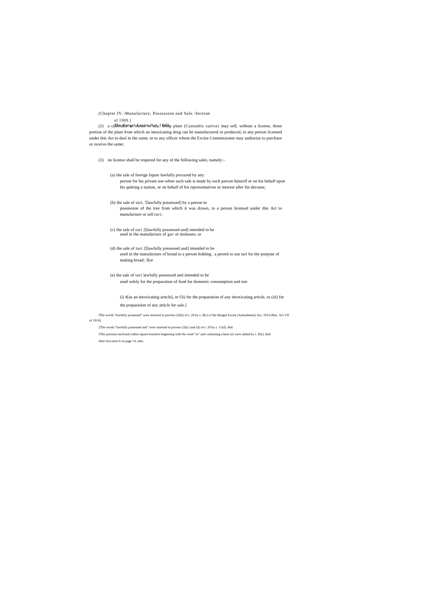of 1909.]

(Chapter IV.-Manufacture, Possession and Sale.-Section

(2) a cultival on Bengal Excise of Acty.<sup>I</sup> Pelmp plant (Cannabis sativa) may sell, without a license, those portion of the plant from which an intoxicating drug can be manufactured or produced, to any person licensed under this Act to deal in the same, or to any officer whom the Excise Commissioner may authorize to purchase or receive the same;

(3) no license shall be required for any of the following sales, namely:-

- (a) the sale of foreign liquor lawfully procured by any person for his private use-when such sale is made by such person himself or on his behalf upon his quitting a station, or on behalf of his representatives in interest after his decease;
- (b) the sale of tari, '[lawfully possessed] by a person in possession of the tree from which it was drawn, to a person licensed under this Act to manufacture or sell tari;
- (c) the sale of tari 2[lawfully possessed and] intended to be used in the manufacture of gur or molasses; or
- (d) the sale of tari 2[lawfully possessed and] intended to be used in the manufacture of bread to a person holding . a permit to use tari for the purpose of making bread; 3[or
- (e) the sale of tari lawfully possessed and intended to be used solely for the preparation of food for domestic consumption and not-

(i) 4[as an intoxicating article], or Oi) for the preparation of any intoxicating article, or (iii) for

the preparation of any article for sale.]

IThe words "lawfully possessed" were inserted in proviso (3)(b) of s. 20 by s. II(c) of the Bengal Excise (Amendment) Act, 1914 (Ben. Act VII of 1914).

2The words "lawfully possessed and" were inserted in proviso (3)(c) and (d) of s. 20 by s. 11(d), ibid.

3The portions enclosed within square brackets beginning with the word "or" and containing clause (e) were added by s. Il(e), ibid. 4See foot-note 6 on page 14, ante.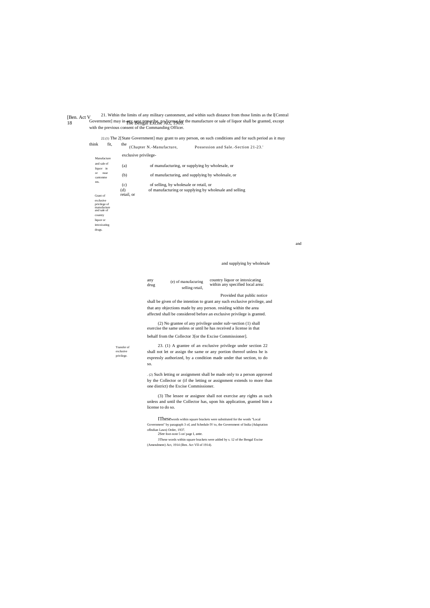(e) of manufacuring selling retail, any  $(e)$  of manufacuring country liquor or intoxicating drug within any specified local area:

[Ben. Act V 18 The Bengal Excise Act, 1909. Government] may in any case prescribe, no license for the manufacture or sale of liquor shall be granted, except 21. Within the limits of any military cantonment, and within such distance from those limits as the l[Central with the previous consent of the Commanding Officer.

and

Transfer of exclusive privilege.

| think                                                   | fit. | the                  | (Chapter N.-Manufacture,               | Possession and Sale.-Section 21-23.                    |
|---------------------------------------------------------|------|----------------------|----------------------------------------|--------------------------------------------------------|
| Manufacture                                             |      | exclusive privilege- |                                        |                                                        |
| and sale of<br>liquor in                                |      | (a)                  |                                        | of manufacturing, or supplying by wholesale, or        |
| or<br>cantonme                                          | near | (b)                  |                                        | of manufacturing, and supplying by wholesale, or       |
| nts.                                                    |      | (c)                  | of selling, by wholesale or retail, or |                                                        |
|                                                         |      | (d)                  |                                        | of manufacturing or supplying by wholesale and selling |
| Grant of                                                |      | retail, or           |                                        |                                                        |
| exclusive<br>privilege of<br>manufacture<br>and sale of |      |                      |                                        |                                                        |
| country                                                 |      |                      |                                        |                                                        |
| liquor or                                               |      |                      |                                        |                                                        |
| intoxicating                                            |      |                      |                                        |                                                        |
| drugs.                                                  |      |                      |                                        |                                                        |

22.(1) The 2[State Government] may grant to any person, on such conditions and for such period as it may

and supplying by wholesale

Provided that public notice

shall be given of the intention to grant any such exclusive privilege, and that any objections made by any person. residing within the area affected shall be considered before an exclusive privilege is granted.

(2) No grantee of any privilege under sub~section (1) shall exercise the same unless or until he has received a license in that

behalf from the Collector 3[or the Excise Commissioner].

23. (1) A grantee of an exclusive privilege under section 22 shall not let or assign the same or any portion thereof unless he is expressly authorized, by a condition made under that section, to do so.

. (2) Such letting or assignment shall be made only to a person approved by the Collector or (if the letting or assignment extends to more than one district) the Excise Commissioner.

(3) The lessee or assignee shall not exercise any rights as such unless and until the Collector has, upon his application, granted him a license to do so.

IThesewords within square brackets were substituted for the words "Local Government" by paragraph 3 of, and Schedule IV to, the Government of India (Adaptation oflndian Laws) Order, 1937.

2See foot-note 5 on' page I, ante.

3These words within square brackets were added by s. 12 of the Bengal Excise (Amendment) Act, 1914 (Ben. Act VII of 1914).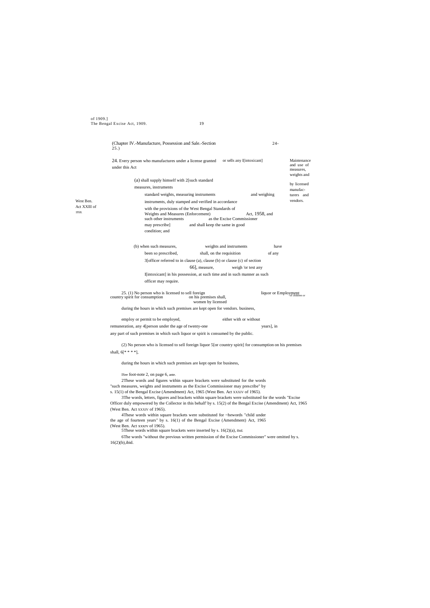of 1909.] The Bengal Excise Act, 1909. 19

|                       | (Chapter IV.-Manufacture, Possession and Sale.-Section<br>25.                                                                                                                                                             |                                                                                                                      | 24-                  |                                                       |
|-----------------------|---------------------------------------------------------------------------------------------------------------------------------------------------------------------------------------------------------------------------|----------------------------------------------------------------------------------------------------------------------|----------------------|-------------------------------------------------------|
|                       | 24. Every person who manufactures under a license granted<br>under this Act                                                                                                                                               | or sells any I[intoxicant]                                                                                           |                      | Maintenance<br>and use of<br>measures.<br>weights and |
|                       | (a) shall supply himself with 2 [such standard                                                                                                                                                                            |                                                                                                                      |                      | by licensed                                           |
|                       | measures, instruments                                                                                                                                                                                                     |                                                                                                                      |                      | manufac-                                              |
|                       | standard weights, measuring instruments                                                                                                                                                                                   |                                                                                                                      | and weighing         | turers and                                            |
| West Ben.             |                                                                                                                                                                                                                           | instruments, duly stamped and verified in accordance                                                                 |                      | vendors.                                              |
| Act XXIII of<br>1958. | Weights and Measures (Enforcement)<br>such other instruments<br>may prescribe]<br>condition; and                                                                                                                          | with the provisions of the West Bengal Standards of<br>as the Excise Commissioner<br>and shall keep the same in good | Act, 1958, and       |                                                       |
|                       | (b) when such measures,                                                                                                                                                                                                   | weights and instruments                                                                                              | have                 |                                                       |
|                       | been so prescribed,                                                                                                                                                                                                       | shall, on the requisition                                                                                            | of any               |                                                       |
|                       |                                                                                                                                                                                                                           | $3$ [officer referred to in clause (a), clause (b) or clause (c) of section                                          |                      |                                                       |
|                       |                                                                                                                                                                                                                           | 66], measure,                                                                                                        | weigh 'or test any   |                                                       |
|                       |                                                                                                                                                                                                                           | I[intoxicant] in his possession, at such time and in such manner as such                                             |                      |                                                       |
|                       | officer may require.                                                                                                                                                                                                      |                                                                                                                      |                      |                                                       |
|                       | 25. (1) No person who is licensed to sell foreign<br>country spirit for consumption                                                                                                                                       | on his premises shall,<br>women by licensed                                                                          | liquor or Employment |                                                       |
|                       | during the hours in which such premises are kept open for vendors, business,                                                                                                                                              |                                                                                                                      |                      |                                                       |
|                       | employ or permit to be employed,                                                                                                                                                                                          | either with or without                                                                                               |                      |                                                       |
|                       | remuneration, any 4 [person under the age of twenty-one                                                                                                                                                                   |                                                                                                                      | years], in           |                                                       |
|                       | any part of such premises in which such liquor or spirit is consumed by the public.                                                                                                                                       |                                                                                                                      |                      |                                                       |
|                       | (2) No person who is licensed to sell foreign liquor 5 [or country spirit] for consumption on his premises<br>shall, $6[^{****}]$ ,                                                                                       |                                                                                                                      |                      |                                                       |
|                       | during the hours in which such premises are kept open for business,                                                                                                                                                       |                                                                                                                      |                      |                                                       |
|                       | ISee foot-note 2, on page 6, ante.                                                                                                                                                                                        |                                                                                                                      |                      |                                                       |
|                       | 2These words and figures within square brackets were substituted for the words                                                                                                                                            |                                                                                                                      |                      |                                                       |
|                       | "such measures, weights and instruments as the Excise Commissioner may prescribe" by                                                                                                                                      |                                                                                                                      |                      |                                                       |
|                       | s. 15(1) of the Bengal Excise (Amendment) Act, 1965 (West Ben. Act XXXIV of 1965).                                                                                                                                        |                                                                                                                      |                      |                                                       |
|                       | 3The words, letters, figures and brackets within square brackets were substituted for the words "Excise<br>Officer duly empowered by the Collector in this behalf' by s. 15(2) of the Bengal Excise (Amendment) Act, 1965 |                                                                                                                      |                      |                                                       |
|                       | (West Ben. Act XXXIV of 1965).                                                                                                                                                                                            |                                                                                                                      |                      |                                                       |
|                       | 4These words within square brackets were substituted for ~hewords "child under                                                                                                                                            |                                                                                                                      |                      |                                                       |
|                       | the age of fourteen years" by s. $16(1)$ of the Bengal Excise (Amendment) Act, 1965<br>(West Ben. Act xxxrv of 1965).<br>5 These words within square brackets were inserted by s. $16(2)(a)$ , ibid.                      |                                                                                                                      |                      |                                                       |
|                       | 6The words "without the previous written permission of the Excise Commissioner" were omitted by s.<br>$16(2)(b)$ , ibid.                                                                                                  |                                                                                                                      |                      |                                                       |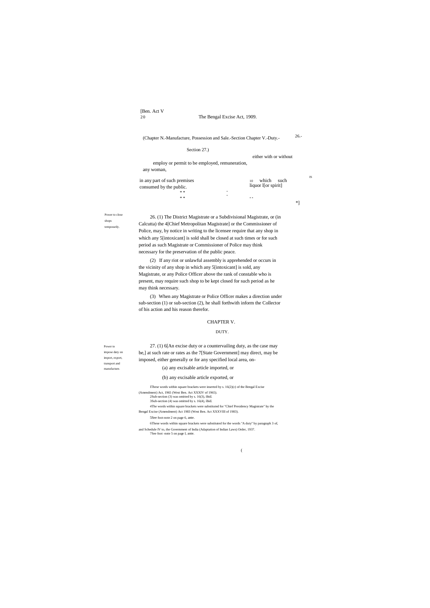```
[Ben. Act V
20 The Bengal Excise Act, 1909.
```
26.-

IS

Power to impose duty on import, export, transport and manufacture.

Power to close shops temporarily.

(Chapter N.-Manufacture, Possession and Sale.-Section Chapter V.-Duty.-

#### either with or without \* \* Section 27.) employ or permit to be employed, remuneration, any woman, in any part of such premises consumed by the public. \* \* \* \* <sup>10</sup> which such liquor l[or spirit] \* \* \*]

26. (1) The District Magistrate or a Subdivisional Magistrate, or (in Calcutta) the 4[Chief Metropolitan Magistrate] or the Commissioner of Police, may, by notice in writing to the licensee require that any shop in which any 5[intoxicant] is sold shall be closed at such times or for such period as such Magistrate or Commissioner of Police may think necessary for the preservation of the public peace.

(2) If any riot or unlawful assembly is apprehended or occurs in the vicinity of any shop in which any 5[intoxicant] is sold, any Magistrate, or any Police Officer above the rank of constable who is present, may require such shop to be kept closed for such period as he may think necessary.

(3) When any Magistrate or Police Officer makes a direction under sub-section (1) or sub-section (2), he shall forthwith inform the Collector of his action and his reason therefor.

# CHAPTER V.

# DUTY.

27. (1) 6[An excise duty or a countervailing duty, as the case may be,] at such rate or rates as the 7[State Government] may direct, may be imposed, either generally or for any specified local area, on-

(a) any excisable article imported, or

(b) any excisable article exported, or

IThese words within square brackets were inserted by s. 16(2)(c) of the Bengal Excise (Amendment) Act, 1965 (West Ben. Act XXXIV of 1965). 2Sub-section (3) was omitted by s. 16(3), ibid. 3Sub-section (4) was omitted by s. 16(4), ibid. 4The words within square brackets were substituted for "Chief Presidency Magistrate" by the Bengal Excise (Amendment) Act 1983 (West Ben. Act XXXVIII of 1983). 5See foot-note 2 on page 6, ante. 6These words within square brackets were substituted for the words "A duty" by paragraph 3 of, and Schedule IV to, the Government of India (Adaptation of Indian Laws) Order, 1937.

7See foot -note 5 on page I, ante.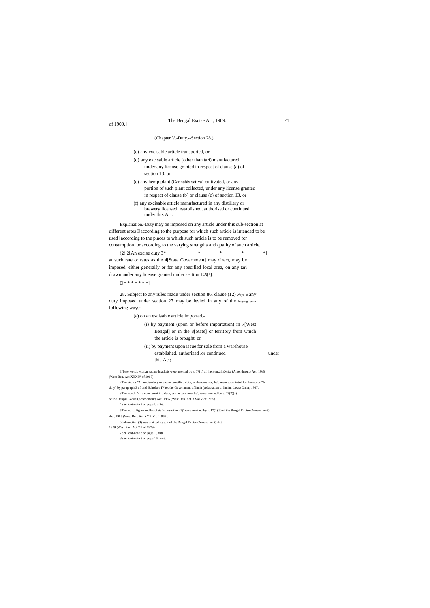of 1909.]

# The Bengal Excise Act, 1909. 21

# (Chapter V.-Duty.--Section 28.)

(c) any excisable article transported, or

(d) any excisable article (other than tari) manufactured under any license granted in respect of clause (a) of section 13, or

(e) any hemp plant (Cannabis sativa) cultivated, or any portion of such plant collected, under any license granted in respect of clause (b) or clause (c) of section 13, or

(f) any excisable article manufactured in any distillery or brewery licensed, established, authorised or continued under this Act.

(2) 2[An excise duty  $3^*$  \* \* \* \* \*] at such rate or rates as the 4[State Government] may direct, may be imposed, either generalIy or for any specified local area, on any tari drawn under any license granted under section 145[\*].

Explanation.-Duty may be imposed on any article under this sub-section at different rates I[according to the purpose for which such article is intended to be used] according to the places to which such article is to be removed for consumption, or according to the varying strengths and quality of such article.

6[\* \* \* \* \* \* \*]

28. Subject to any rules made under section 86, clause (12) Ways of any duty imposed under section 27 may be levied in any of the levying such folIowing ways:-

(a) on an excisable article imported,-

- (i) by payment (upon or before importation) in 7[West Bengal] or in the 8[State] or territory from which the article is brought, or
- (ii) by payment upon issue for sale from a warehouse established, authorized .or continued under this Act;

IThese words withi.n square brackets were inserted by s. 17(1) of the Bengal Excise (Amendment) Act, 1965 (West Ben. Act XXXIV of 1965). 2The Words "An excise duty or a countervailing duty, as the case may be", were substituted for the words "A duty" by paragraph 3 of, and Schedule IV to, the Government of India (Adaptation of Indian Laws) Order, 1937. 3The words "or a countervailing duty, as the case may be", were omitted by s. 17(2)(a) of the Bengal Excise (Amendment) Act, 1965 (West Ben. Act XXXIV of 1965). 4See foot-note 5 on page I, ante. 5The word, figure and brackets "sub-section (1)" were omitted by s. 17(2)(b) of the Bengal Excise (Amendment) Act, 1965 (West Ben. Act XXXIV of 1965). 6Sub-section (3) was omitted by s. 2 of the Bengal Excise (Amendment) Act, 1979 (West Ben. Act XII of 1979). 7See foot-note 3 on page 1, ante. 8See foot-note 8 on page 16, ante.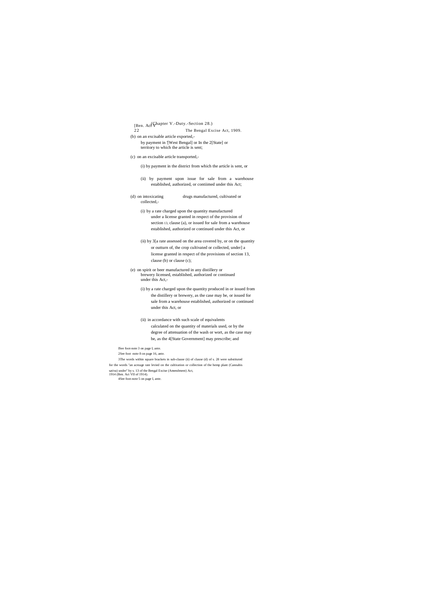[Ben. Act Ghapter V.-Duty.-Section 28.)

22 The Bengal Excise Act, 1909. (b) on an excisable article exported,-

by payment in '[West Bengal] or In the 2[State] or territory to which the article is sent;

(c) on an excisable article transported,-

(i) by payment in the district from which the article is sent, or

(ii) by payment upon issue for sale from a warehouse established, authorized, or contiimed under this Act;

(d) on intoxicating drugs manufactured, cultivated or

collected,-

(i) by a rate charged upon the quantity manufactured under a license granted in respect of the provision of section 13, clause (a), or issued for sale from a warehouse established, authorized or continued under this Act, or

(ii) by 3[a rate assessed on the area covered by, or on the quantity or outturn of, the crop cultivated or collected, under] a license granted in respect of the provisions of section 13, clause (b) or clause (c);

(e) on spirit or beer manufactured in any distillery or brewery licensed, established, authorized or continued under this Act,-

(i) by a rate charged upon the quantity produced in or issued from the distillery or brewery, as the case may be, or issued for sale from a warehouse established, authorized or continued under this Act, or

(ii) in accordance with such scale of equivalents calculated on the quantity of materials used, or by the degree of attenuation of the wash or wort, as the case may be, as the 4[State Government] may prescribe; and

ISee foot-note 3 on page I, ante. 2See foot -note 8 on page 16, ante. 3The words within square brackets in sub-clause (ii) of clause (d) of s. 28 were substituted

for the words "an acreage rate levied on the cultivation or collection of the hemp plant (Cannabis sativa) under" by s. 13 of the Bengal Excise (Amendment) Act, 1914 (Ben. Act VII of 1914). 4See foot-note 5 on page I, ante.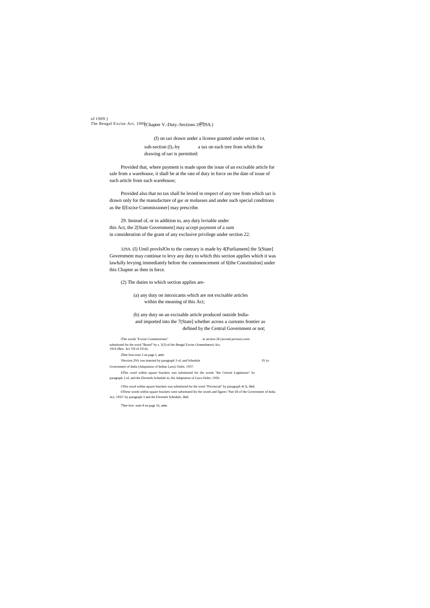of 1909.] The Bengal Excise Act, 1909(Chapter V.-Duty.-Sections 29, 029A.)

> (f) on tari drawn under a license granted under section 14, sub-section (l),-by a tax on each tree from which the drawing of tari is permitted:

Provided that, where payment is made upon the issue of an excisable article for sale from a warehouse, it shall be at the rate of duty in force on the date of issue of such article from such warehouse;

Provided also that no tax shall be levied in respect of any tree from which tari is drawn only for the manufacture of gur or molasses and under such special conditions as the I[Excise Commissioner] may prescribe.

29. Instead of, or in addition to, any duty leviable under this Act, the 2[State Government] may accept payment of a sum in consideration of the grant of any exclusive privilege under section 22.

329A. (I) Until provIsIOn to the contrary is made by 4[Parliament] the 5(State] Government may continue to levy any duty to which this section applies which it was lawfully levying immediately before the commencement of 6[the Constitution] under this Chapter as then in force.

(2) The duties to which section applies are-

(a) any duty on intoxicants which are not excisable articles within the meaning of this Act;

(b) any duty on an excisable article produced outside Indiaand imported into the 7(State] whether across a customs frontier as defined by the Central Government or not;

| IThe words "Excise Commissioner"                                                                                                                                                                                             | in section 28 (second proviso) were |        |
|------------------------------------------------------------------------------------------------------------------------------------------------------------------------------------------------------------------------------|-------------------------------------|--------|
| substituted for the word "Board" by s. 5(3) of the Bengal Excise (Amendment) Act,<br>1914 (Ben. Act VII of 1914).                                                                                                            |                                     |        |
| 2See foot-note 5 on page I, ante.                                                                                                                                                                                            |                                     |        |
| 3 Section 29A was inserted by paragraph 3 of, and Schedule                                                                                                                                                                   |                                     | IV to. |
| Government of India (Adaptation of Indian Laws) Order, 1937.                                                                                                                                                                 |                                     |        |
| 4This word within square brackets was substituted for the words "the Central Legislature" by                                                                                                                                 |                                     |        |
| paragraph 3 of, and the Eleventh Schedule to, the Adaptation of Laws Order, 1950.                                                                                                                                            |                                     |        |
| 5 This word within square brackets was substituted for the word "Provincial" by paragraph 4(I), ibid.<br>6These words within square brackets were substituted for the words and figures "Part III of the Government of India |                                     |        |

Act, 1935" by paragraph 3 and the Eleventh Schedule, ibid.

7See foot -note 8 on page 16, ante.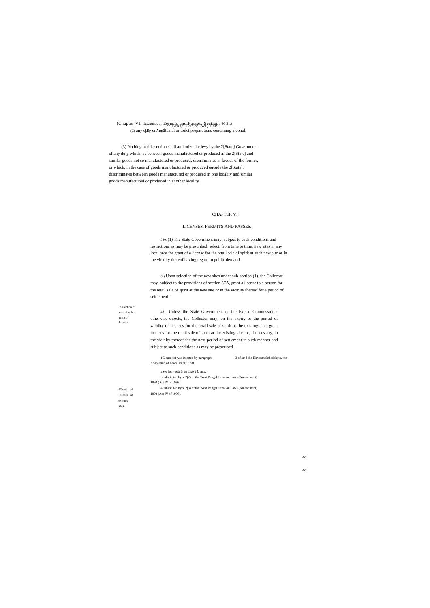3Selection of new sites for grant of licenses.

4Grant of licenses at existing sites.

Act,

#### 24 censes, Permius and Passes, Secuolis<br>The Bengal Excise Act, 1909. [Beno.n.Amed*i* (Chapter VI.-Licenses, Permits and Passes.-Sections 30-31.) I(C) any during alcohol. I(C) any during alcohol.

(3) Nothing in this section shall authorize the levy by the 2[State] Government of any duty which, as between goods manufactured or produced in the 2[State] and similar goods not so manufactured or produced, discriminates in favour of the former, or which, in the case of goods manufactured or produced outside the 2[State], discriminates between goods manufactured or produced in one locality and similar goods manufactured or produced in another locality.

# CHAPTER VI.

# LICENSES, PERMITS AND PASSES.

330. (1) The State Government may, subject to such conditions and restrictions as may be prescribed, select, from time to time, new sites in any local area for grant of a license for the retail sale of spirit at such new site or in the vicinity thereof having regard to public demand.

(2) Upon selection of the new sites under sub-section (1), the Collector may, subject to the provisions of section 37A, grant a license to a person for the retail sale of spirit at the new site or in the vicinity thereof for a period of settlement.

431. Unless the State Government or the Excise Commissioner otherwise directs, the Collector may, on the expiry or the period of validity of licenses for the retail sale of spirit at the existing sites grant licenses for the retail sale of spirit at the existing sites or, if necessary, in the vicinity thereof for the next period of settlement in such manner and subject to such conditions as may be prescribed.

| 1 Clause (c) was inserted by paragraph                               | 3 of, and the Eleventh Schedule to, the |
|----------------------------------------------------------------------|-----------------------------------------|
| Adaptation of Laws Order, 1950.                                      |                                         |
| 2See foot-note 5 on page 23, ante.                                   |                                         |
| 3Substituted by s. 2(2) of the West Bengal Taxation Laws (Amendment) |                                         |
| 1993 (Act IV of 1993).                                               |                                         |
| 4Substituted by s. 2(3) of the West Bengal Taxation Laws (Amendment) |                                         |
| 1993 (Act IV of 1993).                                               |                                         |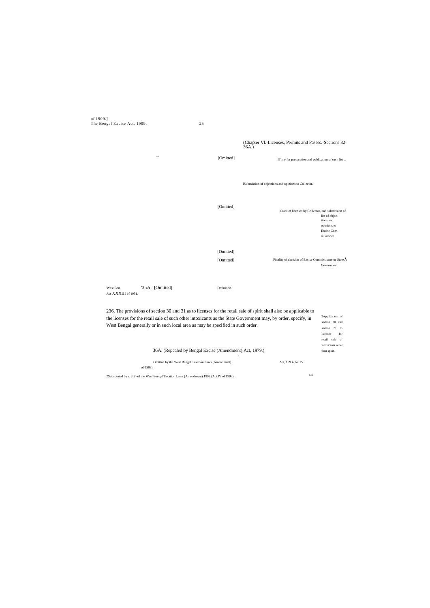of 1909.] The Bengal Excise Act, 1909. 25

[Omitted] [Omitted] [Omitted]  $32$  [Omitted] 2Application of section 30 and section 31 to licenses for retail sale of intoxicants other than spirit. Act. (Chapter Vl.-Licenses, Permits and Passes.-Sections 32- 36A.) ITime for preparation and publication of such list .. ISubmission of objections and opinions to Collector. 'Grant of licenses by Collector, and submission of list of objections and opinions to Excise Commissioner. 'Finality of decision of Excise Commissioner or State É Government. West Ben. <sup>'35</sup>A. [Omitted] The "Definition. Act XXXIII of 1951. 236. The provisions of section 30 and 31 as to licenses for the retail sale of spirit shall also be applicable to the licenses for the retail sale of such other intoxicants as the State Government may, by order, specify, in West Bengal generally or in such local area as may be specified in such order. 36A. (Repealed by Bengal Excise (Amendment) Act, 1979.)  $\sqrt{2}$ 'Omitted by the West Bengal Taxation Laws (Amendment) Act, 1993 (Act IV of 1993). 2Substituted by s. 2(9) of the West Bengal Taxation Laws (Amendment) 1993 (Act IV of 1993).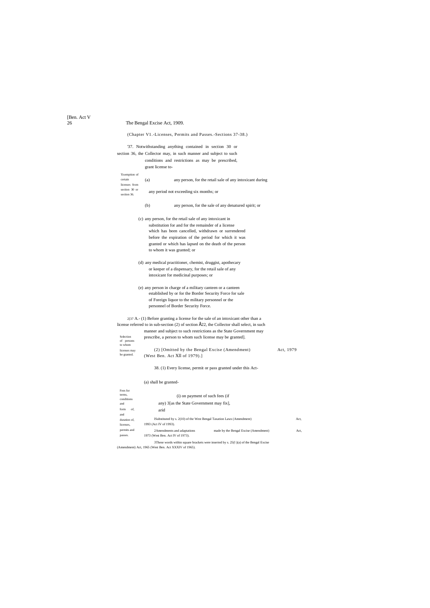# [Ben. Act V

# The Bengal Excise Act, 1909.

permits and passes.

|                                                   | (Chapter V1.-Licenses, Permits and Passes.-Sections 37-38.)                                     |           |  |  |  |
|---------------------------------------------------|-------------------------------------------------------------------------------------------------|-----------|--|--|--|
|                                                   | '37. Notwithstanding anything contained in section 30 or                                        |           |  |  |  |
|                                                   | section 36, the Collector may, in such manner and subject to such                               |           |  |  |  |
| conditions and restrictions as may be prescribed, |                                                                                                 |           |  |  |  |
|                                                   | grant license to-                                                                               |           |  |  |  |
| 'Exemption of                                     |                                                                                                 |           |  |  |  |
| certain<br>licenses from                          | any person, for the retail sale of any intoxicant during<br>(a)                                 |           |  |  |  |
| section 30 or<br>section 36.                      | any period not exceeding six months; or                                                         |           |  |  |  |
|                                                   | (b)<br>any person, for the sale of any denatured spirit; or                                     |           |  |  |  |
|                                                   | (c) any person, for the retail sale of any intoxicant in                                        |           |  |  |  |
|                                                   | substitution for and for the remainder of a license                                             |           |  |  |  |
|                                                   | which has been cancelled, withdrawn or surrendered                                              |           |  |  |  |
|                                                   | before the expiration of the period for which it was                                            |           |  |  |  |
|                                                   | granted or which has lapsed on the death of the person                                          |           |  |  |  |
|                                                   | to whom it was granted; or                                                                      |           |  |  |  |
|                                                   | (d) any medical practitioner, chemist, druggist, apothecary                                     |           |  |  |  |
|                                                   | or keeper of a dispensary, for the retail sale of any                                           |           |  |  |  |
|                                                   | intoxicant for medicinal purposes; or                                                           |           |  |  |  |
|                                                   | (e) any person in charge of a military canteen or a canteen                                     |           |  |  |  |
|                                                   | established by or for the Border Security Force for sale                                        |           |  |  |  |
|                                                   | of Foreign liquor to the military personnel or the                                              |           |  |  |  |
|                                                   | personnel of Border Security Force.                                                             |           |  |  |  |
|                                                   | $2[37 A - (1)$ Before granting a license for the sale of an intoxicant other than a             |           |  |  |  |
|                                                   | license referred to in sub-section (2) of section É22, the Collector shall select, in such      |           |  |  |  |
|                                                   | manner and subject to such restrictions as the State Government may                             |           |  |  |  |
| Selection<br>of persons<br>to whom                | prescribe, a person to whom such license may be granted].                                       |           |  |  |  |
| licenses may                                      | (2) [Omitted by the Bengal Excise (Amendment)                                                   | Act, 1979 |  |  |  |
| be granted.                                       | (West Ben. Act Xll of 1979).]                                                                   |           |  |  |  |
|                                                   | 38. (1) Every license, permit or pass granted under this Act-                                   |           |  |  |  |
|                                                   | (a) shall be granted-                                                                           |           |  |  |  |
| Fees for<br>terms,                                | (i) on payment of such fees (if                                                                 |           |  |  |  |
| conditions                                        |                                                                                                 |           |  |  |  |
| and                                               | any) 3 [as the State Government may fix],                                                       |           |  |  |  |
| of,<br>form<br>and                                | arid                                                                                            |           |  |  |  |
| duration of,                                      | ISubstituted by s. 2(10) of the West Bengal Taxation Laws (Amendment)<br>1993 (Act IV of 1993). | Act,      |  |  |  |
| licenses,                                         |                                                                                                 |           |  |  |  |

2Amendments and adaptations made by the Bengal Excise (Amendment) Act,

1973 (West Ben. Act IV of 1973).

3These words within square brackets were inserted by s. 25(l )(a) of the Bengal Excise (Amendment) Act, 1965 (West Ben. Act XXXIV of 1965).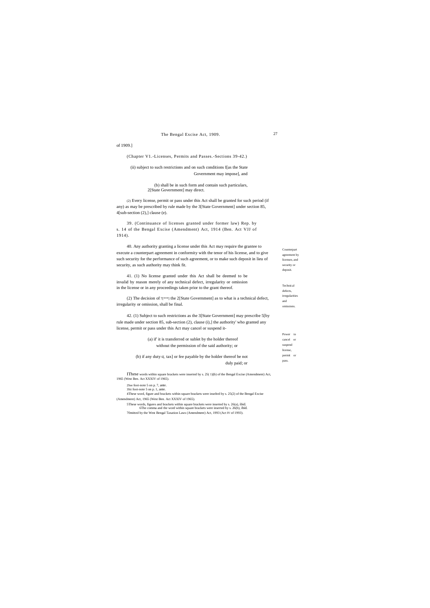The Bengal Excise Act, 1909. 27

of 1909.]

(Chapter V1.-Licenses, Permits and Passes.-Sections 39-42.)

(ii) subject to such restrictions and on such conditions I[as the State Government may impose], and

> (b) shall be in such form and contain such particulars, 2[State Government] may direct.

(2) Every license, permit or pass under this Act shall be granted for such period (if any) as may be prescribed by rule made by the 3[State Government] under section 85, 4[sub-section (2),] clause (e).

39. (Continuance of licenses granted under former law) Rep. by s. 14 of the Bengal Excise (Amendment) Act, 1914 (Ben. Act VJJ of 1914).

Counterpart agreement by licensee, and security or deposit. Technical defects, irregularities and omissions. Power to cancel or suspend license, permit or pass. 40. Any authority granting a license under this Act may require the grantee to execute a counterpart agreement in conformity with the tenor of his license, and to give such security for the performance of such agreement, or to make such deposit in lieu of security, as such authority may think fit. 41. (1) No license granted under this Act shall be deemed to be invalid by reason merely of any technical defect, irregularity or omission in the license or in any proceedings taken prior to the grant thereof. (2) The decision of 7[\*\*\*] the 2[State Government] as to what is a technical defect, irregularity or omission, shall be final. 42. (1) Subject to such restrictions as the 3[State Government] may prescribe 5[by rule made under section 85, sub-section (2), clause (i),] the authority' who granted any license, permit or pass under this Act may cancel or suspend it- (a) if' it is transferred or sublet by the holder thereof without the permission of the said authority; or (b) if any duty 6[, tax] or fee payable by the holder thereof be not duly paid; or IThese words within square brackets were inserted by s. 25( 1)(b) of the Bengal Excise (Amendment) Act,

1965 (West Ben. Act XXXIV of 1965).

2See foot-note 5 on p. 7, ante.

3SII foot-note 5 on p. 1, ante.

4These word, figure and brackets within square brackets were inseItrd by s. 25(2) of the Bengal Excise (Amendment) Act, 1965 (West Ben. Act XXXIV of 1965).

5These words, figures and brackets within square brackets were inserted by s. 26(a), ibid. 6The comma and the word within square brackets were inserted by s. 26(b), ibid. 70mitted by the West Bengal Taxation Laws (Amendment) Act, 1993 (Act IV of 1993).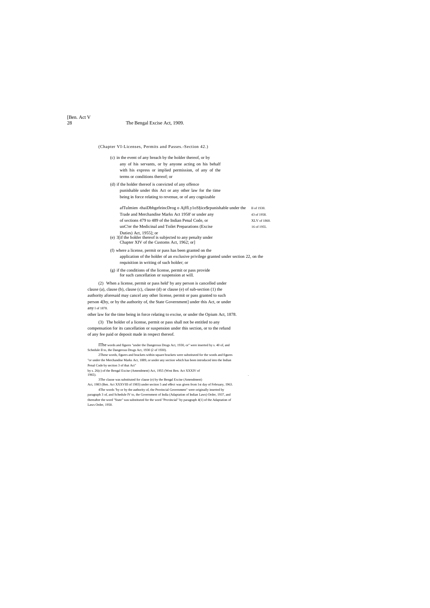[Ben. Act V

### 28 The Bengal Excise Act, 1909.

(Chapter VI-Licenses, Permits and Passes.-Section 42.)

- (c) in the event of any breach by the holder thereof, or by any of his servants, or by anyone acting on his behalf with his express or implied permission, of any of the terms or conditions thereof; or
- (d) if the holder thereof is convicted of any offence punishable under this Act or any other law for the time being in force relating to revenue, or of any cognizable
	- afTulmien -thaiDbbgefeincDrog o Ajffl.y1oS§ice\$rpunishable under the II of 1930. Trade and Merchandise Marks Act 1958' or under any 43 of 1958. of sections 479 to 489 of the Indian Penal Code, or XLV of 1860. unC!er the Medicinal and Toilet Preparations (Excise 16 of 1955. Duties) Act, 1955]; or
- (e) 3[if the holder thereof is subjected to any penalty under Chapter XIV of the Customs Act, 1962; or]
- (f) where a license, permit or pass has been granted on the application of the holder of an exclusive privilege granted under section 22, on the requisition in writing of such holder; or
- (g) if the conditions of the license, permit or pass provide for such cancellation or suspension at will.

(2) When a license, permit or pass held' by any person is cancelled under clause (a), clause (b), clause (c), clause (d) or clause (e) of sub-section (1) the authority aforesaid may cancel any other license, permit or pass granted to such person 4[by, or by the authority of, the State Government] under this Act, or under any I of 1878.

other law for the time being in force relating to excise, or under the Opium Act, 1878.

(3) The holder of a license, permit or pass shall not be entitled to any compensation for its cancellation or suspension under this section, or to the refund of any fee paid or deposit made in respect thereof.

IThe words and figures "under the Dangerous Drugs Act, 1930, or" were inserted by s. 40 of, and Schedule II to, the Dangerous Drugs Act, 1930 (2 of 1930).

2These words, figures and brackets within square brackets were substituted for the words and figures "or under the Merchandise Marks Act, 1889, or under any section which has been introduced into the Indian Penal Code by section 3 of that Act"

by s. 26(c) of the Bengal Excise (Amendment) Act, 1955 (West Ben. Act XXXIV of 1965). 1965).

3The clause was substituted for clause (e) by the Bengal Excise (Amendment)

Act, 1983 (Ben. Act XXXVIII of 1983) under section 5 and effect was given from 1st day of February, 1963. 4The words "by or by the authority of, the Provincial Government" were originally inserted by

paragraph 3 of, and Schedule IV to, the Government of India (Adaptation of Indian Laws) Order, 1937, and thereafter the word "State" was substituted for the word "Provincial" by paragraph 4(1) of the Adaptation of Laws Order, 1950.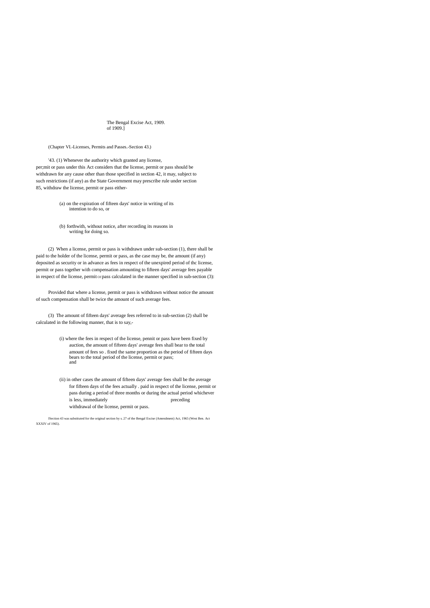The Bengal Excise Act, 1909. of 1909.]

(Chapter VI.-Licenses, Permits and Passes.-Section 43.)

'43. (1) Whenever the authority which granted any license, per;mit or pass under this Act considers that the license, permit or pass should be withdrawn for any cause other than those specified in section 42, it may, subject to such restrictions (if any) as the State Government may prescribe rule under section 85, withdraw the license, permit or pass either-

(2) When a license, permit or pass is withdrawn under sub-section (1), there shall be paid to the holder of the license, permit or pass, as the case may be, the amount (if any) deposited as security or in advance as fees in respect of the unexpired period of thc license, permit or pass together with compensation amounting to fifteen days' average fees payable in respect of the license, permit or pass calculated in the manner specified in sub-section (3):

(a) on the expiration of fifteen days' notice in writing of its intention to do so, or

(b) forthwith, without notice, after recording its reasons in writing for doing so.

Provided that where a license, permit or pass is withdrawn without notice the amount of such compensation shall be twice the amount of such average fees.

(3) The amount of fifteen days' average fees referred to in sub-section (2) shall be calculated in the following manner, that is to say,-

- (i) where the fees in respect of the license, pennit or pass have been fixed by auction, the amount of fifteen days' average fees shall bear to the total amount of fees so . fixed the same proportion as the period of fifteen days bears to the total period of the license, permit or pass; and
- (ii) in other cases the amount of fifteen days' average fees shall be the average for fifteen days of the fees actually . paid in respect of the license, permit or pass during a period of three months or during the actual period whichever is less, immediately preceding preceding withdrawal of the license, permit or pass.

lSection 43 was substituted for the original section by s. 27 of the Bengal Excise (Amendment) Act, 1965 (West Ben. Act XXXIV of 1965).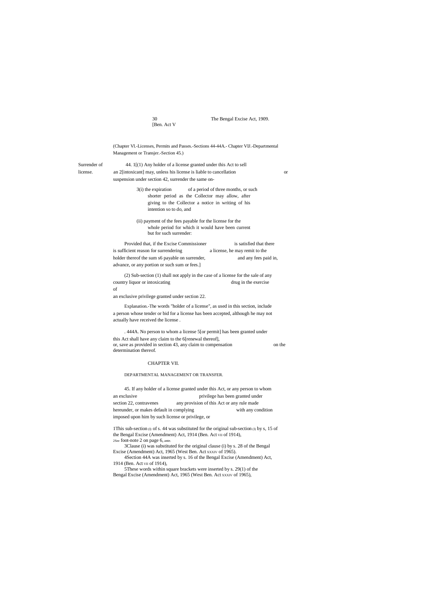The Bengal Excise Act, 1909. 30<br>[Ben. Act V

|                                                     | (Chapter VI.-Licenses, Permits and Passes.-Sections 44-44A.- Chapter VIJ.-Departmental<br>Management or Transjer.-Section 45.)                                                                                                            |  |  |  |
|-----------------------------------------------------|-------------------------------------------------------------------------------------------------------------------------------------------------------------------------------------------------------------------------------------------|--|--|--|
| Surrender of                                        | 44. 1[(1) Any holder of a license granted under this Act to sell                                                                                                                                                                          |  |  |  |
| license.                                            | an 2[intoxicant] may, unless his license is liable to cancellation<br><b>or</b>                                                                                                                                                           |  |  |  |
| suspension under section 42, surrender the same on- |                                                                                                                                                                                                                                           |  |  |  |
|                                                     | 3(i) the expiration<br>of a period of three months, or such<br>shorter period as the Collector may allow, after<br>giving to the Collector a notice in writing of his<br>intention so to do, and                                          |  |  |  |
|                                                     | (ii) payment of the fees payable for the license for the<br>whole period for which it would have been current<br>but for such surrender:                                                                                                  |  |  |  |
|                                                     | Provided that, if the Excise Commissioner<br>is satisfied that there                                                                                                                                                                      |  |  |  |
|                                                     | is sufficient reason for surrendering<br>a license, he may remit to the                                                                                                                                                                   |  |  |  |
|                                                     | holder thereof the sum s6 payable on surrender,<br>and any fees paid in,<br>advance, or any portion or such sum or fees.]                                                                                                                 |  |  |  |
|                                                     | (2) Sub-section (1) shall not apply in the case of a license for the sale of any<br>country liquor or intoxicating<br>drug in the exercise<br>of<br>an exclusive privilege granted under section 22.                                      |  |  |  |
|                                                     | Explanation.-The words "holder of a license", as used in this section, include<br>a person whose tender or bid for a license has been accepted, although he may not<br>actually have received the license.                                |  |  |  |
|                                                     | . 444A. No person to whom a license 5 [or permit] has been granted under<br>this Act shall have any claim to the 6[renewal thereof],<br>or, save as provided in section 43, any claim to compensation<br>on the<br>determination thereof. |  |  |  |
|                                                     | CHAPTER VII.                                                                                                                                                                                                                              |  |  |  |
|                                                     | DEPARTMENTAL MANAGEMENT OR TRANSFER.                                                                                                                                                                                                      |  |  |  |
|                                                     | 45. If any holder of a license granted under this Act, or any person to whom<br>an exclusive<br>privilege has been granted under                                                                                                          |  |  |  |
|                                                     | any provision of this Act or any rule made<br>section 22, contravenes                                                                                                                                                                     |  |  |  |

1This sub-section  $\omega$  of s. 44 was substituted for the original sub-section  $\omega$  by s, 15 of the Bengal Excise (Amendment) Act, 1914 (Ben. Act vn of 1914), 2See foot-note 2 on page 6, ante. 3Clause (i) was substituted for the original clause (i) by s. 28 of the Bengal Excise (Amendment) Act, 1965 (West Ben. Act xxxIv of 1965).

hereunder, or makes default in complying with any condition

imposed upon him by such license or privilege, or

4Section 44A was inserted by s. 16 of the Bengal Excise (Amendment) Act,

1914 (Ben. Act VII of 1914),

5These words within square brackets were inserted by s. 29(1) of the Bengal Excise (Amendment) Act, 1965 (West Ben. Act XXXIV of 1965),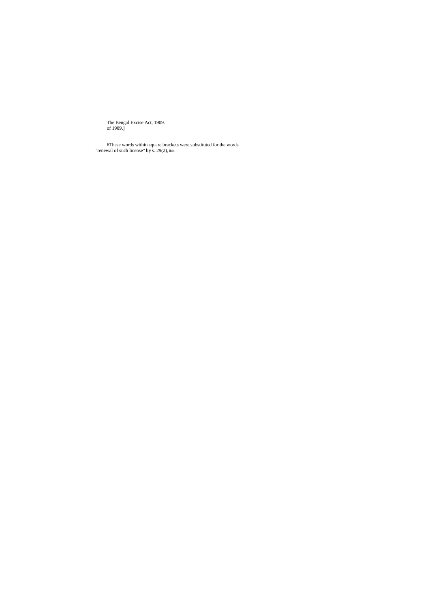The Bengal Excise Act, 1909. of 1909.]

6These words within square brackets were substituted for the words "renewal of such license" by s. 29(2), ibid.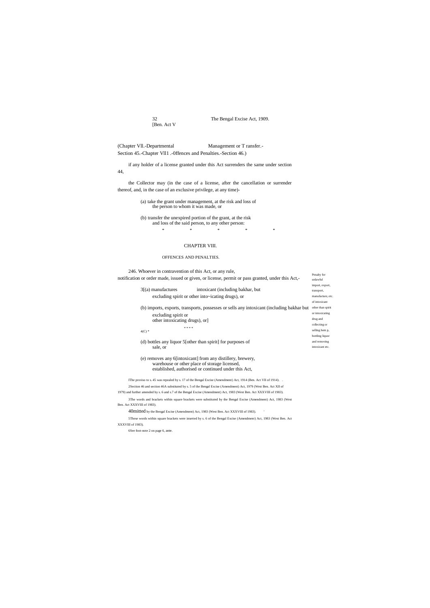32<br>[Ben. Act V

The Bengal Excise Act, 1909.

(Chapter VII.-Departmental Management or T ransfer.-Section 45.-Chapter Vll1 .-0ffences and Penalties.-Section 46.)

> (b) transfer the unexpired portion of the grant, at the risk and loss of the said person, to any other person:  $*$  \* \* \* \* \*

if any holder of a license granted under this Act surrenders the same under section 44,

the Collector may (in the case of a license, after the cancellation or surrender thereof, and, in the case of an exclusive privilege, at any time)-

> (a) take the grant under management, at the risk and loss of the person to whom it was made, or

# CHAPTER VIII.

#### OFFENCES AND PENALTIES.

| 246. Whoever in contravention of this Act, or any rule,                                                                                                               |                         |
|-----------------------------------------------------------------------------------------------------------------------------------------------------------------------|-------------------------|
| notification or order made, issued or given, or license, permit or pass granted, under this Act,-                                                                     | Penalty for<br>unlawful |
|                                                                                                                                                                       | import, export,         |
| $3($ a) manufactures<br>intoxicant (including bakhar, but                                                                                                             | transport,              |
| excluding spirit or other into~icating drugs), or                                                                                                                     | manufacture, etc.       |
|                                                                                                                                                                       | of intoxicant           |
| (b) imports, exports, transports, possesses or sells any intoxicant (including bakhar but                                                                             | other than spirit       |
| excluding spirit or                                                                                                                                                   | or intoxicating         |
| other intoxicating drugs), or]                                                                                                                                        | drug and                |
| * * * *                                                                                                                                                               | collecting or           |
| $4(C)$ *                                                                                                                                                              | selling hem p,          |
|                                                                                                                                                                       | bottling liquor         |
| (d) bottles any liquor 5 [other than spirit] for purposes of                                                                                                          | and removing            |
| sale, or                                                                                                                                                              | intoxicant etc.         |
| (e) removes any 6 [intoxicant] from any distillery, brewery,<br>warehouse or other place of storage licensed,<br>established, authorised or continued under this Act, |                         |
| IThe proviso to s. 45 was repealed by s. 17 of the Bengal Excise (Amendment) Act, 1914 (Ben. Act VII of 1914).                                                        |                         |
| 2Section 46 and section 46A substituted by s. 5 of the Bengal Excise (Amendment) Act, 1979 (West Ben. Act XII of                                                      |                         |
| 1979) and further amended by s. 6 and s.7 of the Bengal Excise (Amendment) Act, 1983 (West Ben. Act XXXVIII of 1983).                                                 |                         |
| 3The words and brackets within square brackets were substituted by the Bengal Excise (Amendment) Act, 1983 (West<br>Ben. Act XXXVIII of 1983).                        |                         |
| 40mitted by the Bengal Excise (Amendment) Act, 1983 (West Ben. Act XXXVIII of 1983).                                                                                  |                         |
| 5These words within square brackets were inserted by s. 6 of the Bengal Excise (Amendment) Act, 1983 (West Ben. Act                                                   |                         |
| XXXVIII of 1983).                                                                                                                                                     |                         |
| 6See foot-note 2 on page 6, ante.                                                                                                                                     |                         |
|                                                                                                                                                                       |                         |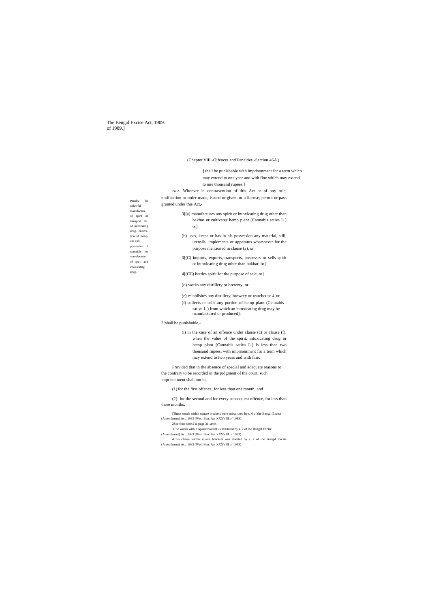The Bengal Excise Act, 1909. of 1909.]

> Penalty for unlawful manufacture of spirit or transport etc. of intoxcating drug, cultivation of hemp, use and possession of materials for manufacture of spirit and intoxicating drug.

#### (Chapter VlII.-Ojfences and Penalties.-Section 46A.)

'[shall be punishable with imprisonment for a term which may extend to one year and with fine which may extend to one thousand rupees.]

246A. Whoever in contravention of this Act or of any rule, notification or order made, issued or given, or a license, permit or pass granted under this Act,-

> 3[(a) manufactures any spirit or intoxicating drug other than bakhar or cultivates hemp plant (Cannabis sativa L.) or]

> (b) uses, keeps or has in his possession any material, still, utensils, implements or apparatus whatsoever for the purpose mentioned in clause (a), or

> 3[(C) imports, exports, transports, possesses or sells spirit or intoxicating drug other than bakhar, or]

4[(CC) bottles spirit for the purpose of sale, or]

(d) works any distillery or brewery, or

(e) establishes any distillery, brewery or warehouse 4[or

(f) collects or sells any portion of hemp plant (Cannabis . sativa L.) from which an intoxicating drug may be manufactured or produced];

3[shall be punishable,-

(i) in the case of an offence under clause (c) or clause (f), when the value of the spirit, intoxicating drug or hemp plant (Cannabis sativa L.) is less than two thousand rupees, with imprisonment for a term which may extend to two years and with fine:

Provided that in the absence of special and adequate reasons to the contrary to be recorded in the judgment of the court, such imprisonment shall not be,-

(1) for the first offence, for less than one month, and

(2) for the second and for every subsequent offence, for less than three months;

IThese words within square brackets were substituted by s. 6 of the Bengal Excise (Amendment) Act, 1983 (West Ben. Act XXXVIII of 1983). 2See foot-note 2 at page 31 ,ante. 3The words within square brackets substituted by s. 7 of the Bengal Excise (Amendment) Act, 1983 (West Ben. Act XXXVIII of 1983). 4This clause within square brackets was inserted by s. 7 of the Bengal Excise (Amendment) Act, 1983 (West Ben. Act XXXVIII of 1983).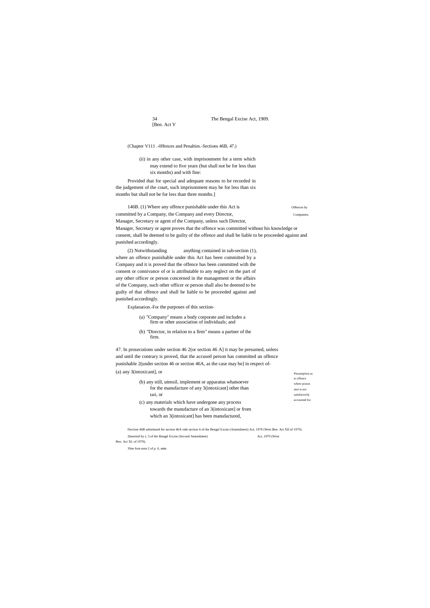34 The Bengal Excise Act, 1909.

[Ben. Act V

(Chapter V111 .-0ffences and Penalties.-Sections 46B, 47.)

(ii) in any other case, with imprisonment for a term which may extend to five years (but shall not be for less than six months) and with fine:

Provided that for special and adequate reasons to be recorded in the judgement of the court, such imprisonment may be for less than six months but shall not be for less than three months.]

146B. (1) Where any offence punishable under this Act is Offences by committed by a Company, the Company and every Director, Companies. Manager, Secretary or agent of the Company, unless such Director, Manager, Secretary or agent proves that the offence was committed without his knowledge or consent, shall be deemed to be guilty of the offence and shall be liable to be proceeded against and

punished accordingly.

| (a) any 3(intoxicant], or                                 | Presumption as             |
|-----------------------------------------------------------|----------------------------|
| (b) any still, utensil, implement or apparatus whatsoever | to offence<br>where posses |
| for the manufacture of any 3(intoxicant) other than       | sion is not                |
| tari, or                                                  | satisfactorily             |
| (c) any materials which have undergone any process        | accounted for.             |
| towards the manufacture of an 3(intoxicant) or from       |                            |
| which an 3(intoxicant) has been manufactured,             |                            |

(2) Notwithstanding anything contained in sub-section (1), where an offence punishable under this Act has been committed by a Company and it is proved that the offence has been committed with the consent or connivance of or is attributable to any neglect on the part of any other officer or person concerned in the management or the affairs of the Company, such other officer or person shall also be deemed to be guilty of that offence and shall be liable to be proceeded against and punished accordingly.

Explanation.-For the purposes of this section-

- (a) "Company" means a body corporate and includes a firm or other association of individuals; and
- (b) "Director, in relation to a firm" means a partner of the firm.

47. In prosecutions under section 46 2(or section 46 A] it may be presumed, unless and until the contrary is proved, that the accused person has committed an offence punishable 2(under section 46 or section 46A, as the case may be] in respect of-

lSection 46B substituted for section 46A vide section 6 of the Bengal Excise (Amendment) Act, 1979 (West Ben. Act XII of 1979). 2Inserted by s. 3 of the Bengal Excise (Second Amendment) Act, 1979 (West Ben. Act XL of 1979).

3See foot-note 2 of p. 6, ante.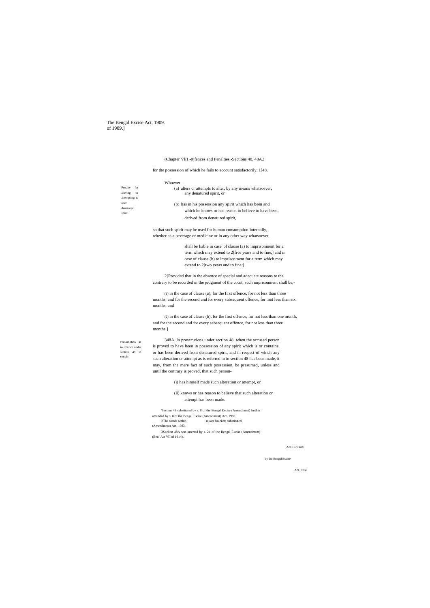The Bengal Excise Act, 1909. of 1909.]

by the Bengal Excise

Act, 1914

# (Chapter Vl/1.-0jfences and Penalties.-Sections 48, 48A.)

# for the possession of which he fails to account satisfactorily. 1[48.

|                                 | Whoever-                                                                             |  |  |  |
|---------------------------------|--------------------------------------------------------------------------------------|--|--|--|
| Penalty<br>for                  | (a) alters or attempts to alter, by any means whatsoever,                            |  |  |  |
| altering<br>or<br>attempting to | any denatured spirit, or                                                             |  |  |  |
| alter                           |                                                                                      |  |  |  |
| denatured                       | (b) has in his possession any spirit which has been and                              |  |  |  |
| spirit.                         | which he knows or has reason to believe to have been,                                |  |  |  |
|                                 | derived from denatured spirit,                                                       |  |  |  |
|                                 |                                                                                      |  |  |  |
|                                 | so that such spirit may be used for human consumption internally,                    |  |  |  |
|                                 | whether as a beverage or medicine or in any other way whatsoever,                    |  |  |  |
|                                 | shall be liable in case 'of clause (a) to imprisonment for a                         |  |  |  |
|                                 | term which may extend to 2 [five years and to fine,] and in                          |  |  |  |
|                                 | case of clause (b) to imprisonment for a term which may                              |  |  |  |
|                                 | extend to 2[two years and to fine:]                                                  |  |  |  |
|                                 | 2. 2. Provided that in the absence of special and adequate reasons to the            |  |  |  |
|                                 | contrary to be recorded in the judgment of the court, such imprisonment shall be,-   |  |  |  |
|                                 |                                                                                      |  |  |  |
|                                 | (1) in the case of clause (a), for the first offence, for not less than three        |  |  |  |
|                                 | months, and for the second and for every subsequent offence, for .not less than six  |  |  |  |
|                                 | months, and                                                                          |  |  |  |
|                                 | $(2)$ in the case of clause (b), for the first offence, for not less than one month, |  |  |  |
|                                 | and for the second and for every sebsequent offence, for not less than three         |  |  |  |
|                                 | months.                                                                              |  |  |  |
|                                 |                                                                                      |  |  |  |
| Presumption as                  | 348A. In prosecutions under section 48, when the accused person                      |  |  |  |
| to offence under                | is proved to have been in possession of any spirit which is or contains,             |  |  |  |
| section 48 in                   | or has been derived from denatured spirit, and in respect of which any               |  |  |  |
| certain                         | such alteration or attempt as is referred to in section 48 has been made, it         |  |  |  |
|                                 | may, from the mere fact of such possession, be presumed, unless and                  |  |  |  |
|                                 | until the contrary is proved, that such person-                                      |  |  |  |
|                                 | (i) has himself made such alteration or attempt, or                                  |  |  |  |
|                                 | (ii) knows or has reason to believe that such alteration or                          |  |  |  |
|                                 | attempt has been made.                                                               |  |  |  |
|                                 |                                                                                      |  |  |  |
|                                 | 'Section 48 substituted by s. 8 of the Bengal Excise (Amendment) further             |  |  |  |
|                                 | amended by s. 8 of the Bengal Escise (Amendment) Act, 1983.                          |  |  |  |
|                                 | 2The words within<br>square brackets substituted<br>(Amendment) Act, 1983.           |  |  |  |
|                                 | 3Seclion 48A was inserted by s. 21 of the Bengal Excise (Amendment)                  |  |  |  |
|                                 | (Ben. Act VII of 1914).                                                              |  |  |  |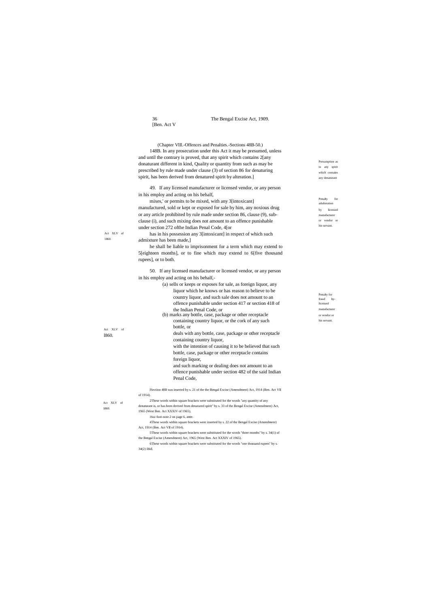36 The Bengal Excise Act, 1909.

[Ben. Act V

Presumption as to any spirit which contains any denaturant

Penalty for adulteration by licensed manufacturer or vendor or his servant.

Act XLV of 1860.

> Penalty for fraud bylicensed manufacturer or vendor or his servant.

(Chapter VlIl.-Offences and Penalties.-Sections 48B-50.) 148B. In any prosecution under this Act it may be presumed, unless and until the contrary is proved, that any spirit which contains 2[any donaturant different in kind, Quality or quantity from such as may be prescribed by rule made under clause (3) of section 86 for denaturing spirit, has been derived from denatured spirit by alteration.]

49. If any licensed manufacturer or licensed vendor, or any person in his employ and acting on his behalf,

mixes,' or permits to be mixed, with any 3[intoxicant] manufactured, sold or kept or exposed for sale by him, any noxious drug or any article prohibited by rule made under section 86, clause (9), subclause (i), and such mixing does not amount to an offence punishable under section 272 ofthe Indian Penal Code, 4[or

has in his possession any 3[intoxicant] in respect of which such admixture has been made,]

he shall be liable to imprisonment for a term which may extend to 5[eighteen months], or to fine which may extend to 6[five thousand rupees], or to both.

| Act XLV of<br>1860. | (a) sells or keeps or exposes for sale, as foreign liquor, any<br>liquor which he knows or has reason to believe to be<br>country liquor, and such sale does not amount to an<br>offence punishable under section 417 or section 418 of<br>the Indian Penal Code, or<br>(b) marks any bottle, case, package or other receptacle<br>containing country liquor, or the cork of any such<br>bottle, or<br>deals with any bottle, case, package or other receptacle<br>containing country liquor,<br>with the intention of causing it to be believed that such<br>bottle, case, package or other receptacle contains<br>foreign liquor,<br>and such marking or dealing does not amount to an<br>offence punishable under section 482 of the said Indian<br>Penal Code, |
|---------------------|--------------------------------------------------------------------------------------------------------------------------------------------------------------------------------------------------------------------------------------------------------------------------------------------------------------------------------------------------------------------------------------------------------------------------------------------------------------------------------------------------------------------------------------------------------------------------------------------------------------------------------------------------------------------------------------------------------------------------------------------------------------------|
|                     | ISection 48B was inserted by s. 21 of the the Bengal Excise (Amendment) Act, 1914 (Ben. Act VII<br>of 1914).                                                                                                                                                                                                                                                                                                                                                                                                                                                                                                                                                                                                                                                       |
| Act XLV of          | 2These words within square brackets were substituted for the words "any quantity of any                                                                                                                                                                                                                                                                                                                                                                                                                                                                                                                                                                                                                                                                            |
| 1860.               | denaturant is, or has been derived from denatured spirit" by s. 33 of the Bengal Excise (Amendment) Act,                                                                                                                                                                                                                                                                                                                                                                                                                                                                                                                                                                                                                                                           |
|                     | 1965 (West Ben. Act XXXIV of 1965).                                                                                                                                                                                                                                                                                                                                                                                                                                                                                                                                                                                                                                                                                                                                |
|                     | 3See foot-note 2 on page 6, ante.                                                                                                                                                                                                                                                                                                                                                                                                                                                                                                                                                                                                                                                                                                                                  |
|                     | 4Th and considerable to access the class comes becaused that a 22-4 Channel Factor (Access december                                                                                                                                                                                                                                                                                                                                                                                                                                                                                                                                                                                                                                                                |

50. If any licensed manufacturer or licensed vendor, or any person in his employ and acting on his behalf,-

4These words within square brackets were inserted by s. 22 of the Bengal Excise (Amendment) Act, 1914 (Ben. Act VII of 1914).

5These words within square brackets were substituted for the words "three months" by s. 34(1) of the Bengal Excise (Amendment) Act, 1965 (West Ben. Act XXXIV of 1965).

6These words within square brackets were substituted for the words "one thousand rupees" by s. 34(2) ibid.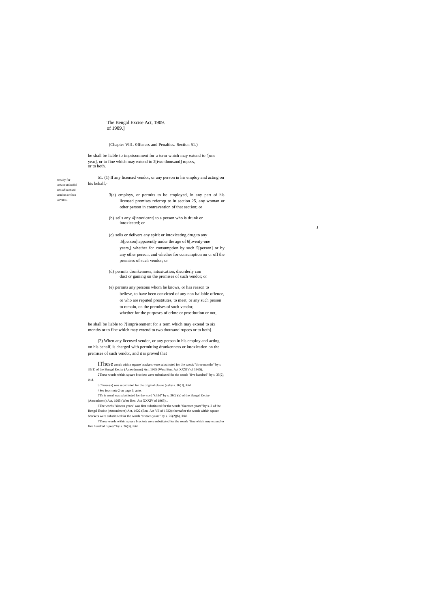The Bengal Excise Act, 1909. of 1909.]

Penalty for certain unlawful acts of licensed vendors or their servants.

(Chapter Vll1.-0ffences and Penalties.-Section 51.)

he shall be liable to imprisonment for a term which may extend to '[one year], or to fine which may extend to 2[two thousand] rupees, or to both.

51. (1) If any licensed vendor, or any person in his employ and acting on his behalf,-

J

- 3(a) employs, or permits to be employed, in any part of his licensed premises referrep to in section 25, any woman or other person in contravention of that section; or
- (b) sells any 4[intoxicant] to a person who is drunk or intoxicated; or
- (c) sells or delivers any spirit or intoxicating drug to any .5[person] apparently under the age of 6[twenty-one years,] whether for consumption by such 5[person] or by any other person, and whether for consumption on or off the premises of such vendor; or

- (d) permits drunkenness, intoxication, disorderly con duct or gaming on the premises of such vendor; or
- (e) permits any persons whom he knows, or has reason to believe, to have been convicted of any non-bailable offence, or who are reputed prostitutes, to meet, or any such person to remain, on the premises of such vendor, whether for the purposes of crime or prostitution or not,

he shall be liable to 7[imprisonment for a term which may extend to six months or to fine which may extend to two thousand rupees or to both].

(2) When any licensed vendor, or any person in his employ and acting on his behalf, is charged with permitting drunkenness or intoxication on the premises of such vendor, and it is proved that

IThese words within square brackets were substituted for the words "three months" by s. 35(1) of the Bengal Excise (Amendment) Act, 1965 (West Ben. Act XXXIV of 1965).

2These words within square brackets were substituted for the words "five hundred" by s. 35(2), ibid.

3Clause (a) was substituted for the original clause (a) by s. 36( I), ibid. 4See foot-note 2 on page 6, ante.

5Th is word was substituted for the word "child" by s. 36(2)(a) of the Bengal Excise (Amendment) Act, 1965 (West Ben. Act XXXIV of 1965) ..

6The words "sixteen years" was first substituted for the words "fourteen years" by s. 2 of the Bengal Excise (Amendment) Act, 1922 (Ben. Act VII of 1922); thereafter the words within square brackets were substituted for the words "sixteen years" by s. 26(2)(b), ibid.

7These words within square brackets were substituted for the words "fine which may extend to five hundred rupees" by s. 36(3), ibid.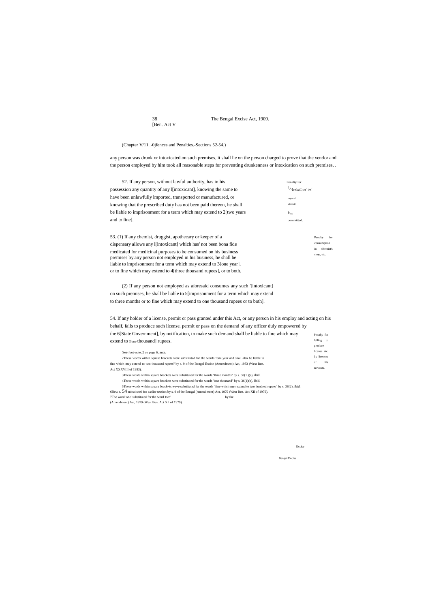38 The Bengal Excise Act, 1909. [Ben. Act V

Penalty for failing to produce 54. If any holder of a license, permit or pass granted under this Act, or any person in his employ and acting on his behalf, fails to produce such license, permit or pass on the demand of any officer duly empowered by the 6[State Government], by notification, to make such demand shall be liable to fine which may extend to 7[one thousand] rupees.

(Chapter V/11 .-0jfences and Penalties.-Sections 52-54.)

any person was drunk or intoxicated on such premises, it shall lie on the person charged to prove that the vendor and the person employed by him took all reasonable steps for preventing drunkenness or intoxication on such premises. .

| 53. (1) If any chemist, druggist, apothecary or keeper of a                                                                                             | Penalty     | for |  |  |
|---------------------------------------------------------------------------------------------------------------------------------------------------------|-------------|-----|--|--|
| dispensary allows any lest lintoxicant which has not been bona fide                                                                                     | consumption |     |  |  |
| in<br>medicated for medicinal purposes to be consumed on his business<br>shop, etc.<br>premises by any person not employed in his business, he shall be |             |     |  |  |
| liable to imprisonment for a term which may extend to 3 one year.                                                                                       |             |     |  |  |
| or to fine which may extend to 4 three thousand rupees, or to both.                                                                                     |             |     |  |  |

| 52. If any person, without lawful authority, has in his              | Penalty for                                                     |
|----------------------------------------------------------------------|-----------------------------------------------------------------|
| possession any quantity of any l[intoxicant], knowing the same to    | $\Lambda$ tc:SaiC: <sup>i</sup> et <sup>1</sup> im <sup>f</sup> |
| have been unlawfully imported, transported or manufactured, or       | respect of                                                      |
| knowing that the prescribed duty has not been paid thereon, he shall | which aD                                                        |
| be liable to imprisonment for a term which may extend to 2[two years | $b_{\rm cen}$                                                   |
| and to fine].                                                        | committed.                                                      |
|                                                                      |                                                                 |
|                                                                      |                                                                 |

(2) If any person not employed as aforesaid consumes any such '[intoxicant] on such premises, he shall be liable to 5[imprisonment for a term which may extend to three months or to fine which may extend to one thousand rupees or to both].

|                                                                                                                                     | produce              |
|-------------------------------------------------------------------------------------------------------------------------------------|----------------------|
| See foot-note, 2 on page 6, ante.                                                                                                   | license etc.         |
| 2These words within square brackets were substituted for the words "one year and shall also be liable to                            | by licensee          |
| fine which may extend to two thousand rupees" by s. 9 of the Bengal Excise (Amendment) Act, 1983 (West Ben.                         | his<br><sub>or</sub> |
| Act XXXVIII of 1983).                                                                                                               | servants.            |
| 3 These words within square brackets were substituted for the words "three months" by s. 38(1)(a), ibid.                            |                      |
| 4 These words within square brackets were substituted for the words "one thousand" by s. $36(1)(b)$ , ibid.                         |                      |
| 5These words within square brack~ts we~e substituted for the words "fine which may extend to two hundred rupees" by s. 38(2), ibid. |                      |
| 6New s. $54$ substituted for earlier section by s. 9 of the Bengal (Amendment) Act, 1979 (West Ben. Act XII of 1979).               |                      |
| 7The word 'one' substituted for the word 'two'<br>by the                                                                            |                      |
| (Amendment) Act, 1979 (West Ben. Act XII of 1979).                                                                                  |                      |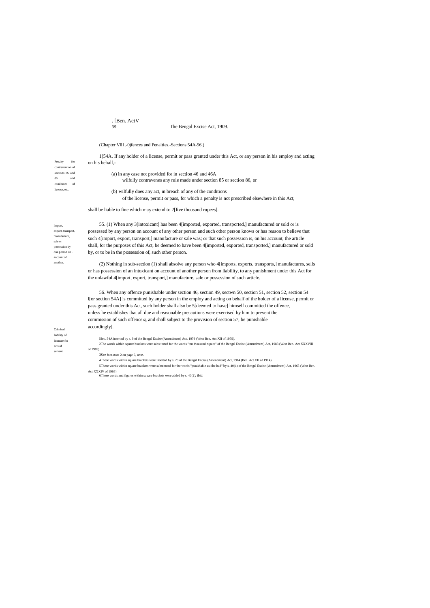#### . [Ben. ActV 39 The Bengal Excise Act, 1909.

(Chapter Vll1.-0jfences and Penalties.-Sections 54A-56.)

|                  |     | 1[54A. If any holder of a license, permit or pass granted under this Act, or any person in his employ and acting |
|------------------|-----|------------------------------------------------------------------------------------------------------------------|
| Penalty          | for | on his behalf.                                                                                                   |
| contravention of |     |                                                                                                                  |
| sections 8S and  |     | (a) in any case not provided for in section 46 and 46A                                                           |
| 86               | and | wilfully contravenes any rule made under section 85 or section 86, or                                            |
| conditions of    |     |                                                                                                                  |
| license, etc.    |     | (b) wilfully does any act, in breach of any of the conditions                                                    |
|                  |     | of the license, permit or pass, for which a penalty is not prescribed elsewhere in this Act,                     |

shall be liable to fine which may extend to 2[five thousand rupees].

Import, export, transport, manufacture, sale or possession by one person on . account of another. Criminal liability of licensee for acts of servant. 55. (1) When any 3[intoxicant] has been 4[imported, exported, transported,] manufactured or sold or is possessed by any person on account of any other person and such other person knows or has reason to believe that such 4[import, export, transport,] manufacture or sale was; or that such possession is, on his account, the article shall, for the purposes of this Act, be deemed to have been 4[imported, exported, transported,] manufactured or sold by, or to be in the possession of, such other person. (2) Nothing in sub-section (1) shall absolve any person who 4[imports, exports, transports,] manufactures, sells or has possession of an intoxicant on account of another person from liability, to any punishment under this Act for the unlawful 4[import, export, transport,] manufacture, sale or possession of such article. 56. When any offence punishable under section 46, section 49, sectwn 50, section 51, section 52, section 54 l[or section 54A] is committed by any person in the employ and acting on behalf of the holder of a license, permit or pass granted under this Act, such holder shall also be 5[deemed to have] himself committed the offence, unless he establishes that all due and reasonable precautions were exercised by him to prevent the commission of such offence 6[, and shall subject to the provision of section 57, be punishable accordingly]. ISec. 54A inserted by s. 9 of the Bengal Excise (Amendment) Act, 1979 (West Ben. Act XII of 1979). 2The words within square brackets were substituted for the words "ten thousand rupees" of the Bengal Excise (Amendment) Act, 1983 (West Ben. Act XXXVllI of 1983).

3See foot-note 2 on page 6, ante.

4These words within square brackets were inserted by s. 23 of the Bengal Excise (Amendment) Act, 1914 (Ben. Act VII of 1914).

5These words within square brackets were substituted for the words "punishable as ifhe had" by s. 40(1) of the Bengal Excise (Amendment) Act, 1965 (West Ben. Act XXXIV of 1965).

6These words and figures within square brackets were added by s. 40(2), ibid.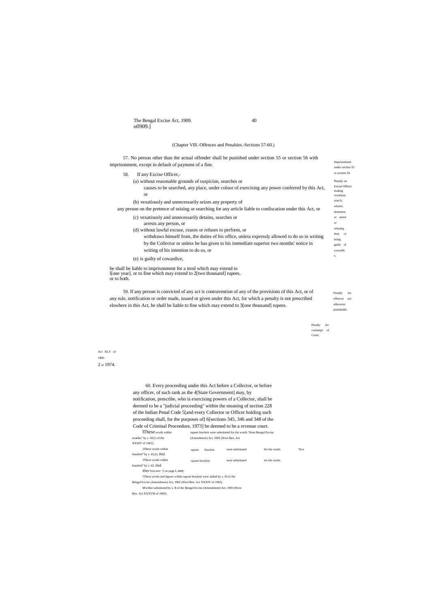The Bengal Excise Act, 1909. 40 ofl909.]

Penalty for offences not otherwise punishable.

Penalty for contempt of Court.

Act XLV of 1860. 2 of 1974.

| <b>These</b> words within      | square brackets were substituted for the words "three Bengal Excise" |          |                  |               |       |  |
|--------------------------------|----------------------------------------------------------------------|----------|------------------|---------------|-------|--|
| months" by $s. 41(1)$ of the   | (Amendment) Act, 1965 (West Ben. Act                                 |          |                  |               |       |  |
| XXXIV of 1965).                |                                                                      |          |                  |               |       |  |
| 2 These words within           | square                                                               | brackets | were substituted | for the words | "five |  |
| hundred" by $s. 41(2)$ , ibid. |                                                                      |          |                  |               |       |  |

square brackets were substituted for the words 3These words within hundred" by s. 42, ibid. 4See foot-not~ 5 on page I, ante. 5These words and figures within square brackets were added by s. 43 of the Bengal Excise (Amendment) Act, 1965 (West Ben. Act XXXIV of 1965).

6Further substituted by s. II of the Bengal Excise (Amendment) Act, 1983 (West

Ben. Act XXXVlll of 1983).

#### (Chapter VIll.-Offences and Penalties.-Sections 57-60.)

| 57. No person other than the actual offender shall be punished under section 55 or section 56 with<br>imprisonment, except in default of payment of a fine.<br>58.<br>If any Excise Officer,-                                                                                                                                                                                         | Imprisonment<br>under section 55<br>or section 56.                              |
|---------------------------------------------------------------------------------------------------------------------------------------------------------------------------------------------------------------------------------------------------------------------------------------------------------------------------------------------------------------------------------------|---------------------------------------------------------------------------------|
| (a) without reasonable grounds of suspicion, searches or<br>causes to be searched, any place, under colour of exercising any power conferred by this Act,<br><b>or</b>                                                                                                                                                                                                                | Penalty on<br><b>Excise Officer</b><br>making<br>vexatious                      |
| (b) vexatiously and unnecessarily seizes any property of<br>any person on the pretence of seizing or searching for any article liable to confiscation under this Act, or                                                                                                                                                                                                              |                                                                                 |
| (c) vexatiously and unnecessarily detains, searches or<br>arrests any person, or<br>(d) without lawful excuse, ceases or refuses to perform, or<br>withdraws himself from, the duties of his office, unless expressly allowed to do so in writing<br>by the Collector or unless he has given to his immediate superior two months' notice in<br>writing of his intention to do so, or | or arrest<br><b>or</b><br>refusing<br>duty or<br>being<br>guilty of<br>cowardic |
| (e) is guilty of cowardice,                                                                                                                                                                                                                                                                                                                                                           | e.                                                                              |
| he shall be liable to imprisonment for a ternl which may extend to<br>I[one year], or to fine which may extend to 2[two thousand] rupees,                                                                                                                                                                                                                                             |                                                                                 |

or to both.

59. If any person is convicted of any act is contravention of any of the provisions of this Act, or of any rule, notification or order made, issued or given under this Act, for which a penalty is not prescribed elswhere in this Act, he shall be liable to fine which may extend to 3[one thousand] rupees.

> 60. Every proceeding under this Act before a Collector, or before any officer, of such rank as the 4[State Government] may, by notification, prescribe, who is exercising powers of a Collector, shall be deemed to be a "judicial proceeding" within the meaning of section 228 of the Indian Penal Code 5[and every Collector or Officer holding such proceeding shall, for the purposes of] 6[sections 345, 346 and 348 of the Code of Criminal Proceedure, 1973] be deemed to be a revenue court.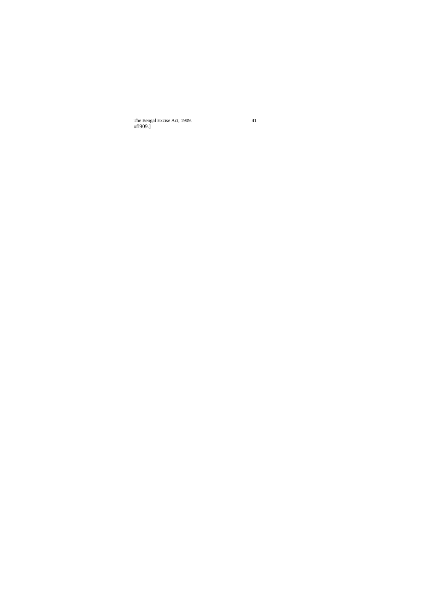The Bengal Excise Act, 1909. 41 ofl909.]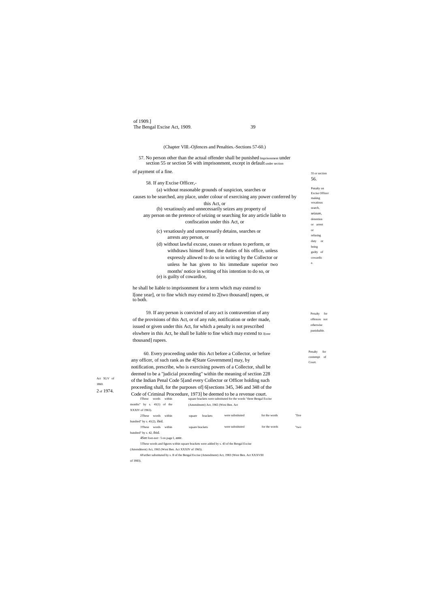Act XLV of

1860. 2 of 1974. 57. No person other than the actual offender shall be punished Imprisonment under section 55 or section 56 with imprisonment, except in default under section

of 1983).

| of 1909.]                    |    |
|------------------------------|----|
| The Bengal Excise Act, 1909. | 39 |

(Chapter VIIl.-Ojfences and Penalties.-Sections 57-60.)

| of payment of a fine.                                                                           |                                      |                                                                     |               | 55 or section                      |
|-------------------------------------------------------------------------------------------------|--------------------------------------|---------------------------------------------------------------------|---------------|------------------------------------|
| 58. If any Excise Officer,-                                                                     |                                      |                                                                     |               | 56.                                |
|                                                                                                 |                                      |                                                                     |               | Penalty on                         |
|                                                                                                 |                                      | (a) without reasonable grounds of suspicion, searches or            |               | <b>Excise Officer</b>              |
| causes to be searched, any place, under colour of exercising any power conferred by             |                                      |                                                                     |               | making                             |
|                                                                                                 | this Act, or                         |                                                                     |               | vexatious<br>search,               |
|                                                                                                 |                                      | (b) vexatiously and unnecessarily seizes any property of            |               | seizure,                           |
| any person on the pretence of seizing or searching for any article liable to                    |                                      |                                                                     |               | detention                          |
|                                                                                                 | confiscation under this Act, or      |                                                                     |               | or arrest                          |
|                                                                                                 |                                      | (c) vexatiously and unnecessarily detains, searches or              |               | or                                 |
|                                                                                                 | arrests any person, or               |                                                                     |               | refusing                           |
|                                                                                                 |                                      | (d) without lawful excuse, ceases or refuses to perform, or         |               | duty or                            |
|                                                                                                 |                                      | withdraws himself from, the duties of his office, unless            |               | being                              |
|                                                                                                 |                                      | expressly allowed to do so in writing by the Collector or           |               | guilty of<br>cowardic              |
|                                                                                                 |                                      | unless he has given to his immediate superior two                   |               | e.                                 |
|                                                                                                 |                                      |                                                                     |               |                                    |
| (e) is guilty of cowardice,                                                                     |                                      | months' notice in writing of his intention to do so, or             |               |                                    |
| he shall be liable to imprisonment for a term which may extend to                               |                                      |                                                                     |               |                                    |
| l[one year], or to fine which may extend to 2[two thousand] rupees, or<br>to both.              |                                      |                                                                     |               |                                    |
| 59. If any person is convicted of any act is contravention of any                               |                                      |                                                                     |               | Penalty<br>for                     |
| of the provisions of this Act, or of any rule, notification or order made,                      |                                      |                                                                     |               | offences not                       |
| issued or given under this Act, for which a penalty is not prescribed                           |                                      |                                                                     |               | otherwise                          |
| elswhere in this Act, he shall be liable to fine which may extend to 3[one                      |                                      |                                                                     |               | punishable.                        |
| thousand] rupees.                                                                               |                                      |                                                                     |               |                                    |
|                                                                                                 |                                      |                                                                     |               |                                    |
| 60. Every proceeding under this Act before a Collector, or before                               |                                      |                                                                     |               | Penalty<br>for<br>contempt<br>- of |
| any officer, of such rank as the 4[State Government] may, by                                    |                                      |                                                                     |               | Court.                             |
| notification, prescribe, who is exercising powers of a Collector, shall be                      |                                      |                                                                     |               |                                    |
| deemed to be a "judicial proceeding" within the meaning of section 228                          |                                      |                                                                     |               |                                    |
| of the Indian Penal Code 5[and every Collector or Officer holding such                          |                                      |                                                                     |               |                                    |
| proceeding shall, for the purposes of] 6[sections 345, 346 and 348 of the                       |                                      |                                                                     |               |                                    |
| Code of Criminal Proceedure, 1973] be deemed to be a revenue court.                             |                                      |                                                                     |               |                                    |
| IThese<br>words<br>within                                                                       |                                      | square brackets were substituted for the words "three Bengal Excise |               |                                    |
| months" by s. 41(1) of the<br>XXXIV of 1965).                                                   | (Amendment) Act, 1965 (West Ben. Act |                                                                     |               |                                    |
| 2These words within                                                                             | square<br>brackets                   | were substituted                                                    | for the words | "five                              |
| hundred" by $s. 41(2)$ , ibid.                                                                  |                                      |                                                                     |               |                                    |
| 3These words<br>within                                                                          | square brackets                      | were substituted                                                    | for the words | "two                               |
| hundred" by s. 42, ibid.                                                                        |                                      |                                                                     |               |                                    |
| 4See foot-not~ 5 on page I, ante.                                                               |                                      |                                                                     |               |                                    |
| 5 These words and figures within square brackets were added by s. 43 of the Bengal Excise       |                                      |                                                                     |               |                                    |
| (Amendment) Act, 1965 (West Ben. Act XXXIV of 1965).                                            |                                      |                                                                     |               |                                    |
| 6Further substituted by s. II of the Bengal Excise (Amendment) Act, 1983 (West Ben. Act XXXVIII |                                      |                                                                     |               |                                    |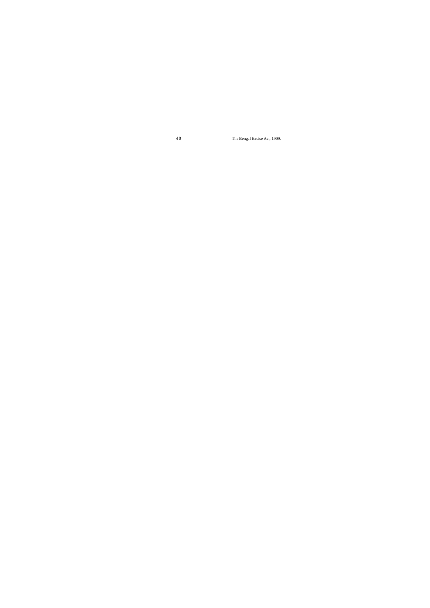The Bengal Excise Act, 1909.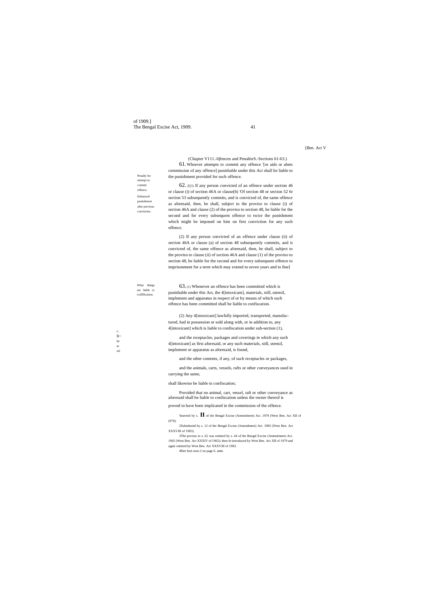What things are liable to corlllScation.

C.  $\rm{I}i$ ~ lie ac sel

Penalty for attempt to commit offence. Enhanced punishment after previous conviction.

of 1909.] The Bengal Excise Act, 1909. 41

[Ben. Act V

(Chapter V111.-0jfences and PenaltieS.-Sections 61-63.) 61.Whoever attempts to commit any offence '[or aids or abets commission of any offence] punishable under this Act shall be liable to the punishment provided for such offence.

62. 2[{l) If any person convicted of an offence under section 46 or clause (i) of section 46A or clause(b) 'Of section 48 or section 52 6r section 53 subsequently commits, and is convicted of, the same offence as aforesaid, then, he shall, subject to the proviso to clause (i) of section 46A and clause (2) of the proviso to section 48, be liable for the second and for every subsequent offence to twice the punishment which might be imposed on him on first conviction for any such offence.

(2) If any person convicted of an offence under clause (ii) of section 46A or clause (a) of section 48 subsequently commits, and is convicted of, the same offence as aforesaid, then, he shall, subject to the proviso to clause (ii) of section 46A and clause (1) of the proviso to section 48, be liable for the second and for every subsequent offence to imprisonment for a term which may extend to seven years and to fine]

63. (1) Whenever an offence has been committed which is punishable under this Act, the 4[intoxicant], materials, still, utensil, implement and apparatus in respect of or by means of which such offence has been committed shall be liable to confiscation.

(2) Any 4[intoxicant] lawfully imported, transported, manufactured, had in possession or sold along with, or in addition to, any 4[intoxicant] which is liable to confiscation under sub-section (1),

and the receptacles, packages and coverings in which any such 4[intoxicant] as first aforesaid, or any such materials, still, utensil, implement or apparatus as aforesaid, is found,

and the other contents, if any, of such receptacles or packages,

and the animals, carts, vessels, rafts or other conveyances used in carrying the same,

shall likewise be liable to confiscation;

Provided that no animal, cart, vessel, raft or other conveyance as aforesaid shall be liable to confiscation unless the owner thereof is

proved to have been implicated in the commission of the offence.

'Inserted by s. **II** of the Bengal Excise (Amendment) Act. 1979 (West Ben. Act XII of (979).

2Substituted by s. 12 of the Bengal Excise (Amendment) Act. 1983 (West Ben. Act XXXVIII of 1983).

3The proviso to s. 62 was omitted by s. 44 of the Bengal Excise (Amendment) Act. 1965 (West Ben. Act XXXIV of 1965); then fe-introduced by West Ben. Act XII of 1979 and again omitted by West Ben. Act XXXVIII of 1983.

4See foot-note 2 on page 6. ante.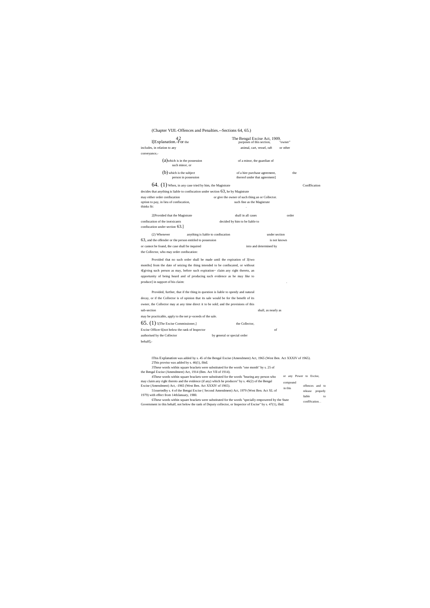(Chapter VIJI.-Offences and Penalties.--Sections 64, 65.)

| $42$ I[Explanation.-For the                                                               | The Bengal Excise Act, 1909.<br>purposes of this section, "owner" |              |
|-------------------------------------------------------------------------------------------|-------------------------------------------------------------------|--------------|
| includes, in relation to any                                                              | animal, cart, vessel, raft                                        | or other     |
| conveyance,-                                                                              |                                                                   |              |
| (a) which is in the possession<br>such minor, or                                          | of a minor, the guardian of                                       |              |
| $(b)$ which is the subject<br>person in possession                                        | of a hire purchase agreement,<br>thereof under that agreement]    | the          |
| $64.$ $(1)$ When, in any case tried by him, the Magistrate                                |                                                                   | ConfIScation |
| decides that anything is liable to confiscation under section $63$ , he by Magistrate     |                                                                   |              |
| may either order confiscation                                                             | or give the owner of such thing an or Collector.                  |              |
| option to pay, in lieu of confiscation,                                                   | such fine as the Magistrate                                       |              |
| thinks fit:                                                                               |                                                                   |              |
| 2[Provided that the Magistrate                                                            | shall in all cases                                                | order        |
| confiscation of the inotxicants                                                           | decided by him to be liable to                                    |              |
| confiscation under section 63.                                                            |                                                                   |              |
| (2) Whenever<br>anything is liable to confiscation                                        | under section                                                     |              |
| $63$ , and the offender or the person entitled to possession                              |                                                                   | is not known |
| or cannot be found, the case shall be inquired                                            | into and determined by                                            |              |
| the Collector, who may order confiscation:                                                |                                                                   |              |
| Provided that no such order shall be made until the expiration of 3[two                   |                                                                   |              |
| months] from the date of seizing the thing intended to be confiscated, or without         |                                                                   |              |
| $4$ [giving such person as may, before such expiration $\sim$ claim any right thereto, an |                                                                   |              |
| opportunity of being heard and of producing such evidence as he may like to               |                                                                   |              |
| produce] in support of his claim:                                                         |                                                                   |              |
|                                                                                           |                                                                   |              |
| Provided, further, that if the thing in question is liable to speedy and natural          |                                                                   |              |
| decay, or if the Collector is of opinion that its sale would be for the benefit of its    |                                                                   |              |
| owner, the Collector may at any time direct it to be sold; and the provisions of this     |                                                                   |              |
| sub-section                                                                               | shall, as nearly as                                               |              |
| may be practicable, apply to the net p~oceeds of the sale.                                |                                                                   |              |
| $65.$ (1) 5[The Excise Commissioner,]                                                     | the Collector,                                                    |              |
| Excise Officer 6[not below the rank of Inspector                                          | of                                                                |              |
| authorised by the Collector                                                               | by general or special order                                       |              |
| behalf],-                                                                                 |                                                                   |              |
|                                                                                           |                                                                   |              |
|                                                                                           |                                                                   |              |

| the Bengal Excise (Amendment) Act, 1914 (Ben. Act VII of 1914).                                                                                                                                                         |                         |                 |          |    |
|-------------------------------------------------------------------------------------------------------------------------------------------------------------------------------------------------------------------------|-------------------------|-----------------|----------|----|
| 4 These words within square brackets were substituted for the words "hearing any person who                                                                                                                             | or any Power to Excise, |                 |          |    |
| may claim any right thereto and the evidence (if any) which he produces" by s. $46(2)$ of the Bengal                                                                                                                    | compound                |                 |          |    |
| Excise (Amendment) Act, -1965 (West Ben. Act XXXIV of 1965).                                                                                                                                                            | in this                 | offences and to |          |    |
| 51 nsertedby s. 4 of the Bengai Excise (Second Amendment) Act, 1979 (West Ben. Act XL of                                                                                                                                |                         | release         | properly |    |
| 1979) with effect from 14thJanuary, 1980.                                                                                                                                                                               |                         | liable          |          | to |
| 6 These words within square brackets were substituted for the words "specially empowered by the State"<br>Government in this behalf, not below the rank of Deputy collector, or Inspector of Excise" by s. 47(1), ibid. |                         | confIScation    |          |    |
|                                                                                                                                                                                                                         |                         |                 |          |    |

IThis Explanation was added by s. 45 of the Bengal Excise (Amendment) Act, 1965 (West Ben. Act XXXIV of 1965). 2This proviso was added by s. 46(1), ibid.

3These words within square brackets were substituted for the words "one month" by s. 25 of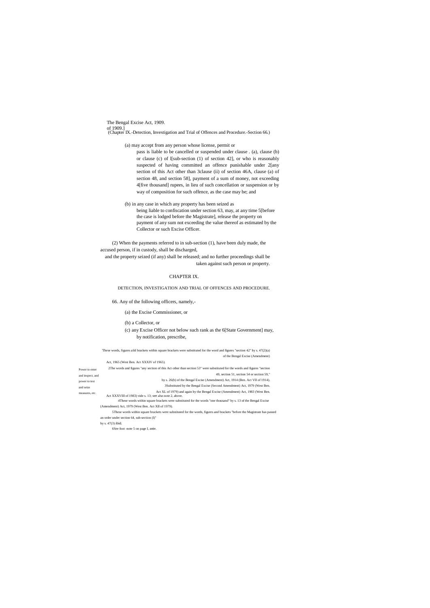The Bengal Excise Act, 1909. of 1909.] (Chapter IX.-Detection, Investigation and Trial of Offences and Procedure.-Section 66.)

(a) may accept from any person whose license, permit or

pass is liable to be cancelled or suspended under clause . (a), clause (b) or clause (c) of l[sub-section (1) of section 42], or who is reasonably suspected of having committed an offence punishable under 2[any section of this Act other than 3clause (ii) of section 46A, clause (a) of section 48, and section 58], payment of a sum of money, not exceeding 4[five thousand] rupees, in lieu of such concellation or suspension or by way of composition for such offence, as the case may be; and

(b) in any case in which any property has been seized as being liable to confiscation under section 63, may, at any time 5[before the case is lodged before the Magistrate], release the property on payment of any sum not exceeding the value thereof as estimated by the Collector or such Excise Officer.

(2) When the payments referred to in sub-section (1), have been duly made, the accused person, if in custody, shall be discharged,

and the property seized (if any) shall be released; and no further proceedings shall be taken against such person or property.

|                  | Act. 1965 (West Ben. Act XXXIV of 1965).                                                                                                    |
|------------------|---------------------------------------------------------------------------------------------------------------------------------------------|
| Power to enter   | 2The words and figures "any section of this Act other than section 53" were substituted for the words and figures "section"                 |
| and inspect, and | 49, section 51, section 54 or section 59."                                                                                                  |
| power to test    | by s. 26(b) of the Bengal Excise (Amendment) Act, 1914 (Ben. Act VII of 1914).                                                              |
| and seize        | 3Substituted by the Bengal Excise (Second Amendment) Act, 1979 (West Ben.                                                                   |
| measures, etc.   | Act XL of 1979) and again by the Bengal Excise (Amendment) Act, 1983 (West Ben.<br>Act XXXVIII of 1983) vide s. 13; see also note 2, above. |
|                  | 4These words within square brackets were substituted for the words "one thousand" by s. 13 of the Bengal Excise                             |
|                  | (Amendment) Act, 1979 (West Ben. Act XII of 1979).                                                                                          |
|                  | 5These words within square brackets were substituted for the words, figures and brackets "before the Magistrate has passed                  |
|                  | an order under section $64$ , sub-section $(I)^n$                                                                                           |
|                  |                                                                                                                                             |

### CHAPTER IX.

DETECTION, INVESTIGATION AND TRIAL OF OFFENCES AND PROCEDURE.

66. Any of the following officers, namely,-

(a) the Excise Commissioner, or

(b) a Collector, or

(c) any Excise Officer not below such rank as the 6[State Government] may, by notification, prescribe,

'These words, figures aild brackets within square brackets were substituted for the word and figures "section 42" by s. 47(2)(a) of the Bengal Excise (Amendment)

by s. 47(3) ibid.

6See foot -note 5 on page I, ante.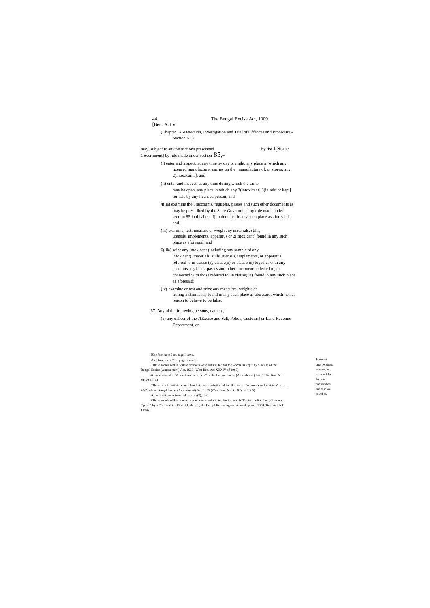# 44 The Bengal Excise Act, 1909.

# [Ben. Act V

### (Chapter IX.-Detection, Investigation and Trial of Offences and Procedure.- Section 67.)

may, subject to any restrictions prescribed by the I(State Government] by rule made under section  $85,$ -

> Power to arrest without warrant, to seize articles liable to confiscation and to make searches.

- (i) enter and inspect, at any time by day or night, any place in which any licensed manufacturer carries on the . manufacture of, or stores, any 2(intoxicants]; and
- (ii) enter and inspect, at any time during which the same may be open, any place in which any 2(intoxicant] 3(is sold or kept] for sale by any licensed person; and
- 4(iia) examine the 5(accounts, registers, passes and such other documents as may be prescribed by the State Government by rule made under section 85 in this behalf] maintained in any such place as aforesiad; and
- (iii) examine, test, measure or weigh any materials, stills, utensils, implements, apparatus or 2(intoxicant] found in any such place as aforesaid; and
- 6(iiia) seize any intoxicant (including any sample of any intoxicant), materials, stills, utensils, implements, or apparatus referred to in clause (i), clause(ii) or clause(iii) together with any accounts, registers, passes and other documents referred to, or connected with those referred to, in clause(iia) found in any such place as aforesaid;
- (iv) examine or test and seize any measures, weights or testing instruments, found in any such place as aforesaid, which he has reason to believe to be false.

67. Any of the following persons, namely,-

(a) any officer of the 7(Excise and Salt, Police, Customs] or Land Revenue Department, or

ISee foot-note 5 on page I, ante. 2See foot -note 2 on page 6, ante.

3These words within square brackets were substituted for the words "is kept" by s. 48(1) of the Bengal Excise (Amendment) Act, 1965 (West Ben. Act XXXIV of 1965).

4Clause (iia) of s. 66 was inserted by s. 27 of the Bengal Excise (Amendment) Act, 1914 (Ben. Act VB of 1914).

5These words within square brackets were substituted for the words "accounts and registers" by s. 48(2) of the Bengal Excise (Amendment) Act, 1965 (West Ben. Act XXXIV of 1965).

6Clause (iiia) was inserted by s. 48(3), ibid.

7These words within square brackets were substituted for the words "Excise, Police, Salt, Customs, Opium" by s. 2 of, and the First Schedule to, the Bengal Repealing and Amending Act, 1938 (Ben. Act I of 1939).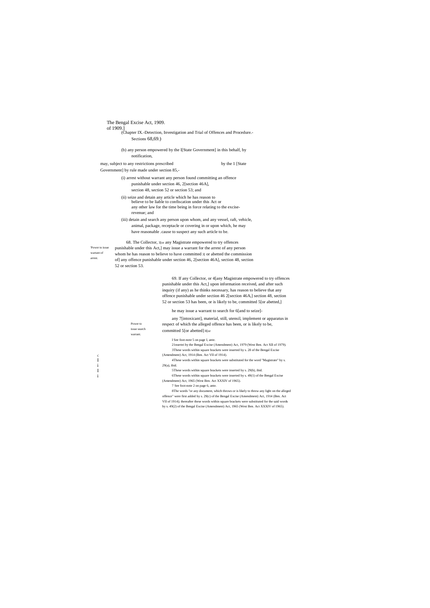|                                         | The Bengal Excise Act, 1909.<br>of 1909.                                                   | (Chapter IX.-Detection, Investigation and Trial of Offences and Procedure.-                                                                                                                                                                                                                                                                                                                                                                                                                                                                                                                                                                                                                                                                                                                                                                                                                                                                                                                                                      |
|-----------------------------------------|--------------------------------------------------------------------------------------------|----------------------------------------------------------------------------------------------------------------------------------------------------------------------------------------------------------------------------------------------------------------------------------------------------------------------------------------------------------------------------------------------------------------------------------------------------------------------------------------------------------------------------------------------------------------------------------------------------------------------------------------------------------------------------------------------------------------------------------------------------------------------------------------------------------------------------------------------------------------------------------------------------------------------------------------------------------------------------------------------------------------------------------|
|                                         | Sections 68,69.)                                                                           |                                                                                                                                                                                                                                                                                                                                                                                                                                                                                                                                                                                                                                                                                                                                                                                                                                                                                                                                                                                                                                  |
|                                         | notification,                                                                              | (b) any person empowered by the I[State Government] in this behalf, by                                                                                                                                                                                                                                                                                                                                                                                                                                                                                                                                                                                                                                                                                                                                                                                                                                                                                                                                                           |
|                                         | may, subject to any restrictions prescribed<br>Government] by rule made under section 85,- | by the 1 [State]                                                                                                                                                                                                                                                                                                                                                                                                                                                                                                                                                                                                                                                                                                                                                                                                                                                                                                                                                                                                                 |
|                                         |                                                                                            | (i) arrest without warrant any person found committing an offence<br>punishable under section 46, 2[section 46A],<br>section 48, section 52 or section 53; and                                                                                                                                                                                                                                                                                                                                                                                                                                                                                                                                                                                                                                                                                                                                                                                                                                                                   |
|                                         | revenue; and                                                                               | (ii) seize and detain any article which he has reason to<br>believe to be liable to confiscation under this Act or<br>any other law for the time being in force relating to the excise-                                                                                                                                                                                                                                                                                                                                                                                                                                                                                                                                                                                                                                                                                                                                                                                                                                          |
|                                         |                                                                                            | (iii) detain and search any person upon whom, and any vessel, raft, vehicle,<br>animal, package, receptacle or covering in or upon which, he may<br>have reasonable cause to suspect any such article to be.                                                                                                                                                                                                                                                                                                                                                                                                                                                                                                                                                                                                                                                                                                                                                                                                                     |
| Power to issue<br>warrant of<br>arrest. | 52 or section 53.                                                                          | 68. The Collector, 3 [or any Magistrate empowered to try offences<br>punishable under this Act,] may issue a warrant for the arrest of any person<br>whom he has reason to believe to have committed 3[ or abetted the commission<br>of] any offence punishable under section 46, 2 [section 46A], section 48, section                                                                                                                                                                                                                                                                                                                                                                                                                                                                                                                                                                                                                                                                                                           |
|                                         |                                                                                            | 69. If any Collector, or 4[any Magistrate empowered to try offences<br>punishable under this Act,] upon information received, and after such<br>inquiry (if any) as he thinks necessary, has reason to believe that any<br>offence punishable under section 46 2 [section 46A,] section 48, section<br>52 or section 53 has been, or is likely to be, committed 5[or abetted,]                                                                                                                                                                                                                                                                                                                                                                                                                                                                                                                                                                                                                                                   |
|                                         | Power to<br>issue search                                                                   | he may issue a warrant to search for 6[and to seize]-<br>any 7[intoxicant], material, still, utensil, implement or apparatus in<br>respect of which the alleged offence has been, or is likely to be,<br>committed 5[or abetted] 8[or                                                                                                                                                                                                                                                                                                                                                                                                                                                                                                                                                                                                                                                                                                                                                                                            |
| С<br>Ι<br>i<br>I<br>$\mathbf{i}$        | warrant.                                                                                   | I See foot-note 5 on page I, ante.<br>21 nsertei by the Bengal Excise (Amendment) Act, 1979 (West Ben. Act XII of 1979).<br>3These words within square brackets were inserted by s. 28 of the Bengal Excise<br>(Amendment) Act, 1914 (Ben. Act VII of 1914).<br>4These words within square brackets were substituted for the word "Magistrate" by s.<br>$29(a)$ , ibid.<br>5These words within square brackets were inserted by s. 29(b), ibid.<br>6 These words within square brackets were inserted by $s$ . 49 $(1)$ of the Bengal Excise<br>(Amendment) Act, 1965 (West Ben. Act XXXIV of 1965).<br>7 See foot-note 2 on page 6, ante.<br>8The words "or any document, which throws or is likely to throw any light on the alleged<br>offence" were first added by s. 29(c) of the Bengal Excise (Amendment) Act, 1914 (Ben. Act<br>VII of 1914); thereafter these words within square brackets were substituted for the said words<br>by s. 49(2) of the Bengal Excise (Amendment) Act, 1965 (West Ben. Act XXXIV of 1965). |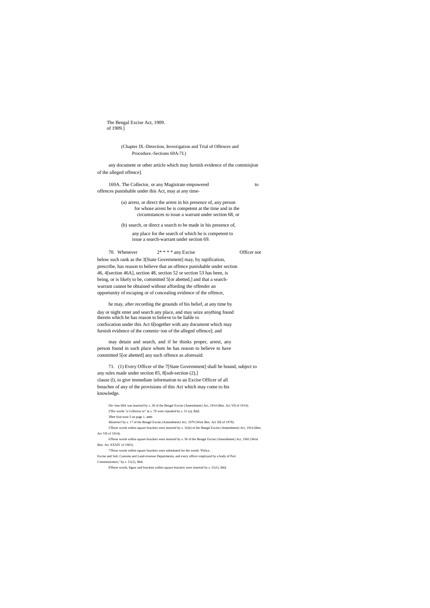The Bengal Excise Act, 1909. of 1909.]

> (Chapter IX.-Detection, Investigation and Trial of Offences and Procedure.-Sections 69A-7I.)

any document or other article which may furnish evidence of the commisjion of the alleged offence].

169A. The Collector, or any Magistrate empowered to offences punishable under this Act, may at any time-

> (a) arrest, or direct the arrest in his presence of, any person for whose arrest he is competent at the time and in the circumstances to issue a warrant under section 68, or

(b) search, or direct a search to be made in his presence of,

any place for the search of which he is competent to issue a search-warrant under section 69.

70. Whenever 2\* \* \* \* any Excise Officer not

below such rank as the 3[State Government] may, by nqtification, prescribe, has reason to believe that an offence punishable under section 46, 4[section 46A], section 48, section 52 or section 53 has been, is being, or is likely to be, committed 5[or abetted,] and that a searchwarrant cannot be obtained without affording the offender an opportunity of escaping or of concealing evidence of the offence,

he may, after recording the grounds of his belief, at any time by

day or night enter and search any place, and may seize anything found therein which he has reason to believe to be liable to confiscation under this Act 6[together with any document which may furnish evidence of the commis~ion of the alleged offence]; and

may detain and search, and if he thinks proper, arrest, any person found in such place whom he has reason to believe to have committed 5[or abetted] any such offence as aforesaid.

71. (1) Every Officer of the 7[State Government] shall be bound, subject to any rules made under section 85, 8[sub-section (2),] clause (l), to give immediate information to an Excise Officer of all breaches of any of the provisions of this Act which may come to his knowledge.

lSe~tion 69A was inserted by s. 30 of the Bengal Excise (Amendment) Act, 1914 (Ben. Act VII of 1914). 2The words "a Collector or" in s. 70 were repealed by s. 31 (a), ibid. 3See foot-note 5 on page 1, ante. 4Insertecl by s. 17 of the Bengal Excise (Amendment) Act, 1979 (West Ben. Act XII of 1979). 5These words within square brackets were inserted by s. 31(b) of the Bengal Excise (Amendment) Act, 1914 (Ben. Act VII of 1914). 6These words within square brackets were inserted by s. 50 of the Bengal Excise (Amendment) Act, 1965 (West Ben. Act XXXIV of 1965). 7These words within square brackets were substituted for the words "Police, Excise and Salt, Customs and Land-revenue Departments, and every officer employed by a body of Port

Commissioners," by s. 51(2), ibid.

8These words, figure and brackets within square brackets were inserted by s. 51(1), ibid.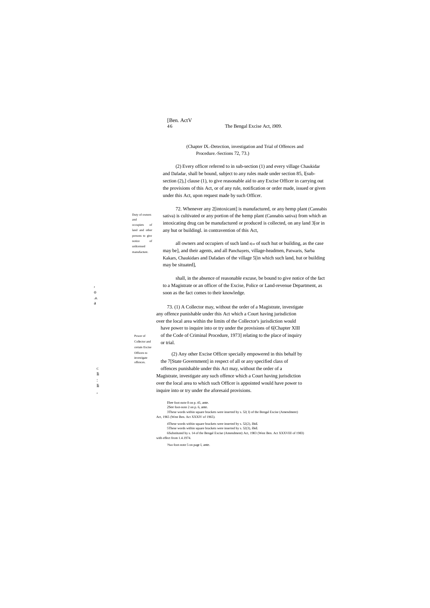# [Ben. ActV

#### 46 The Bengal Excise Act, i909.

Duty of owners and occupiers of land and other persons to give notice of unlicensed manufacture.

p o .a. a

> Power of Collector and certain Excise Officers to investigate offences.

C Ii : Ii ,

# (Chapter IX.-Detection, investigation and Trial of Offences and Procedure.-Sections 72, 73.)

(2) Every officer referred to in sub-section (1) and every village Chaukidar and Dafadar, shall be bound, subject to any rules made under section 85, l[subsection (2),] clause (1), to give reasonable aid to any Excise Officer in carrying out the provisions of this Act, or of any rule, notification or order made, issued or given under this Act, upon request made by such Officer.

72. Whenever any 2[intoxicant] is manufactured, or any hemp plant (Cannabis sativa) is cultivated or any portion of the hemp plant (Cannabis sativa) from which an intoxicating drug can be manufactured or produced is collected, on any land 3[or in any hut or buildingl. in contravention of this Act,

all owners and occupiers of such land 4[or of such hut or building, as the case may be], and their agents, and all Panchayets, village-headmen, Patwaris, Sarba Kakars, Chaukidars and Dafadars of the village 5[in which such land, hut or building may be situated],

shall, in the absence of reasonable excuse, be bound to give notice of the fact to a Magistrate or an officer of the Excise, Police or Land-revenue Department, as soon as the fact comes to their knowledge.

73. (1) A Collector may, without the order of a Magistrate, investigate any offence punishable under this Act which a Court having jurisdiction over the local area within the limits of the Collector's jurisdiction would have power to inquire into or try under the provisions of 6[Chapter XIII of the Code of Criminal Procedure, 1973] relating to the place of inquiry or trial.

(2) Any other Excise Officer specially empowered in this behalf by the 7[State Government] in respect of all or any specified class of offences punishable under this Act may, without the order of a Magistrate, investigate any such offence which a Court having jurisdiction over the local area to which such Officer is appointed would have power to inquire into or try under the aforesaid provisions.

ISee foot-note 8 on p. 45, ante. 2See foot-note 2 on p. 6, ante. 3These words within square brackets were inserted by s. 52( I) of the Bengal Excise (Amendment) Act, 1965 (West Ben. Act XXXIV of 1965). 4These words within square brackets were inserted by s. 52(2), ibid. 5These words within square brackets were inserted by s. 52(3), ibid.

6Substituted by s. 14 of the Bengal Excise (Amendment) Act, 1983 (West Ben. Act XXXVIII of 1983) with effect from 1.4.1974.

7See foot-note 5 on page I, ante.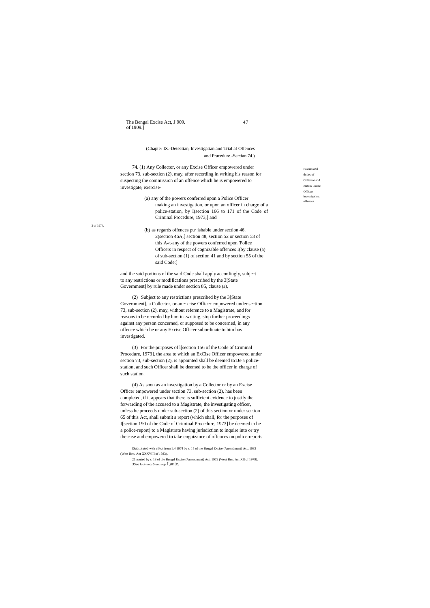#### The Bengal Excise Act, J 909. 47 of 1909.]

Powers and duties of Collector and certain Excise Officers investigating offences.

2 of 1974.

# (Chapter IX.-Detectian, Investigatian and Trial af Offences and Pracedure.-Sectian 74.)

74. (1) Any Collector, or any Excise Officer empowered under section 73, sub-section (2), may, after recording in writing his reason for suspecting the commission of an offence which he is empowered to investigate, exercise-

- (a) any of the powers conferred upon a Police Officer making an investigation, or upon an officer in charge of a police-station, by I(section 166 to 171 of the Code of Criminal Procedure, 1973,] and
- (b) as regards offences pu~ishable under section 46, 2(section 46A,] section 48, section 52 or section 53 of this A«t-any of the powers conferred upon 'Police Officers in respect of cognizable offences I(by clause (a) of sub-section (1) of section 41 and by section 55 of the said Code;]

and the said portions of the said Code shall apply accordingly, subject to any restrictions or modifications prescribed by the 3[State Government] by rule made under section 85, clause (a),

(2) Subject to any restrictions prescribed by the 3[State Government], a Collector, or an ~xcise Officer empowered under section 73, sub-section (2), may, without reference to a Magistrate, and for reasons to be recorded by him in .writing, stop further proceedings against any person concerned, or supposed to be concerned, in any offence which he or any Excise Officer subordinate to him has investigated.

(3) For the purposes of l[section 156 of the Code of Criminal Procedure, 1973], the area to which an ExCise Officer empowered under section 73, sub-section (2), is appointed shall be deemed to1Je a policestation, and such Officer shall be deemed to be the officer in charge of such station.

(4) As soon as an investigation by a Collector or by an Excise Officer empowered under section 73, sub-section (2), has been completed, if it appears that there is sufficient evidence to justify the forwarding of the accused to a Magistrate, the investigating officer, unless he proceeds under sub-section (2) of this section or under section 65 of this Act, shall submit a report (which shall, for the purposes of I[section 190 of the Code of Criminal Procedure, 1973] be deemed to be a police-report) to a Magistrate having jurisdiction to inquire into or try the case and empowered to take cognizance of offences on police-reports.

ISubstituted with effect from 1.4.1974 by s. 15 of the Bengal Excise (Amendment) Act, 1983 (West Ben. Act XXXVIII of 1983).

21nserted by s. 18 of the Bengal Excise (Amendment) Act, 1979 (West Ben. Act XII of 1979). 3See foot-note 5 on page I,ante.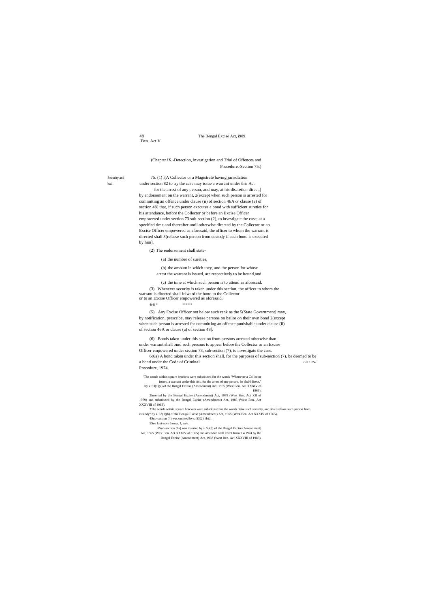#### 48 The Bengal Excise Act, i909.

[Ben. Act V

(Chapter iX.-Detection, investigation and Trial of Offences and Procedure.-Section 75.)

Security and 75. (1) I(A Collector or a Magistrate having jurisdiction bail. under section 82 to try the case may issue a warrant under this Act for the arrest of any person, and may, at his discretion direct,] by endorsement on the warrant, 2(except when such person is arrested for committing an offence under clause (ii) of section 46A or clause (a) of section 48] that, if such person executes a bond with sufficient sureties for his attendance, before the Collector or before an Excise Officer empowered under section 73 sub-section (2), to investigate the case, at a specified time and thereafter until otherwise directed by the Collector or an Excise Officer empowered as aforesaid, the officer to whom the warrant is directed shall 3(release such person from custody if such bond is executed by him].

(2) The endorsement shall state-

(a) the number of sureties,

(b) the amount in which they, and the person for whose

arrest the warrant is issued, are respectively to be bound,and

(c) the time at which such person is to attend as aforesaid.

(3) Whenever security is taken under this section, the officer to whom the warrant is directed shall foiward the bond to the Collector or to an Excise Officer empowered as aforesaid.

4(4) \* \*\*\*\*\*\*

(5) Any Excise Officer not below such rank as the 5(State Government] may, by notification, prescribe, may release persons on bailor on their own bond 2(except when such person is arrested for committing an offence punishable under clause (ii) of section 46A or clause (a) of section 48].

(6) Bonds taken under this section from persons arrested otherwise than under warrant shall bind such persons to appear before the Collector or an Excise Officer empowered under section 73, sub-section (7), to investigate the case.

6(6a) A bond taken under this section shall, for the purposes of sub-section (7), be deemed to be a bond under the Code of Criminal 2 of 1974. Procedure, 1974.

'The words within square brackets were substituted for the words "Whenever a Collector issues, a warrant under this Act, for the arrest of any person, he shaH direct," by s. 53(1)(a) of the Bengal ExCise (Amendment) Act, 1965 (West Ben. Act XXXIV of 1965).

2Inserted by the Bengal Excise (Amendment) Act, 1979 (West Ben. Act XII of 1979) and substituted by the Bengal Excise (Amendment) Act, 1983 (West Ben. Act XXXVIII of 1983).

3The words within square brackets were substituted for the words "take such security, and shall release such person from custody" by s. 53(1)(b) of the Bengal Excise (Amendment) Act, 1965 (West Ben. Act XXXIV of 1965).

4Sub-section (4) was omitted by s. 53(2), ibid.

5See foot-note 5 on p. I, an/e.

6Sub-section (6a) was inserted by s. 53(3) of the Bengal Excise (Amendment)

Act, 1965 (West Ben. Act XXXIV of 1965) and amended with effect from 1.4.1974 by the

Bengal Excise (Amendment) Act, 1983 (West Ben. Act XXXVIII of 1983).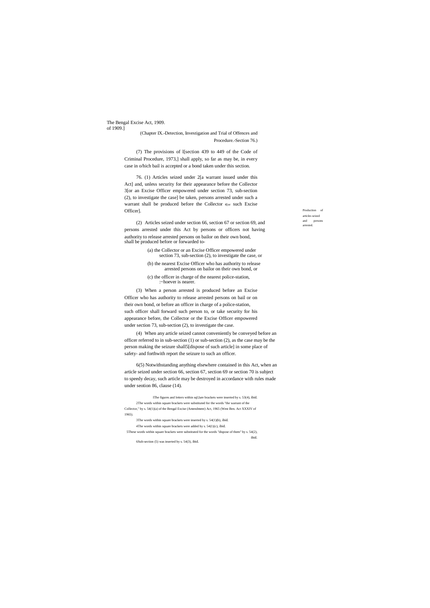Production of articles seized and persons arrested.

The Bengal Excise Act, 1909. of 1909.] (Chapter IX.-Detection, Investigation and Trial of Offences and Procedure.-Section 76.)

> (7) The provisions of l[section 439 to 449 of the Code of Criminal Procedure, 1973,] shall apply, so far as may be, in every case in o/hich bail is accepted or a bond taken under this section.

> 76. (1) Articles seized under 2[a warrant issued under this Act] and, unless security for their appearance before the Collector 3[or an Excise Officer empowered under section 73, sub-section (2), to investigate the case] be taken, persons arrested under such a warrant shall be produced before the Collector 4[or such Excise Officer].

> > (c) the officer in charge of the nearest police-station, :~hoever is nearer.

(2) Articles seized under section 66, section 67 or section 69, and persons arrested under this Act by persons or officers not having authority to release arrested persons on bailor on their own bond, shall be produced before or forwarded to-

> (a) the Collector or an Excise Officer empowered under section 73, sub-section (2), to investigate the case, or

> (b) the nearest Excise Officer who has authority to release arrested persons on bailor on their own bond, or

(3) When a person arrested is produced before an Excise Officer who has authority to release arrested persons on bail or on their own bond, or before an officer in charge of a police-station, such officer shall forward such person to, or take security for his appearance before, the Collector or the Excise Officer empowered under section 73, sub-section (2), to investigate the case.

(4) When any article seized cannot conveniently be conveyed before an officer referred to in sub-section (1) or sub-section (2), as the case may be the person making the seizure shall5[dispose of such article] in some place of safety- and forthwith report the seizure to such an officer.

6(5) Notwithstanding anything elsewhere contained in this Act, when an article seized under section 66, section 67, section 69 or section 70 is subject to speedy decay, such article may be destroyed in accordance with rules made under seotion 86, clause (14).

IThe figures and letters within sql;lare brackets were inserted by s. 53(4), ibid. 2The words within square brackets were substituted for the words "the warrant of the Collector," by s. 54(1)(a) of the Bengal Excise (Amendment) Act, 1965 (West Ben. Act XXXIV of 1965).

3The words within square brackets were inserted by s. 54(1)(b), ibid. 4The words within square brackets were added by s. 54(1)(c), ibid. 5These words within square brackets were substituted for the words "dispose of them" by s. 54(2),

ibid.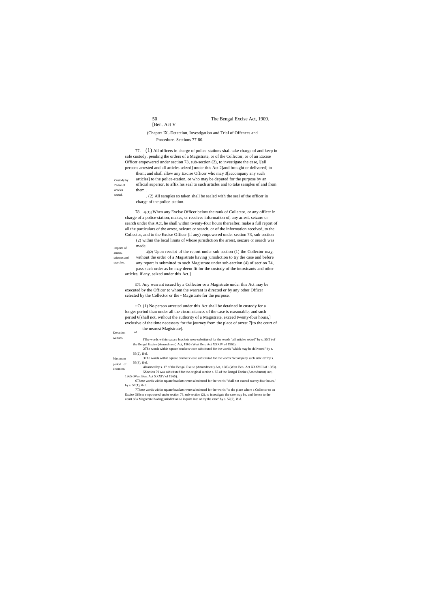### 50 The Bengal Excise Act, 1909.

# [Ben. Act V

Custody by Police of articles seized.

arrests, seizures and searches.

#### (Chapter IX.-Detection, Investigation and Trial of Offences and Procedure.-Sections 77-80.

77. (1) All officers in charge of police-stations shall take charge of and keep in safe custody, pending the orders of a Magistrate, or of the Collector, or of an Excise Officer empowered under section 73, sub-section (2), to investigate the case, l[all persons arrested and all articles seized] under this Act 2[and brought or delivered] to them; and shall allow any Excise Officer who may 3[accompany any such

articles] to the police-station, or who may be deputed for the purpose by an

Reports of 78. 4[(1)] When any Excise Officer below the rank of Collector, or any officer in charge of a police-station, makes, or receives information of, any arrest, seizure or search under this Act, he shall within twenty-four hours thereafter, make a full report of all the particulars of the arrest, seizure or search, or of the information received, to the Collector, and to the Excise Officer (if any) empowered under section 73, sub-section (2) within the local limits of whose jurisdiction the arrest, seizure or search was made.

official superior, to affix his seal to such articles and to take samples of and from them . . (2) All samples so taken shall be sealed with the seal of the officer in

charge of the police-station.

4[(2) Upon receipt of the report under sub-section (1) the Collector may,

Execution warrant Maximum period of detention ~O. (1) No person arrested under this Act shall be detained in custody for a longer period than under all the circumstances of the case is reasonable; and such period 6[shall not, without the authority of a Magistrate, exceed twenty-four hours,] exclusive of the time necessary for the journey from the place of arrest 7[to the court of the nearest Magistrate]. . IThe words within square brackets were substituted for the words "all articles seized" by s. 55(1) of the Bengal Excise (Amendment) Act, 1965 (West Ben. Act XXXIV of 1965). 2The words within square brackets were substituted for the words "which may be delivered" by s. 55(2), ibid. 3The words within square brackets were substituted for the words "accompany such articles" by s. 55(3), ibid. 4Inserted by s. 17 of the Bengal Excise (Amendment) Act, 1983 (West Ben. Act XXXVIII of 1983). 5Section 79 was substituted for the original section s. 56 of the Bengal Excise (Amendment) Act, 1965 (West Ben. Act XXXIV of 1965). 6These words within square brackets were substituted for the words "shall not exceed twenty-four hours," by s. 57(1), ibid. 7These words within square brackets were substituted for the words "to the place where a Collector or an

without the order of a Magistrate having jurisdiction to try the case and before any report is submitted to such Magistrate under sub-section (4) of section 74, pass such order as he may deem fit for the custody of the intoxicants and other articles, if any, seized under this Act.]

579. Any warrant issued by a Collector or a Magistrate under this Act may be executed by the Officer to whom the warrant is directed or by any other Officer selected by the Collector or the - Magistrate for the purpose.

Excise Officer empowered under section 73, sub-section (2), to investigate the case may be, and thence to the court of a Magistrate having jurisdiction to inquire into or try the case" by s. 57(2), ibid.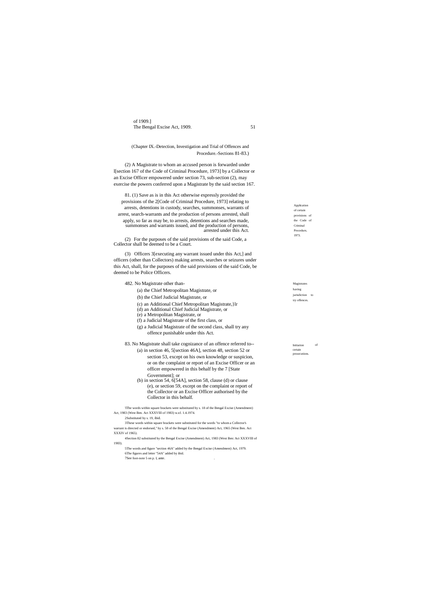Magistrates having jurisdiction to try offences.

Initiation of certain

prosecu

Application of certain provisions of the Code of Criminal Procedure, 1973.

of 1909.] The Bengal Excise Act, 1909. 51

# (Chapter IX.-Detection, Investigation and Trial of Offences and Procedure.-Sections 81-83.)

(2) A Magistrate to whom an accused person is forwarded under l[section 167 of the Code of Criminal Procedure, 1973] by a Collector or an Excise Officer empowered under section 73, sub-section (2), may exercise the powers conferred upon a Magistrate by the said section 167.

81. (1) Save as is in this Act otherwise expressly provided the provisions of the 2[Code of Criminal Procedure, 1973] relating to arrests, detentions in custody, searches, summonses, warrants of arrest, search-warrants and the production of persons arrested, shall apply, so far as may be, to arrests, detentions and searches made, summonses and warrants issued, and the production of persons, arrested under this Act.

(2) For the purposes of the said provisions of the said Code, a Collector shall be deemed to be a Court.

(3) Officers 3[executing any warrant issued under this Act,] and officers (other than Collectors) making arrests, searches or seizures under this Act, shall, for the purposes of the said provisions of the said Code, be deemed to be Police Officers.

5The words and figure "section 46A" added by the Bengal Excise (Amendment) Act, 1979. 6The figures and letter "54A" added by ibid. 7See foot-note 5 on p. I, ante.

| (a) the Chief Metropolitan Magistrate, or<br>(b) the Chief Judicial Magistrate, or<br>(c) an Additional Chief Metropolitan Magistrate, } Ir<br>(d) an Additional Chief Judicial Magistrate, or<br>(e) a Metropolitan Magistrate, or<br>(f) a Judicial Magistrate of the first class, or<br>(g) a Judicial Magistrate of the second class, shall try any<br>offence punishable under this Act.<br>83. No Magistrate shall take cognizance of an offence referred to--<br>(a) in section 46, 5 [section 46A], section 48, section 52 or<br>section 53, except on his own knowledge or suspicion,<br>or on the complaint or report of an Excise Officer or an<br>officer empowered in this behalf by the 7 [State]<br>Government]; or<br>(b) in section 54, $6[54A]$ , section 58, clause (d) or clause<br>(e), or section 59, except on the complaint or report of<br>the Collector or an Excise Officer authorised by the<br>Collector in this behalf.<br>The words within square brackets were substituted by s. 18 of the Bengal Excise (Amendment)<br>Act, 1983 (West Ben. Act XXXVIII of 1983) w.eJ. 1.4.1974.<br>2Substituted by s. 19, ibid.<br>3These words within square brackets were substituted for the words "to whom a Collector's<br>warrant is directed or endorsed," by s. 58 of the Bengal Excise (Amendment) Act, 1965 (West Ben. Act<br>XXXIV of 1965).<br>4Section 82 substituted by the Bengal Excise (Amendment) Act, 1983 (West Ben: Act XXXVIII of | 482. No Magistrate other than- |
|---------------------------------------------------------------------------------------------------------------------------------------------------------------------------------------------------------------------------------------------------------------------------------------------------------------------------------------------------------------------------------------------------------------------------------------------------------------------------------------------------------------------------------------------------------------------------------------------------------------------------------------------------------------------------------------------------------------------------------------------------------------------------------------------------------------------------------------------------------------------------------------------------------------------------------------------------------------------------------------------------------------------------------------------------------------------------------------------------------------------------------------------------------------------------------------------------------------------------------------------------------------------------------------------------------------------------------------------------------------------------------------------------------------------------------------------------------------------------|--------------------------------|
|                                                                                                                                                                                                                                                                                                                                                                                                                                                                                                                                                                                                                                                                                                                                                                                                                                                                                                                                                                                                                                                                                                                                                                                                                                                                                                                                                                                                                                                                           |                                |
|                                                                                                                                                                                                                                                                                                                                                                                                                                                                                                                                                                                                                                                                                                                                                                                                                                                                                                                                                                                                                                                                                                                                                                                                                                                                                                                                                                                                                                                                           |                                |
|                                                                                                                                                                                                                                                                                                                                                                                                                                                                                                                                                                                                                                                                                                                                                                                                                                                                                                                                                                                                                                                                                                                                                                                                                                                                                                                                                                                                                                                                           |                                |
|                                                                                                                                                                                                                                                                                                                                                                                                                                                                                                                                                                                                                                                                                                                                                                                                                                                                                                                                                                                                                                                                                                                                                                                                                                                                                                                                                                                                                                                                           |                                |
|                                                                                                                                                                                                                                                                                                                                                                                                                                                                                                                                                                                                                                                                                                                                                                                                                                                                                                                                                                                                                                                                                                                                                                                                                                                                                                                                                                                                                                                                           |                                |
|                                                                                                                                                                                                                                                                                                                                                                                                                                                                                                                                                                                                                                                                                                                                                                                                                                                                                                                                                                                                                                                                                                                                                                                                                                                                                                                                                                                                                                                                           |                                |
|                                                                                                                                                                                                                                                                                                                                                                                                                                                                                                                                                                                                                                                                                                                                                                                                                                                                                                                                                                                                                                                                                                                                                                                                                                                                                                                                                                                                                                                                           |                                |
|                                                                                                                                                                                                                                                                                                                                                                                                                                                                                                                                                                                                                                                                                                                                                                                                                                                                                                                                                                                                                                                                                                                                                                                                                                                                                                                                                                                                                                                                           | 1983).                         |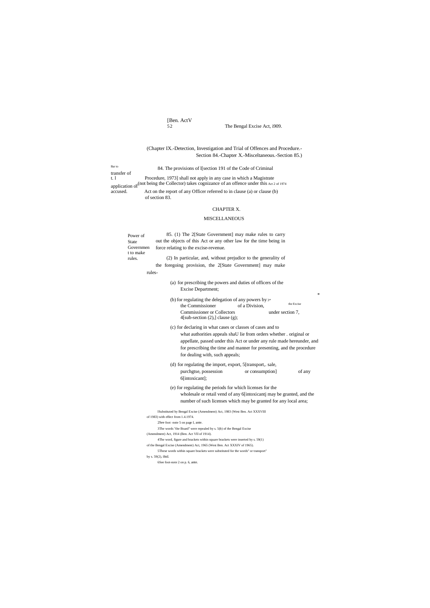[Ben. ActV<br>52

The Bengal Excise Act, i909.

# (Chapter IX.-Detection, Investigation and Trial of Offences and Procedure.- Section 84.-Chapter X.-Misceltaneous.-Section 85.)

Bar to 84. The provisions of l[section 191 of the Code of Criminal transfer of transfer of t. l Procedure, 1973] shall not apply in any case in which a Magistrate application of (not being the Collector) takes cognizance of an offence under this Act 2 of 1974 accused. Act on the report of any Officer referred to in clause (a) or clause (b) of section 83.

# CHAPTER X.

### MISCELLANEOUS

| Power of<br>State<br>Governmen | 85. (1) The 2[State Government] may make rules to carry<br>out the objects of this Act or any other law for the time being in<br>force relating to the excise-revenue.                                                                                                                                                  |
|--------------------------------|-------------------------------------------------------------------------------------------------------------------------------------------------------------------------------------------------------------------------------------------------------------------------------------------------------------------------|
| t to make<br>rules.            | (2) In particular, and, without prejudice to the generality of<br>the foregoing provision, the 2[State Government] may make                                                                                                                                                                                             |
| rules-                         |                                                                                                                                                                                                                                                                                                                         |
|                                | (a) for prescribing the powers and duties of officers of the<br>Excise Department;<br>∗                                                                                                                                                                                                                                 |
|                                | (b) for regulating the delegation of any powers by $3*$<br>the Excise<br>the Commissioner<br>of a Division.<br><b>Commissioner or Collectors</b><br>under section 7,<br>$4[sub-section (2),] clause (g);$                                                                                                               |
|                                | (c) for declaring in what cases or classes of cases and to<br>what authorities appeals shaU lie from orders whether . original or<br>appellate, passed under this Act or under any rule made hereunder, and<br>for prescribing the time and manner for presenting, and the procedure<br>for dealing with, such appeals; |
|                                | (d) for regulating the import, export, 5[transport,. sale,<br>purchgtse, possession<br>of any<br>or consumption]<br>6[intoxicant];                                                                                                                                                                                      |
|                                | (e) for regulating the periods for which licenses for the<br>wholesale or retail vend of any 6[intoxicantj may be granted, and the<br>number of such licenses which may be granted for any local area;                                                                                                                  |
|                                | lSubstituted by Bengal Excise (Amendment) Act, 1983 (West Ben. Act XXXVIII<br>of 1983) with effect from 1.4.1974.<br>2See foot -note 5 on page I, ante.                                                                                                                                                                 |
|                                | 3The words "the Board" were repealed by s. 5(b) of the Bengal Excise<br>(Amendment) Act, 1914 (Ben. Act VII of 1914).<br>4The word, figure and brackets within square brackets were inserted by s. 59(1)                                                                                                                |
|                                | of the Bengal Excise (Amendment) Act, 1965 (West Ben. Act XXXIV of 1965).<br>5These words within square brackets were substituted for the words" or transport"<br>by s. 59(2), ibid.                                                                                                                                    |

6See foot-note 2 on p. 6, ante.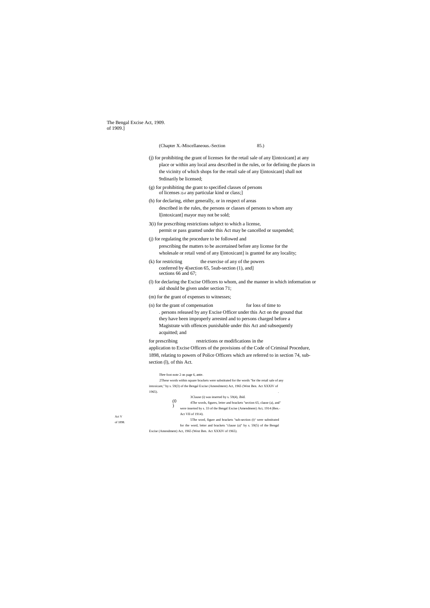The Bengal Excise Act, 1909. of 1909.]

> Act V of 1898.

|                                            | (Chapter X.-Miscellaneous.-Section                                                                                                                                                             | 85.                                                                                                                                                                                                                                                                 |  |
|--------------------------------------------|------------------------------------------------------------------------------------------------------------------------------------------------------------------------------------------------|---------------------------------------------------------------------------------------------------------------------------------------------------------------------------------------------------------------------------------------------------------------------|--|
|                                            | 9rdinarily be licensed;                                                                                                                                                                        | (j) for prohibiting the grant of licenses for the retail sale of any l[intoxicant] at any<br>place or within any local area described in the rules, or for defining the places in<br>the vicinity of which shops for the retail sale of any l[intoxicant] shall not |  |
|                                            | (g) for prohibiting the grant to specified classes of persons<br>of licenses 2[of any particular kind or class;]                                                                               |                                                                                                                                                                                                                                                                     |  |
|                                            | (h) for declaring, either generally, or in respect of areas                                                                                                                                    |                                                                                                                                                                                                                                                                     |  |
|                                            |                                                                                                                                                                                                | described in the rules, the persons or classes of persons to whom any                                                                                                                                                                                               |  |
|                                            | l[intoxicant] mayor may not be sold;                                                                                                                                                           |                                                                                                                                                                                                                                                                     |  |
|                                            | 3(i) for prescribing restrictions subject to which a license,                                                                                                                                  | permit or pass granted under this Act may be cancelled or suspended;                                                                                                                                                                                                |  |
|                                            | (j) for regulating the procedure to be followed and                                                                                                                                            |                                                                                                                                                                                                                                                                     |  |
|                                            | prescribing the matters to be ascertained before any license for the                                                                                                                           |                                                                                                                                                                                                                                                                     |  |
|                                            |                                                                                                                                                                                                | wholesale or retail vend of any l[intoxicant] is granted for any locality;                                                                                                                                                                                          |  |
| (k) for restricting<br>sections 66 and 67; | the exercise of any of the powers<br>conferred by 4[section 65, 5sub-section (1), and]                                                                                                         |                                                                                                                                                                                                                                                                     |  |
|                                            | aid should be given under section 71;                                                                                                                                                          | (l) for declaring the Excise Officers to whom, and the manner in which information or                                                                                                                                                                               |  |
|                                            | (m) for the grant of expenses to witnesses;                                                                                                                                                    |                                                                                                                                                                                                                                                                     |  |
| acquitted; and                             | (n) for the grant of compensation                                                                                                                                                              | for loss of time to<br>. persons released by any Excise Officer under this Act on the ground that<br>they have been improperly arrested and to persons charged before a<br>Magistrate with offences punishable under this Act and subsequently                      |  |
| for prescribing                            | restrictions or modifications in the                                                                                                                                                           |                                                                                                                                                                                                                                                                     |  |
| section (I), of this Act.                  |                                                                                                                                                                                                | application to Excise Officers of the provisions of the Code of Criminal Procedure,<br>1898, relating to powers of Police Officers which are referred to in section 74, sub-                                                                                        |  |
|                                            | ISee foot-note 2 on page 6, ante.                                                                                                                                                              |                                                                                                                                                                                                                                                                     |  |
| 1965).                                     | 2 These words within square brackets were substituted for the words "for the retail sale of any<br>intoxicant," by s. 59(3) of the Bengal Excise (Amendment) Act, 1965 (West Ben. Act XXXIV of |                                                                                                                                                                                                                                                                     |  |
|                                            | 3Clause (i) was inserted by s. 59(4), ibid.                                                                                                                                                    |                                                                                                                                                                                                                                                                     |  |
| $\left( 0 \right)$<br>$\lambda$            | were inserted by s. 33 of the Bengal Excise (Amendment) Act, 1914 (Ben.-<br>Act VII of 1914).                                                                                                  | 4The words, figures, letter and brackets "section 65, clause (a), and"                                                                                                                                                                                              |  |
|                                            |                                                                                                                                                                                                | 5The word, figure and brackets "sub-section (I)" were substituted                                                                                                                                                                                                   |  |
|                                            |                                                                                                                                                                                                |                                                                                                                                                                                                                                                                     |  |

for the word, letter and brackets "clause (a)" by s. 59(5) of the Bengal Excise (Amendment) Act, 1965 (West Ben. Act XXXIV of 1965).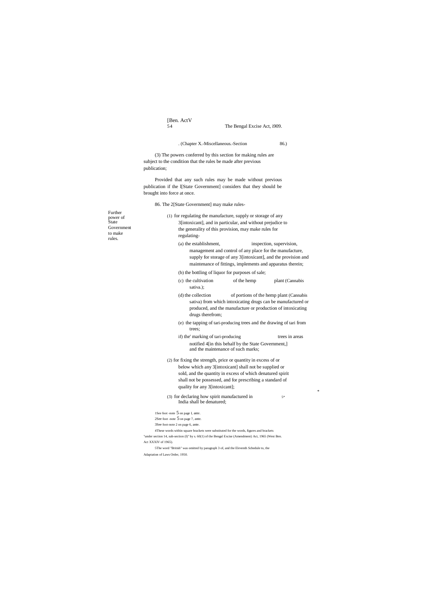# [Ben. ActV

The Bengal Excise Act, i909.

#### . (Chapter X.-Miscellaneous.-Section 86.)

(3) The powers conferred by this section for making rules are subject to the condition that the rules be made after previous publication;

Provided that any such rules may be made without previous publication if the l[State Government] considers that they should be brought into force at once.

86. The 2[State Government] may make rules-

| Further<br>power of<br>State<br>Government<br>to make<br>rules. | (1) for regulating the manufacture, supply or storage of any<br>regulating-                           | 3[intoxicant], and in particular, and without prejudice to<br>the generality of this provision, may make rules for                                                                       |                                         |  |  |
|-----------------------------------------------------------------|-------------------------------------------------------------------------------------------------------|------------------------------------------------------------------------------------------------------------------------------------------------------------------------------------------|-----------------------------------------|--|--|
|                                                                 | (a) the establishment,                                                                                | management and control of any place for the manufacture,<br>supply for storage of any 3[intoxicant], and the provision and<br>maintenance of fittings, implements and apparatus therein; | inspection, supervision,                |  |  |
|                                                                 |                                                                                                       | (b) the bottling of liquor for purposes of sale;                                                                                                                                         |                                         |  |  |
|                                                                 | (c) the cultivation<br>sativa.):                                                                      | of the hemp                                                                                                                                                                              | plant (Cannabis                         |  |  |
|                                                                 | (d) the collection<br>drugs therefrom;                                                                | sativa) from which intoxicating drugs can be manufactured or<br>produced, and the manufacture or production of intoxicating                                                              | of portions of the hemp plant (Cannabis |  |  |
|                                                                 | trees;                                                                                                | (e) the tapping of tari-producing trees and the drawing of tari from                                                                                                                     |                                         |  |  |
|                                                                 | if) the' marking of tari-producing                                                                    | notified 4[in this behalf by the State Government,]<br>and the maintenance of such marks;                                                                                                | trees in areas                          |  |  |
|                                                                 | (2) for fixing the strength, price or quantity in excess of or                                        |                                                                                                                                                                                          |                                         |  |  |
|                                                                 |                                                                                                       | below which any 3[intoxicant] shall not be supplied or                                                                                                                                   |                                         |  |  |
|                                                                 |                                                                                                       | sold, and the quantity in excess of which denatured spirit                                                                                                                               |                                         |  |  |
|                                                                 |                                                                                                       | shall not be possessed, and for prescribing a standard of                                                                                                                                |                                         |  |  |
|                                                                 | quality for any 3[intoxicant];                                                                        |                                                                                                                                                                                          |                                         |  |  |
|                                                                 | (3) for declaring how spirit manufactured in<br>India shall be denatured;                             |                                                                                                                                                                                          | $5*$                                    |  |  |
|                                                                 | 1See foot -note 5 on page I, ante.                                                                    |                                                                                                                                                                                          |                                         |  |  |
|                                                                 | 2See foot -note $5$ on page 7, ante.                                                                  |                                                                                                                                                                                          |                                         |  |  |
|                                                                 | 3See foot-note 2 on page 6, ante.                                                                     |                                                                                                                                                                                          |                                         |  |  |
|                                                                 | 4These words within square brackets were substituted for the words, figures and brackets              |                                                                                                                                                                                          |                                         |  |  |
| Act XXXIV of 1965).                                             | "under section 14, sub-section (I)" by s. 60(1) of the Bengal Excise (Amendment) Act, 1965 (West Ben. |                                                                                                                                                                                          |                                         |  |  |
|                                                                 | 5The word "British" was omitted by paragraph 3 of, and the Eleventh Schedule to, the                  |                                                                                                                                                                                          |                                         |  |  |
|                                                                 |                                                                                                       |                                                                                                                                                                                          |                                         |  |  |

\*

Adaptation of Laws Order, 1950.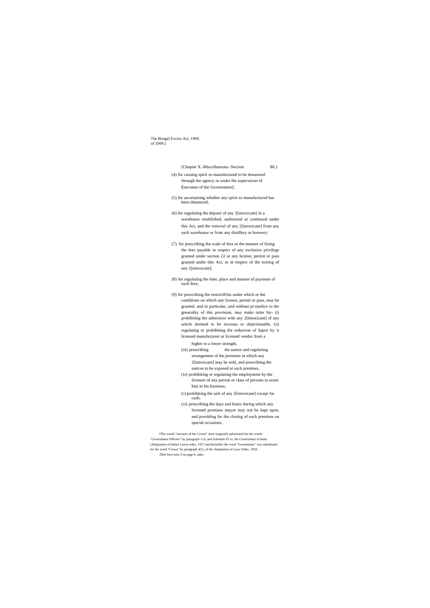The Bengal Excise Act, 1909. of 1909.]

| (Chapter X.-Miscellaneous.-Section                                                              | 86.) |
|-------------------------------------------------------------------------------------------------|------|
| (4) for causing spirit so manufactured to be denatured                                          |      |
| through the agency or under the supervision of                                                  |      |
| I[servants of the Government];                                                                  |      |
| (5) for ascertaining whether any spirit so manufactured has<br>been denatured:                  |      |
| (6) for regulating the deposit of any 2 [intoxicant] in a                                       |      |
| warehouse established, authorised or continued under                                            |      |
| this Act, and the removal of any 2 [intoxicant] from any                                        |      |
| such warehouse or from any distillery or brewery;                                               |      |
| (7) for prescribing the scale of fees or the manner of fixing                                   |      |
| the fees payable in respect of any exclusive privilege                                          |      |
| granted under section 22 or any license, permit or pass                                         |      |
| granted under this Act, or in respect of the storing of                                         |      |
| any 2[intoxicant];                                                                              |      |
| (8) for regulating the time, place and manner of payment of<br>such fees:                       |      |
| (9) for prescribing the restrictIOns under which or the                                         |      |
| conditions on which any license, permit or pass, may be                                         |      |
| granted, and in particular, and without pr:ejudice to the                                       |      |
| generality of this provision, may make rules for- (i)                                           |      |
| prohibiting the admixture with any 2[intoxicant] of any                                         |      |
| article deemed to be noxious or objectionable, (ii)                                             |      |
| regulating or prohibiting the reduction of liquor by 'a                                         |      |
| licensed manufacturer or licensed vendor from a                                                 |      |
| higher to a lower strength,                                                                     |      |
| (iii) prescribing<br>the nature and regulating                                                  |      |
| arrangement of the premises in which any                                                        |      |
| 2[intoxicant] may be sold, and prescribing the                                                  |      |
| notices to be exposed at such premises,<br>(iv) prohibiting or regulating the employment by the |      |
|                                                                                                 |      |

- licensee of any person or class of persons to assist him in his business,
- (v) prohibiting the sale of any 2[intoxicant] except for cash,
- (vi) prescribing the days and hours during which any licensed premises mayor may not be kept open, and providing for the closing of such premises on special occasions,

IThe words "servants of the Crown" were originally substituted for the words "Government Officers" by paragraph 3 of, and Schedule IV to, the Government of India (Adaptation of Indian Laws) order, 1937 and thereafter the word "Government" was substituted for the word "Crown" by paragraph 4(1) ,of the Adaptation of Laws Order, 1950. 2See foot-note 2 on page 6, ante,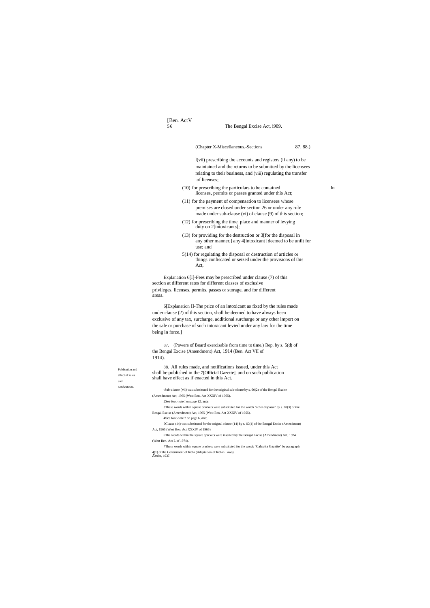|    | [Ben. ActV |
|----|------------|
| 56 |            |

#### 56 The Bengal Excise Act, i909.

Publication and effect of rules and notifications.

(Chapter X-Miscellaneous.-Sections 87, 88.)

l(vii) prescribing the accounts and registers (if any) to be maintained and the returns to be submitted by the licensees relating to their business, and (viii) regulating the transfer .of licenses;

- (10) for prescribing the particulars to be contained In licenses, permits or passes granted under this Act;
- (11) for the payment of compensation to licensees whose premises are closed under section 26 or under any rule made under sub-clause (vi) of clause (9) of this section;
- (12) for prescribing the time, place and manner of levying duty on 2[intoxicants];
- (13) for providing for the destruction or 3[for the disposal in any other manner,] any 4[intoxicant] deemed to be unfit for use; and
- 5(14) for regulating the disposal or destruction of articles or things confiscated or seized under the provisions of this Act,

Explanation 6[I]-Fees may be prescribed under clause (7) of this section at different rates for different classes of exclusive privileges, licenses, permits, passes or storage, and for different areas.

6[Explanation II-The price of an intoxicant as fixed by the rules made under clause (2) of this section, shall be deemed to have always been exclusive of any tax, surcharge, additional surcharge or any other import on the sale or purchase of such intoxicant levied under any law for the time being in force.]

87. (Powers of Board exercisable from time to time.) Rep. by s. 5(d) of the Bengal Excise (Amendment) Act, 1914 (Ben. Act VII of 1914).

88. All rules made, and notifications issued, under this Act shall be published in the 7[Official Gazette], and on such publication shall have effect as if enacted in this Act.

tSub-c1ause (vii) was substituted for the original sub-clause by s. 60(2) of the Bengal Excise (Amendment) Act, 1965 (West Ben. Act XXXIV of 1965). 2See foot-note I on page 12, ante.

3These words within square brackets were substituted for the words "other disposal" by s. 60(3) of the Bengal Excise (Amendment) Act, 1965 (West Ben. Act XXXIV of 1965).

4See foot-note 2 on page 6, ante.

5Clause (14) was substituted for the original clause (14) by s. 60(4) of the Bengal Excise (Amendment) Act, 1965 (West Ben. Act XXXIV of 1965).

6The words within the square qrackets were inserted by the Bengal Excise (Amendment) Act, 1974

(West Ben. Act L of 1974).

7These words within square brackets were substituted for the words "Calcutta Gazette" by paragraph 4(1) of the Government of India (Adaptation of Indian Laws) •Order, 1937.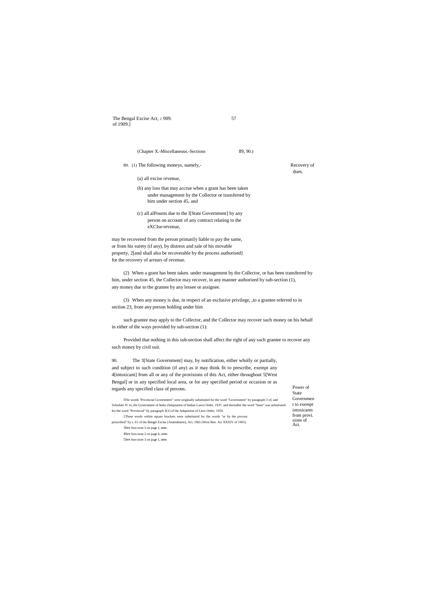The Bengal Excise Act, J 909. 57 of 1909.]

> Governmen t to exempt intoxicants from provi. sions of

(Chapter X.-Miscellaneous.-Sections 89, 90.)

Power of State Act. 89. (1) The following moneys, namely,- Recovery of dues. (a) all excise revenue, (b) any loss that may accrue when a grant has been taken under management by the Collector or transferred by him under section 45, and (c) all alPounts due to the l[State Government] by any person on account of any contract relating to the eXCIse-revenue, may be recovered from the person primarily liable to pay the same, or from his surety (if any), by distress and sale of his movable property, 2[and shall also be recoverable by the process authorised] for the recovery of arrears of revenue. (2) When a grant has been taken. under management by the Collector, or has been transferred by him, under section 45, the Collector may recover, in any manner authorized by sub-section  $(1)$ , any money due to the grantee by any lessee or assignee. (3) When any money is due, in respect of an exclusive privilege, ,to a grantee referred to in section 23, from any person holding under him such grantee may apply to the Collector, and the Collector may recover such money on his behalf in either of the ways provided by sub-section (1): Provided that nothing in this sub-section shall affect the right of any such grantee to recover any such money by civil suit. 90. The 3[State Government] may, by notification, either wholly or partially, and subject to such condition (if any) as it may think fit to prescribe, exempt any 4[intoxicant] from all or any of the provisions of this Act, either throughout 5[West Bengal] or in any specified local area, or for any specified period or occasion or as regards any specified class of persons. IThe words "Provincial Government" were originally substituted for the word "Government" by paragraph 3 of, and Schedule IV to, the Government of India (Adaptation of Indian Laws) Order, 1937, and thereafter the word "State" was substituted for-the word "Provincial" by paragraph 4(1) of the Adaptation of Laws Order, 1950. 2These words within square brackets were substituted for the words "or by the process prescribed" by s. 61 of the Bengal Excise (Amendment), Act, 1965 (West Ben. Act XXXIV of 1965). 3See foot-note 5 on page I, ante. 4See foot-note 2 on page 6, ante. 5See foot-note 3 on page I, ante.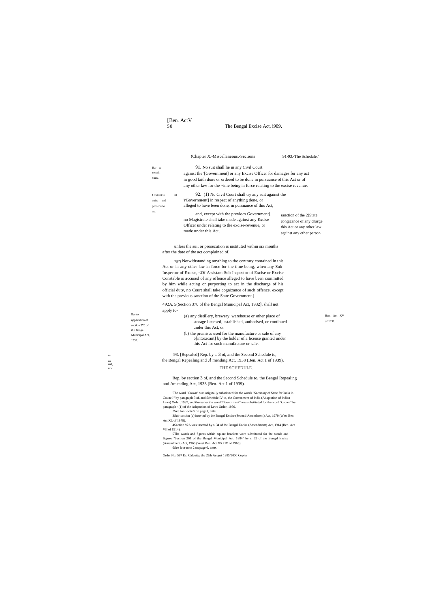| [Ben. ActV |  |
|------------|--|
| 58         |  |

#### The Bengal Excise Act, i909.

Ben. Act XV of 1932.

|                  |                                                                                     |                                                | (Chapter X.-Miscellaneous.-Sections)                                                                                                                                                                                                                                                                                                                                                                                                                                                        | 91-93.-The Schedule.'                                                                                        |
|------------------|-------------------------------------------------------------------------------------|------------------------------------------------|---------------------------------------------------------------------------------------------------------------------------------------------------------------------------------------------------------------------------------------------------------------------------------------------------------------------------------------------------------------------------------------------------------------------------------------------------------------------------------------------|--------------------------------------------------------------------------------------------------------------|
|                  |                                                                                     | Bar to<br>certain<br>suits.                    | 91. No suit shall lie in any Civil Court<br>against the '[Government] or any Excise Officer for damages for any act<br>in good faith done or ordered to be done in pursuance of this Act or of<br>any other law for the ~ime being in force relating to the excise revenue.                                                                                                                                                                                                                 |                                                                                                              |
|                  |                                                                                     | of<br>Limitation<br>suits<br>and<br>prosecutio | 92. (1) No Civil Court shall try any suit against the<br>'rGovernment] in respect of anything done, or<br>alleged to have been done, in pursuance of this Act,                                                                                                                                                                                                                                                                                                                              |                                                                                                              |
|                  | ns.                                                                                 |                                                | and, except with the previocs Government],<br>no Magistrate shall take made against any Excise<br>Officer under relating to the excise-revenue, or<br>made under this Act,                                                                                                                                                                                                                                                                                                                  | sanction of the 2[State<br>congizance of any charge<br>this Act or any other law<br>against any other person |
|                  |                                                                                     |                                                | unless the suit or prosecution is instituted within six months<br>after the date of the act complained of.                                                                                                                                                                                                                                                                                                                                                                                  |                                                                                                              |
|                  |                                                                                     |                                                | $3(2)$ Notwithstanding anything to the contrary contained in this<br>Act or in any other law in force for the time being, when any Sub-<br>Inspector of Excise, < Of Assistant Sub-Inspector of Excise or Excise<br>Constable is accused of any offence alleged to have been committed<br>by him while acting or purporting to act in the discharge of his<br>official duty, no Court shall take cognizance of such offence, except<br>with the previous sanction of the State Government.] |                                                                                                              |
|                  | Bar to<br>application of<br>section 370 of<br>the Bengal<br>Municipal Act,<br>1932. | apply to-                                      | 492A. 5(Section 370 of the Bengal Municipal Act, 1932], shall not<br>(a) any distillery, brewery, warehouse or other place of<br>storage licensed, established, authorised, or continued<br>under this Act, or<br>(b) the premises used for the manufacture or sale of any<br>6[intoxicant] by the holder of a license granted under<br>this Act for such manufacture or sale.                                                                                                              |                                                                                                              |
| Pu<br>an<br>ruI. |                                                                                     |                                                | 93. [Repealed] Rep. by s. 3 of, and the Second Schedule to,<br>the Bengal Repealing and $A$ mending Act, 1938 (Ben. Act 1 of 1939).                                                                                                                                                                                                                                                                                                                                                         |                                                                                                              |
| not              |                                                                                     |                                                | THE SCHEDULE.                                                                                                                                                                                                                                                                                                                                                                                                                                                                               |                                                                                                              |
|                  |                                                                                     |                                                | Rep. by section 3 of, and the Second Schedule to, the Bengal Repealing                                                                                                                                                                                                                                                                                                                                                                                                                      |                                                                                                              |

- 
- ruI,

and Amending Act, 1938 (Ben. Act 1 of 1939).

'The word "Crown" was originally substituted for the words "Secretary of State for India in Council" by paragraph 3 of, and Schedule IV to, the Government of India (Adaptation of Indian Laws) Order, 1937, and thereafter the word "Government" was substituted for the word "Crown" by paragraph 4(1) of the Adaptation of Laws Order, 1950.

2See foot-note 5 on page I, ante.

3Sub-section (c) inserted by the Bengal Excise (Second Amendment) Act, 1979 (West Ben. Act XL of 1979).

4Section 92A was inserted by s. 34 of the Bengal Excise (Amendment) Act, 1914 (Ben. Act VII of 1914).

5The words and figures within square brackets were substituted for the words and figures "Section 261 of the Bengal Municipal Act, 1884" by s. 62 of the Bengal Excise (Amendment) Act, 1965 (West Ben. Act XXXIV of 1965).

6See foot-note 2 on page 6, ante.

#### Order No. 597 Ex. Calcutta, the 29th August 1995/5000 Copies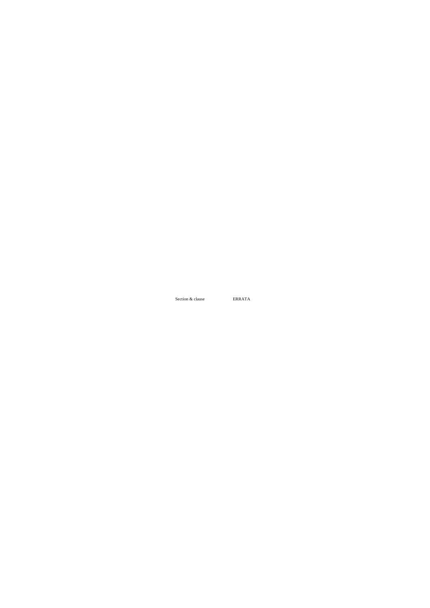Section & clause

**ERRATA**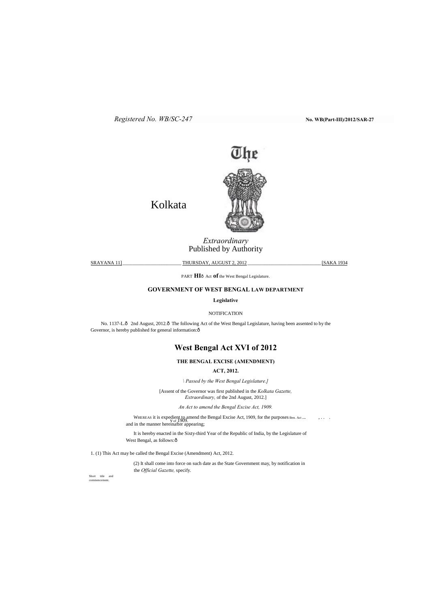*Registered No. WB/SC-247* **No. WB(Part-III)/2012/SAR-27**

Short title and commencement.

Kolkata



# *Extraordinary* Published by Authority

SRAYANA 11]\_\_\_\_\_\_\_\_\_\_\_\_\_\_\_\_\_\_\_\_\_\_\_\_ THURSDAY, AUGUST 2, 2012 \_\_\_\_\_\_\_\_\_\_\_\_\_\_\_\_\_\_\_\_\_\_\_\_\_\_\_\_\_\_ [SAKA 1934

PART HI<sub>0</sub> Act of the West Bengal Legislature.

#### **GOVERNMENT OF WEST BENGAL LAW DEPARTMENT**

**Legislative**

NOTIFICATION

No. 1137-L.ô 2nd August, 2012.ô The following Act of the West Bengal Legislature, having been assented to by the Governor, is hereby published for general information: $\hat{o}$ 

> It is hereby enacted in the Sixty-third Year of the Republic of India, by the Legislature of West Bengal, as follows: $\hat{o}$

# **West Bengal Act XVI of 2012**

**THE BENGAL EXCISE (AMENDMENT)**

**ACT, 2012.**

*\ Passed by the West Bengal Legislature.]*

[Assent of the Governor was first published in the *Kolkata Gazette, Extraordinary,* of the 2nd August, 2012.]

*An Act to amend the Bengal Excise Act, 1909.*

WHEREAS it is expedient to amend the Bengal Excise Act, 1909, for the purposes Ben. Act ... , ... , ... and in the manner hereinafter appearing;

1. (1) This Act may be called the Bengal Excise (Amendment) Act, 2012.

(2) It shall come into force on such date as the State Government may, by notification in the *Official Gazette,* specify.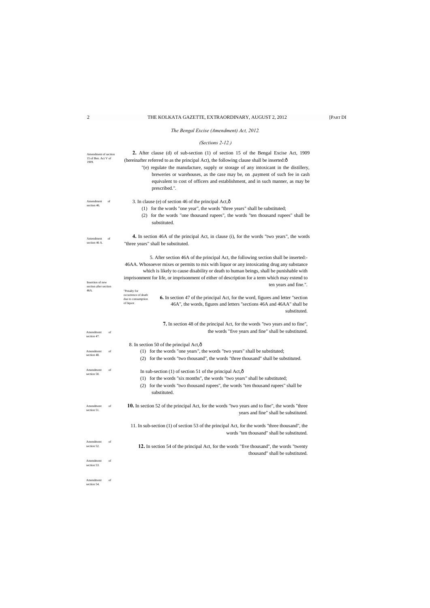Amendment of section 53.

Amendment of section 54.

# 2 THE KOLKATA GAZETTE, EXTRAORDINARY, AUGUST 2, 2012 [PART DI

*The Bengal Excise (Amendment) Act, 2012.*

# *(Sections 2-12.)*

| Amendment of section<br>15 of Ben. Act V of<br>1909. |    | 2. After clause (d) of sub-section (1) of section 15 of the Bengal Excise Act, 1909<br>(hereinafter referred to as the principal Act), the following clause shall be inserted: ô<br>"(e) regulate the manufacture, supply or storage of any intoxicant in the distillery,<br>breweries or warehouses, as the case may be, on .payment of such fee in cash<br>equivalent to cost of officers and establishment, and in such manner, as may be<br>prescribed.".                                                                                                                                                                                                                                                                                    |
|------------------------------------------------------|----|--------------------------------------------------------------------------------------------------------------------------------------------------------------------------------------------------------------------------------------------------------------------------------------------------------------------------------------------------------------------------------------------------------------------------------------------------------------------------------------------------------------------------------------------------------------------------------------------------------------------------------------------------------------------------------------------------------------------------------------------------|
| Amendment<br>section 46.                             | of | 3. In clause (e) of section 46 of the principal Act, ô<br>(1) for the words "one year", the words "three years" shall be substituted;<br>(2) for the words "one thousand rupees", the words "ten thousand rupees" shall be<br>substituted.                                                                                                                                                                                                                                                                                                                                                                                                                                                                                                       |
| Amendment<br>section 46 A.                           | of | 4. In section 46A of the principal Act, in clause (i), for the words "two years", the words<br>"three years" shall be substituted.                                                                                                                                                                                                                                                                                                                                                                                                                                                                                                                                                                                                               |
| Insertion of new<br>section after section<br>46A.    |    | 5. After section 46A of the principal Act, the following section shall be inserted:-<br>46AA. Whosoever mixes or permits to mix with liquor or any intoxicating drug any substance<br>which is likely to cause disability or death to human beings, shall be punishable with<br>imprisonment for life, or imprisonment of either of description for a term which may extend to<br>ten years and fine.".<br>"Penalty for<br>occurrence of death<br>6. In section 47 of the principal Act, for the word, figures and letter "section<br>due to consumption<br>of liquor.<br>46A", the words, figures and letters "sections 46A and 46AA" shall be<br>substituted.<br>7. In section 48 of the principal Act, for the words "two years and to fine", |
| Amendment<br>section 47.                             | of | the words "five years and fine" shall be substituted.                                                                                                                                                                                                                                                                                                                                                                                                                                                                                                                                                                                                                                                                                            |
|                                                      |    | 8. In section 50 of the principal Act, ô                                                                                                                                                                                                                                                                                                                                                                                                                                                                                                                                                                                                                                                                                                         |
| Amendment<br>section 48.                             | of | (1) for the words "one years", the words "two years" shall be substituted;<br>for the words "two thousand", the words "three thousand" shall be substituted.<br>(2)                                                                                                                                                                                                                                                                                                                                                                                                                                                                                                                                                                              |
| Amendment<br>section 50.                             | of | In sub-section $(1)$ of section 51 of the principal Act, $\hat{o}$<br>(1) for the words "six months", the words "two years" shall be substituted;<br>(2) for the words "two thousand rupees", the words "ten thousand rupees" shall be<br>substituted.                                                                                                                                                                                                                                                                                                                                                                                                                                                                                           |
| Amendment<br>section 51.                             | of | 10. In section 52 of the principal Act, for the words "two years and to fine", the words "three<br>years and fine" shall be substituted.                                                                                                                                                                                                                                                                                                                                                                                                                                                                                                                                                                                                         |
|                                                      |    | 11. In sub-section (1) of section 53 of the principal Act, for the words "three thousand", the<br>words "ten thousand" shall be substituted.                                                                                                                                                                                                                                                                                                                                                                                                                                                                                                                                                                                                     |
| Amendment<br>section 52.                             | of | 12. In section 54 of the principal Act, for the words "five thousand", the words "twenty                                                                                                                                                                                                                                                                                                                                                                                                                                                                                                                                                                                                                                                         |

thousand" shall be substituted.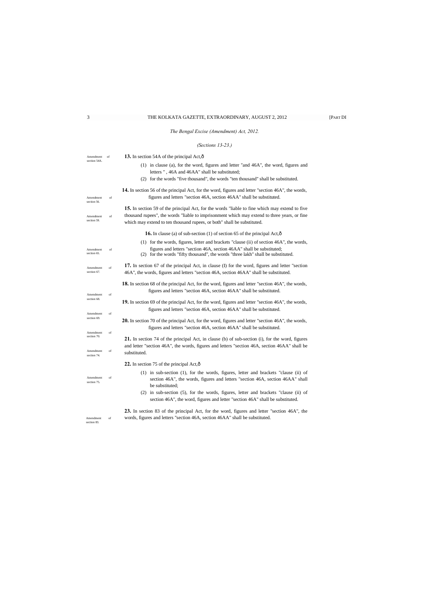# 3 THE KOLKATA GAZETTE, EXTRAORDINARY, AUGUST 2, 2012 [PART DI

# *The Bengal Excise (Amendment) Act, 2012.*

#### *(Sections 13-23.)*

| Amendment                | of | 13. In section 54A of the principal Act, $\hat{o}$                                                                                                                                               |
|--------------------------|----|--------------------------------------------------------------------------------------------------------------------------------------------------------------------------------------------------|
| section 54A.             |    | (1) in clause (a), for the word, figures and letter "and 46A", the word, figures and<br>letters ", 46A and 46AA" shall be substituted;                                                           |
|                          |    | (2) for the words "five thousand", the words "ten thousand" shall be substituted.                                                                                                                |
| Amendment<br>section 56. | of | 14. In section 56 of the principal Act, for the word, figures and letter "section 46A", the words,<br>figures and letters "section 46A, section 46AA" shall be substituted.                      |
|                          |    | 15. In section 59 of the principal Act, for the words "liable to fine which may extend to five                                                                                                   |
| Amendment<br>section 59. | of | thousand rupees", the words "liable to imprisonment which may extend to three years, or fine<br>which may extend to ten thousand rupees, or both" shall be substituted.                          |
|                          |    | <b>16.</b> In clause (a) of sub-section (1) of section 65 of the principal Act, $\hat{o}$                                                                                                        |
| Amendment<br>section 65. | of | (1) for the words, figures, letter and brackets "clause (ii) of section 46A", the words,<br>figures and letters "section 46A, section 46AA" shall be substituted;                                |
|                          |    | (2) for the words "fifty thousand", the words "three lakh" shall be substituted.                                                                                                                 |
| Amendment<br>section 67. | of | 17. In section 67 of the principal Act, in clause (I) for the word, figures and letter "section<br>46A", the words, figures and letters "section 46A, section 46AA" shall be substituted.        |
|                          | of | 18. In section 68 of the principal Act, for the word, figures and letter "section 46A", the words,<br>figures and letters "section 46A, section 46AA" shall be substituted.                      |
| Amendment<br>section 68. |    | 19. In section 69 of the principal Act, for the word, figures and letter "section 46A", the words,<br>figures and letters "section 46A, section 46AA" shall be substituted.                      |
| Amendment<br>section 69. | of | <b>20.</b> In section 70 of the principal Act, for the word, figures and letter "section 46A", the words,                                                                                        |
| Amendment                | of | figures and letters "section 46A, section 46AA" shall be substituted.                                                                                                                            |
| section 70.              |    | 21. In section 74 of the principal Act, in clause (b) of sub-section (i), for the word, figures<br>and letter "section 46A", the words, figures and letters "section 46A, section 46AA" shall be |
| Amendment<br>section 74. | of | substituted.                                                                                                                                                                                     |
|                          |    | 22. In section 75 of the principal $Act, \hat{o}$                                                                                                                                                |
| Amendment<br>section 75. | of | (1) in sub-section (1), for the words, figures, letter and brackets "clause (ii) of<br>section 46A", the words, figures and letters "section 46A, section 46AA" shall<br>be substituted;         |
|                          |    | (2) in sub-section (5), for the words, figures, letter and brackets "clause (ii) of<br>section 46A", the word, figures and letter "section 46A" shall be substituted.                            |
|                          |    | 23. In section 83 of the principal Act, for the word, figures and letter "section 46A", the                                                                                                      |
| Amendment<br>section 83. | of | words, figures and letters "section 46A, section 46AA" shall be substituted.                                                                                                                     |